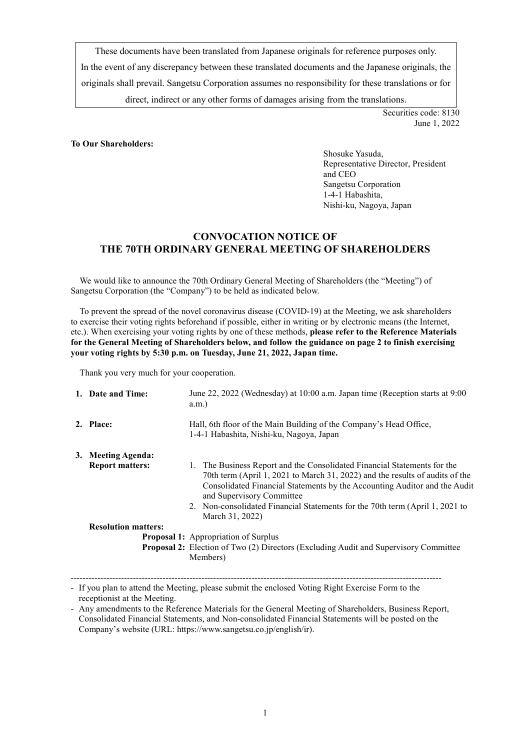These documents have been translated from Japanese originals for reference purposes only. In the event of any discrepancy between these translated documents and the Japanese originals, the originals shall prevail. Sangetsu Corporation assumes no responsibility for these translations or for direct, indirect or any other forms of damages arising from the translations.

> Securities code: 8130 June 1, 2022

#### **To Our Shareholders:**

Shosuke Yasuda, Representative Director, President and CEO Sangetsu Corporation 1-4-1 Habashita, Nishi-ku, Nagoya, Japan

# **CONVOCATION NOTICE OF THE 70TH ORDINARY GENERAL MEETING OF SHAREHOLDERS**

We would like to announce the 70th Ordinary General Meeting of Shareholders (the "Meeting") of Sangetsu Corporation (the "Company") to be held as indicated below.

To prevent the spread of the novel coronavirus disease (COVID-19) at the Meeting, we ask shareholders to exercise their voting rights beforehand if possible, either in writing or by electronic means (the Internet, etc.). When exercising your voting rights by one of these methods, **please refer to the Reference Materials for the General Meeting of Shareholders below, and follow the guidance on page 2 to finish exercising your voting rights by 5:30 p.m. on Tuesday, June 21, 2022, Japan time.**

Thank you very much for your cooperation.

| 1. Date and Time:                                                                                                                                                                    | June 22, 2022 (Wednesday) at 10:00 a.m. Japan time (Reception starts at 9:00<br>a.m.                                                                                                                                                                                                                                                                                  |  |  |
|--------------------------------------------------------------------------------------------------------------------------------------------------------------------------------------|-----------------------------------------------------------------------------------------------------------------------------------------------------------------------------------------------------------------------------------------------------------------------------------------------------------------------------------------------------------------------|--|--|
| 2. Place:                                                                                                                                                                            | Hall, 6th floor of the Main Building of the Company's Head Office,<br>1-4-1 Habashita, Nishi-ku, Nagoya, Japan                                                                                                                                                                                                                                                        |  |  |
| 3. Meeting Agenda:<br><b>Report matters:</b>                                                                                                                                         | 1. The Business Report and the Consolidated Financial Statements for the<br>70th term (April 1, 2021 to March 31, 2022) and the results of audits of the<br>Consolidated Financial Statements by the Accounting Auditor and the Audit<br>and Supervisory Committee<br>2. Non-consolidated Financial Statements for the 70th term (April 1, 2021 to<br>March 31, 2022) |  |  |
| <b>Resolution matters:</b><br><b>Proposal 1:</b> Appropriation of Surplus<br><b>Proposal 2:</b> Election of Two (2) Directors (Excluding Audit and Supervisory Committee<br>Members) |                                                                                                                                                                                                                                                                                                                                                                       |  |  |

<sup>-----------------------------------------------------------------------------------------------------------------------------</sup> - If you plan to attend the Meeting, please submit the enclosed Voting Right Exercise Form to the receptionist at the Meeting.

<sup>-</sup> Any amendments to the Reference Materials for the General Meeting of Shareholders, Business Report, Consolidated Financial Statements, and Non-consolidated Financial Statements will be posted on the Company's website (URL: [https://www.sangetsu.co.jp/english/ir\).](https://www.sangetsu.co.jp/english/ir)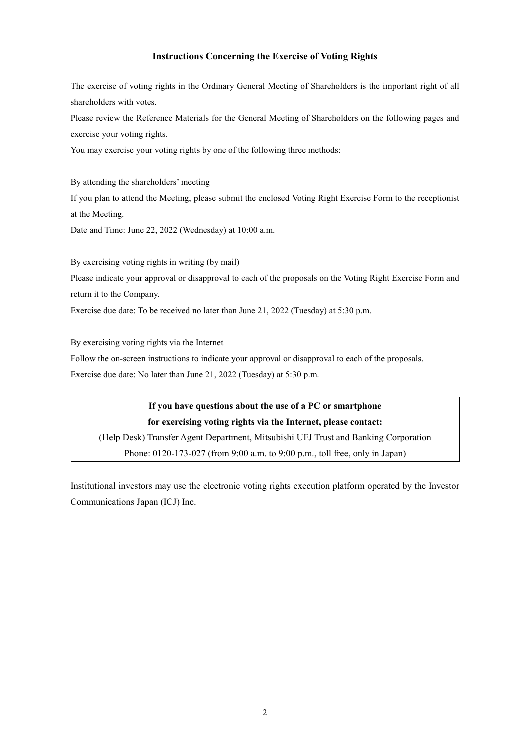# **Instructions Concerning the Exercise of Voting Rights**

The exercise of voting rights in the Ordinary General Meeting of Shareholders is the important right of all shareholders with votes.

Please review the Reference Materials for the General Meeting of Shareholders on the following pages and exercise your voting rights.

You may exercise your voting rights by one of the following three methods:

By attending the shareholders' meeting If you plan to attend the Meeting, please submit the enclosed Voting Right Exercise Form to the receptionist at the Meeting.

Date and Time: June 22, 2022 (Wednesday) at 10:00 a.m.

By exercising voting rights in writing (by mail)

Please indicate your approval or disapproval to each of the proposals on the Voting Right Exercise Form and return it to the Company.

Exercise due date: To be received no later than June 21, 2022 (Tuesday) at 5:30 p.m.

By exercising voting rights via the Internet

Follow the on-screen instructions to indicate your approval or disapproval to each of the proposals.

Exercise due date: No later than June 21, 2022 (Tuesday) at 5:30 p.m.

**If you have questions about the use of a PC or smartphone for exercising voting rights via the Internet, please contact:** (Help Desk) Transfer Agent Department, Mitsubishi UFJ Trust and Banking Corporation Phone: 0120-173-027 (from 9:00 a.m. to 9:00 p.m., toll free, only in Japan)

Institutional investors may use the electronic voting rights execution platform operated by the Investor Communications Japan (ICJ) Inc.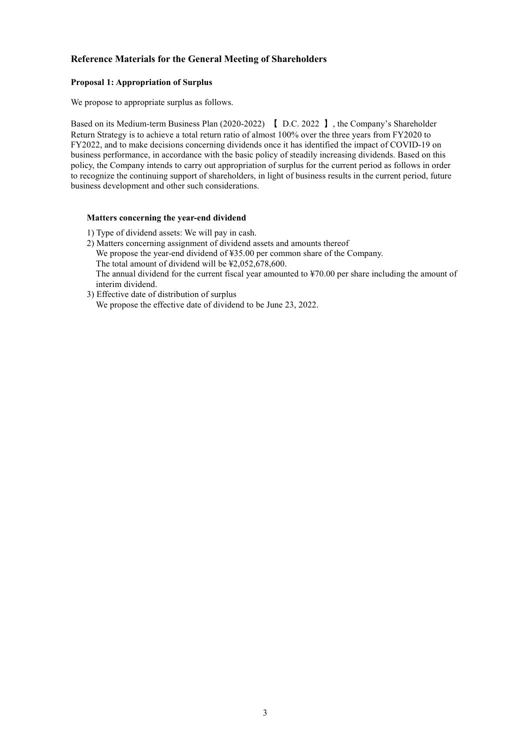# **Reference Materials for the General Meeting of Shareholders**

# **Proposal 1: Appropriation of Surplus**

We propose to appropriate surplus as follows.

Based on its Medium-term Business Plan (2020-2022) 【 D.C. 2022 】, the Company's Shareholder Return Strategy is to achieve a total return ratio of almost 100% over the three years from FY2020 to FY2022, and to make decisions concerning dividends once it has identified the impact of COVID-19 on business performance, in accordance with the basic policy of steadily increasing dividends. Based on this policy, the Company intends to carry out appropriation of surplus for the current period as follows in order to recognize the continuing support of shareholders, in light of business results in the current period, future business development and other such considerations.

#### **Matters concerning the year-end dividend**

- 1) Type of dividend assets: We will pay in cash.
- 2) Matters concerning assignment of dividend assets and amounts thereof We propose the year-end dividend of ¥35.00 per common share of the Company. The total amount of dividend will be ¥2,052,678,600. The annual dividend for the current fiscal year amounted to ¥70.00 per share including the amount of interim dividend.
- 3) Effective date of distribution of surplus We propose the effective date of dividend to be June 23, 2022.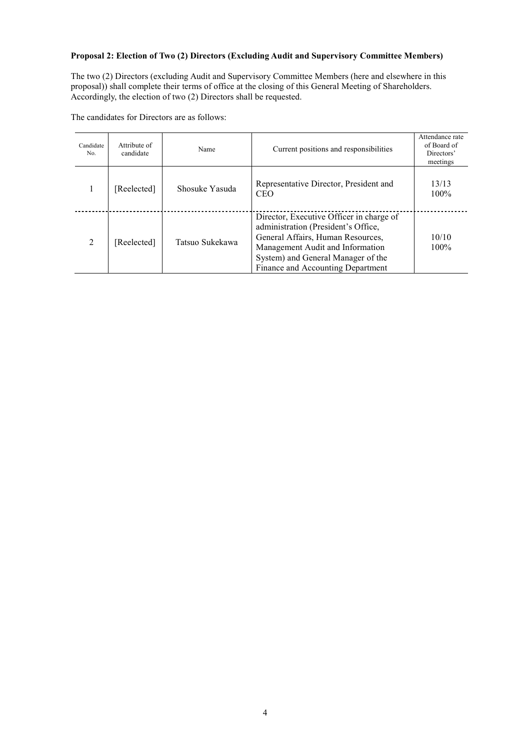# **Proposal 2: Election of Two (2) Directors (Excluding Audit and Supervisory Committee Members)**

The two (2) Directors (excluding Audit and Supervisory Committee Members (here and elsewhere in this proposal)) shall complete their terms of office at the closing of this General Meeting of Shareholders. Accordingly, the election of two (2) Directors shall be requested.

The candidates for Directors are as follows:

| Candidate<br>No.              | Attribute of<br>candidate      | Name                                                                   | Current positions and responsibilities                                                                                                                                                                                              | Attendance rate<br>of Board of<br>Directors'<br>meetings |
|-------------------------------|--------------------------------|------------------------------------------------------------------------|-------------------------------------------------------------------------------------------------------------------------------------------------------------------------------------------------------------------------------------|----------------------------------------------------------|
|                               | [Reelected]                    | Representative Director, President and<br>Shosuke Yasuda<br><b>CEO</b> |                                                                                                                                                                                                                                     | 13/13<br>100%                                            |
| $\mathfrak{D}_{\mathfrak{p}}$ | Tatsuo Sukekawa<br>[Reelected] |                                                                        | Director, Executive Officer in charge of<br>administration (President's Office,<br>General Affairs, Human Resources,<br>Management Audit and Information<br>System) and General Manager of the<br>Finance and Accounting Department | 10/10<br>$100\%$                                         |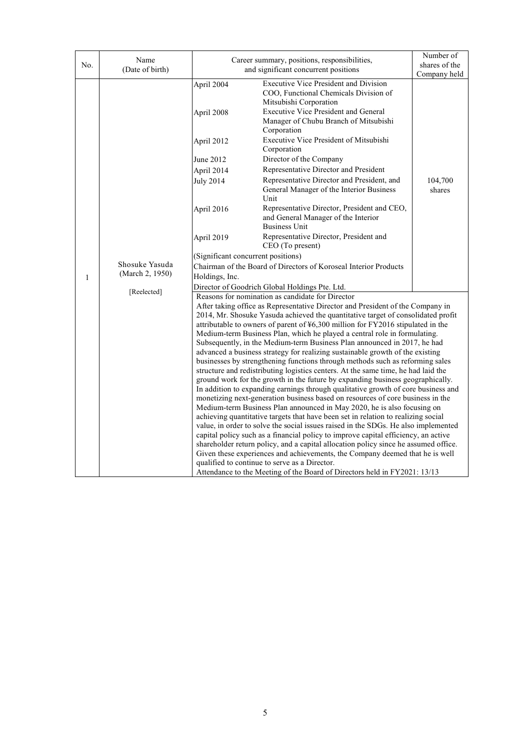| No.          | Name                                                                                                    |                                                                  | Number of<br>shares of the                                                                                                                                                                                                                                                                                                                                                                                                                                                                                                                                                                                                                                                                                                                                                                                                                                                                                                                                                                                                                                                                                                                                                                                                                                                                                                                                                                                                                                                                                                                                                                                                          |                   |  |  |
|--------------|---------------------------------------------------------------------------------------------------------|------------------------------------------------------------------|-------------------------------------------------------------------------------------------------------------------------------------------------------------------------------------------------------------------------------------------------------------------------------------------------------------------------------------------------------------------------------------------------------------------------------------------------------------------------------------------------------------------------------------------------------------------------------------------------------------------------------------------------------------------------------------------------------------------------------------------------------------------------------------------------------------------------------------------------------------------------------------------------------------------------------------------------------------------------------------------------------------------------------------------------------------------------------------------------------------------------------------------------------------------------------------------------------------------------------------------------------------------------------------------------------------------------------------------------------------------------------------------------------------------------------------------------------------------------------------------------------------------------------------------------------------------------------------------------------------------------------------|-------------------|--|--|
|              | Career summary, positions, responsibilities,<br>(Date of birth)<br>and significant concurrent positions |                                                                  | Company held                                                                                                                                                                                                                                                                                                                                                                                                                                                                                                                                                                                                                                                                                                                                                                                                                                                                                                                                                                                                                                                                                                                                                                                                                                                                                                                                                                                                                                                                                                                                                                                                                        |                   |  |  |
|              |                                                                                                         | April 2004<br>April 2008                                         | <b>Executive Vice President and Division</b><br>COO, Functional Chemicals Division of<br>Mitsubishi Corporation<br>Executive Vice President and General<br>Manager of Chubu Branch of Mitsubishi<br>Corporation                                                                                                                                                                                                                                                                                                                                                                                                                                                                                                                                                                                                                                                                                                                                                                                                                                                                                                                                                                                                                                                                                                                                                                                                                                                                                                                                                                                                                     |                   |  |  |
|              |                                                                                                         | April 2012                                                       | Executive Vice President of Mitsubishi<br>Corporation                                                                                                                                                                                                                                                                                                                                                                                                                                                                                                                                                                                                                                                                                                                                                                                                                                                                                                                                                                                                                                                                                                                                                                                                                                                                                                                                                                                                                                                                                                                                                                               |                   |  |  |
|              |                                                                                                         | June 2012                                                        | Director of the Company                                                                                                                                                                                                                                                                                                                                                                                                                                                                                                                                                                                                                                                                                                                                                                                                                                                                                                                                                                                                                                                                                                                                                                                                                                                                                                                                                                                                                                                                                                                                                                                                             |                   |  |  |
|              |                                                                                                         | April 2014                                                       | Representative Director and President                                                                                                                                                                                                                                                                                                                                                                                                                                                                                                                                                                                                                                                                                                                                                                                                                                                                                                                                                                                                                                                                                                                                                                                                                                                                                                                                                                                                                                                                                                                                                                                               |                   |  |  |
|              |                                                                                                         | <b>July 2014</b>                                                 | Representative Director and President, and<br>General Manager of the Interior Business<br>Unit                                                                                                                                                                                                                                                                                                                                                                                                                                                                                                                                                                                                                                                                                                                                                                                                                                                                                                                                                                                                                                                                                                                                                                                                                                                                                                                                                                                                                                                                                                                                      | 104,700<br>shares |  |  |
|              | Shosuke Yasuda<br>(March 2, 1950)                                                                       | April 2016                                                       | Representative Director, President and CEO,<br>and General Manager of the Interior<br><b>Business Unit</b>                                                                                                                                                                                                                                                                                                                                                                                                                                                                                                                                                                                                                                                                                                                                                                                                                                                                                                                                                                                                                                                                                                                                                                                                                                                                                                                                                                                                                                                                                                                          |                   |  |  |
|              |                                                                                                         | April 2019                                                       | Representative Director, President and<br>CEO (To present)                                                                                                                                                                                                                                                                                                                                                                                                                                                                                                                                                                                                                                                                                                                                                                                                                                                                                                                                                                                                                                                                                                                                                                                                                                                                                                                                                                                                                                                                                                                                                                          |                   |  |  |
|              |                                                                                                         | (Significant concurrent positions)                               |                                                                                                                                                                                                                                                                                                                                                                                                                                                                                                                                                                                                                                                                                                                                                                                                                                                                                                                                                                                                                                                                                                                                                                                                                                                                                                                                                                                                                                                                                                                                                                                                                                     |                   |  |  |
|              |                                                                                                         | Chairman of the Board of Directors of Koroseal Interior Products |                                                                                                                                                                                                                                                                                                                                                                                                                                                                                                                                                                                                                                                                                                                                                                                                                                                                                                                                                                                                                                                                                                                                                                                                                                                                                                                                                                                                                                                                                                                                                                                                                                     |                   |  |  |
| $\mathbf{1}$ |                                                                                                         | Holdings, Inc.                                                   |                                                                                                                                                                                                                                                                                                                                                                                                                                                                                                                                                                                                                                                                                                                                                                                                                                                                                                                                                                                                                                                                                                                                                                                                                                                                                                                                                                                                                                                                                                                                                                                                                                     |                   |  |  |
|              | [Reelected]                                                                                             | Director of Goodrich Global Holdings Pte. Ltd.                   |                                                                                                                                                                                                                                                                                                                                                                                                                                                                                                                                                                                                                                                                                                                                                                                                                                                                                                                                                                                                                                                                                                                                                                                                                                                                                                                                                                                                                                                                                                                                                                                                                                     |                   |  |  |
|              |                                                                                                         |                                                                  | Reasons for nomination as candidate for Director<br>After taking office as Representative Director and President of the Company in<br>2014, Mr. Shosuke Yasuda achieved the quantitative target of consolidated profit<br>attributable to owners of parent of ¥6,300 million for FY2016 stipulated in the<br>Medium-term Business Plan, which he played a central role in formulating.<br>Subsequently, in the Medium-term Business Plan announced in 2017, he had<br>advanced a business strategy for realizing sustainable growth of the existing<br>businesses by strengthening functions through methods such as reforming sales<br>structure and redistributing logistics centers. At the same time, he had laid the<br>ground work for the growth in the future by expanding business geographically.<br>In addition to expanding earnings through qualitative growth of core business and<br>monetizing next-generation business based on resources of core business in the<br>Medium-term Business Plan announced in May 2020, he is also focusing on<br>achieving quantitative targets that have been set in relation to realizing social<br>value, in order to solve the social issues raised in the SDGs. He also implemented<br>capital policy such as a financial policy to improve capital efficiency, an active<br>shareholder return policy, and a capital allocation policy since he assumed office.<br>Given these experiences and achievements, the Company deemed that he is well<br>qualified to continue to serve as a Director.<br>Attendance to the Meeting of the Board of Directors held in FY2021: 13/13 |                   |  |  |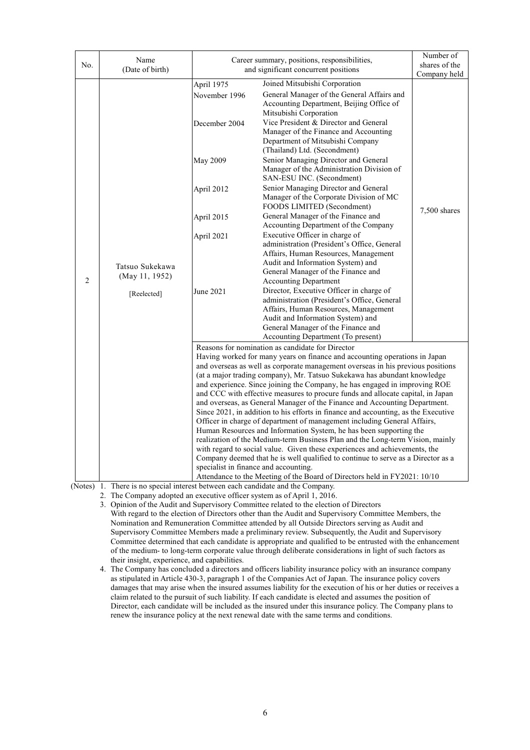| No.            | Name<br>(Date of birth)                                                         |                                                                                 | Career summary, positions, responsibilities,<br>and significant concurrent positions                                                                                                               |              |  |  |
|----------------|---------------------------------------------------------------------------------|---------------------------------------------------------------------------------|----------------------------------------------------------------------------------------------------------------------------------------------------------------------------------------------------|--------------|--|--|
|                |                                                                                 | April 1975                                                                      | Joined Mitsubishi Corporation                                                                                                                                                                      | Company held |  |  |
|                |                                                                                 | November 1996<br>December 2004                                                  | General Manager of the General Affairs and<br>Accounting Department, Beijing Office of<br>Mitsubishi Corporation<br>Vice President & Director and General<br>Manager of the Finance and Accounting |              |  |  |
|                |                                                                                 | May 2009                                                                        | Department of Mitsubishi Company<br>(Thailand) Ltd. (Secondment)<br>Senior Managing Director and General<br>Manager of the Administration Division of<br>SAN-ESU INC. (Secondment)                 |              |  |  |
|                |                                                                                 | April 2012                                                                      | Senior Managing Director and General<br>Manager of the Corporate Division of MC<br>FOODS LIMITED (Secondment)                                                                                      | 7,500 shares |  |  |
|                |                                                                                 | April 2015                                                                      | General Manager of the Finance and<br>Accounting Department of the Company                                                                                                                         |              |  |  |
|                | Tatsuo Sukekawa<br>(May 11, 1952)<br>[Reelected]                                | April 2021                                                                      | Executive Officer in charge of<br>administration (President's Office, General                                                                                                                      |              |  |  |
|                |                                                                                 |                                                                                 | Affairs, Human Resources, Management<br>Audit and Information System) and                                                                                                                          |              |  |  |
| $\overline{2}$ |                                                                                 |                                                                                 | General Manager of the Finance and<br><b>Accounting Department</b>                                                                                                                                 |              |  |  |
|                |                                                                                 | June 2021                                                                       | Director, Executive Officer in charge of<br>administration (President's Office, General                                                                                                            |              |  |  |
|                |                                                                                 |                                                                                 | Affairs, Human Resources, Management                                                                                                                                                               |              |  |  |
|                |                                                                                 |                                                                                 | Audit and Information System) and<br>General Manager of the Finance and                                                                                                                            |              |  |  |
|                |                                                                                 |                                                                                 | Accounting Department (To present)                                                                                                                                                                 |              |  |  |
|                |                                                                                 |                                                                                 | Reasons for nomination as candidate for Director                                                                                                                                                   |              |  |  |
|                |                                                                                 |                                                                                 | Having worked for many years on finance and accounting operations in Japan                                                                                                                         |              |  |  |
|                |                                                                                 | and overseas as well as corporate management overseas in his previous positions |                                                                                                                                                                                                    |              |  |  |
|                |                                                                                 |                                                                                 | (at a major trading company), Mr. Tatsuo Sukekawa has abundant knowledge<br>and experience. Since joining the Company, he has engaged in improving ROE                                             |              |  |  |
|                |                                                                                 |                                                                                 | and CCC with effective measures to procure funds and allocate capital, in Japan                                                                                                                    |              |  |  |
|                |                                                                                 |                                                                                 | and overseas, as General Manager of the Finance and Accounting Department.                                                                                                                         |              |  |  |
|                |                                                                                 |                                                                                 | Since 2021, in addition to his efforts in finance and accounting, as the Executive                                                                                                                 |              |  |  |
|                |                                                                                 |                                                                                 | Officer in charge of department of management including General Affairs,                                                                                                                           |              |  |  |
|                |                                                                                 |                                                                                 | Human Resources and Information System, he has been supporting the                                                                                                                                 |              |  |  |
|                |                                                                                 |                                                                                 | realization of the Medium-term Business Plan and the Long-term Vision, mainly<br>with regard to social value. Given these experiences and achievements, the                                        |              |  |  |
|                |                                                                                 |                                                                                 | Company deemed that he is well qualified to continue to serve as a Director as a                                                                                                                   |              |  |  |
|                |                                                                                 |                                                                                 | specialist in finance and accounting.                                                                                                                                                              |              |  |  |
|                |                                                                                 |                                                                                 | Attendance to the Meeting of the Board of Directors held in FY2021: 10/10                                                                                                                          |              |  |  |
|                | (Notes) 1. There is no special interest between each candidate and the Company. |                                                                                 |                                                                                                                                                                                                    |              |  |  |

2. The Company adopted an executive officer system as of April 1, 2016.

3. Opinion of the Audit and Supervisory Committee related to the election of Directors With regard to the election of Directors other than the Audit and Supervisory Committee Members, the Nomination and Remuneration Committee attended by all Outside Directors serving as Audit and Supervisory Committee Members made a preliminary review. Subsequently, the Audit and Supervisory Committee determined that each candidate is appropriate and qualified to be entrusted with the enhancement of the medium- to long-term corporate value through deliberate considerations in light of such factors as their insight, experience, and capabilities.

4. The Company has concluded a directors and officers liability insurance policy with an insurance company as stipulated in Article 430-3, paragraph 1 of the Companies Act of Japan. The insurance policy covers damages that may arise when the insured assumes liability for the execution of his or her duties or receives a claim related to the pursuit of such liability. If each candidate is elected and assumes the position of Director, each candidate will be included as the insured under this insurance policy. The Company plans to renew the insurance policy at the next renewal date with the same terms and conditions.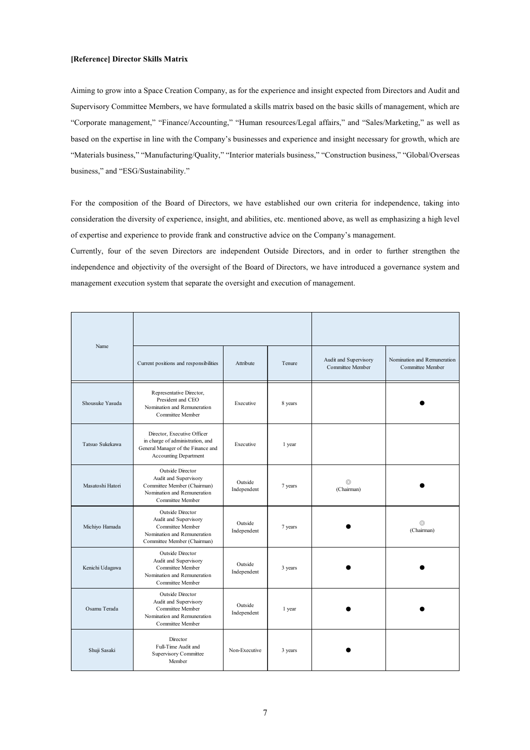#### **[Reference] Director Skills Matrix**

Aiming to grow into a Space Creation Company, as for the experience and insight expected from Directors and Audit and Supervisory Committee Members, we have formulated a skills matrix based on the basic skills of management, which are "Corporate management," "Finance/Accounting," "Human resources/Legal affairs," and "Sales/Marketing," as well as based on the expertise in line with the Company's businesses and experience and insight necessary for growth, which are "Materials business," "Manufacturing/Quality," "Interior materials business," "Construction business," "Global/Overseas business," and "ESG/Sustainability."

For the composition of the Board of Directors, we have established our own criteria for independence, taking into consideration the diversity of experience, insight, and abilities, etc. mentioned above, as well as emphasizing a high level of expertise and experience to provide frank and constructive advice on the Company's management.

Currently, four of the seven Directors are independent Outside Directors, and in order to further strengthen the independence and objectivity of the oversight of the Board of Directors, we have introduced a governance system and management execution system that separate the oversight and execution of management.

| Name             | Current positions and responsibilities                                                                                                | Attribute              | Tenure  | Audit and Supervisory<br>Committee Member | Nomination and Remuneration<br>Committee Member |
|------------------|---------------------------------------------------------------------------------------------------------------------------------------|------------------------|---------|-------------------------------------------|-------------------------------------------------|
| Shousuke Yasuda  | Representative Director,<br>President and CEO<br>Nomination and Remuneration<br>Committee Member                                      | Executive              | 8 years |                                           |                                                 |
| Tatsuo Sukekawa  | Director, Executive Officer<br>in charge of administration, and<br>General Manager of the Finance and<br><b>Accounting Department</b> | Executive              | 1 year  |                                           |                                                 |
| Masatoshi Hatori | Outside Director<br>Audit and Supervisory<br>Committee Member (Chairman)<br>Nomination and Remuneration<br>Committee Member           | Outside<br>Independent | 7 years | $^{\circ}$<br>(Chairman)                  |                                                 |
| Michiyo Hamada   | Outside Director<br>Audit and Supervisory<br>Committee Member<br>Nomination and Remuneration<br>Committee Member (Chairman)           | Outside<br>Independent | 7 years |                                           | $^{\circ}$<br>(Chairman)                        |
| Kenichi Udagawa  | Outside Director<br>Audit and Supervisory<br>Committee Member<br>Nomination and Remuneration<br>Committee Member                      | Outside<br>Independent | 3 years |                                           |                                                 |
| Osamu Terada     | Outside Director<br>Audit and Supervisory<br>Committee Member<br>Nomination and Remuneration<br>Committee Member                      | Outside<br>Independent | 1 year  |                                           |                                                 |
| Shuji Sasaki     | Director<br>Full-Time Audit and<br><b>Supervisory Committee</b><br>Member                                                             | Non-Executive          | 3 years |                                           |                                                 |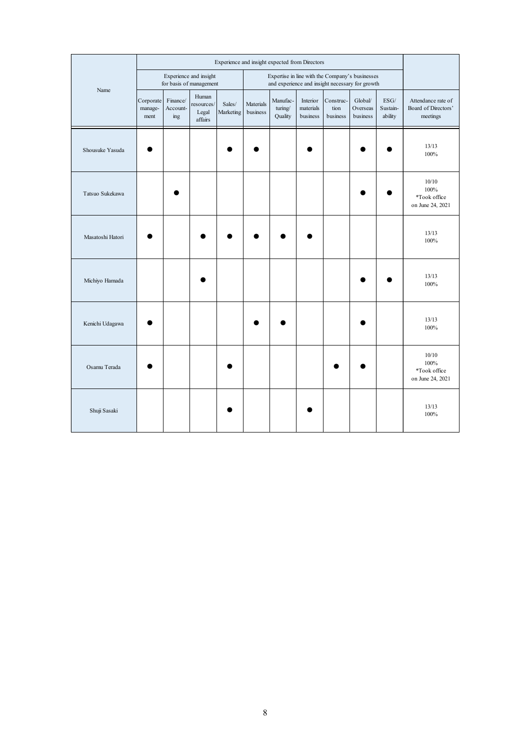|                  | Experience and insight expected from Directors |                             |                                                   |                     |                       |                                                                                                    |                                   |                               |                                 |                                                         |                                                       |
|------------------|------------------------------------------------|-----------------------------|---------------------------------------------------|---------------------|-----------------------|----------------------------------------------------------------------------------------------------|-----------------------------------|-------------------------------|---------------------------------|---------------------------------------------------------|-------------------------------------------------------|
|                  |                                                |                             | Experience and insight<br>for basis of management |                     |                       | Expertise in line with the Company's businesses<br>and experience and insight necessary for growth |                                   |                               |                                 |                                                         |                                                       |
| Name             | Corporate<br>manage-<br>ment                   | Finance/<br>Account-<br>ing | Human<br>resources/<br>Legal<br>affairs           | Sales/<br>Marketing | Materials<br>business | Manufac-<br>turing/<br>Quality                                                                     | Interior<br>materials<br>business | Construc-<br>tion<br>business | Global/<br>Overseas<br>business | $\mathrm{ESG}/% \mathbb{Z} _{2}$<br>Sustain-<br>ability | Attendance rate of<br>Board of Directors'<br>meetings |
| Shousuke Yasuda  |                                                |                             |                                                   |                     |                       |                                                                                                    |                                   |                               |                                 |                                                         | 13/13<br>100%                                         |
| Tatsuo Sukekawa  |                                                |                             |                                                   |                     |                       |                                                                                                    |                                   |                               |                                 |                                                         | 10/10<br>100%<br>*Took office<br>on June 24, 2021     |
| Masatoshi Hatori |                                                |                             |                                                   |                     |                       |                                                                                                    |                                   |                               |                                 |                                                         | 13/13<br>100%                                         |
| Michiyo Hamada   |                                                |                             |                                                   |                     |                       |                                                                                                    |                                   |                               |                                 |                                                         | 13/13<br>100%                                         |
| Kenichi Udagawa  |                                                |                             |                                                   |                     |                       |                                                                                                    |                                   |                               |                                 |                                                         | 13/13<br>100%                                         |
| Osamu Terada     |                                                |                             |                                                   |                     |                       |                                                                                                    |                                   |                               |                                 |                                                         | 10/10<br>100%<br>*Took office<br>on June 24, 2021     |
| Shuji Sasaki     |                                                |                             |                                                   |                     |                       |                                                                                                    |                                   |                               |                                 |                                                         | 13/13<br>100%                                         |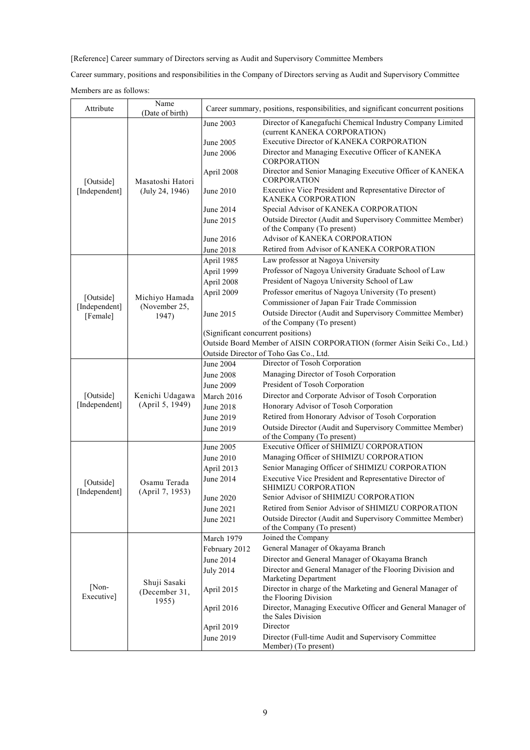[Reference] Career summary of Directors serving as Audit and Supervisory Committee Members

Career summary, positions and responsibilities in the Company of Directors serving as Audit and Supervisory Committee

Members are as follows:

| Attribute                  | Name<br>(Date of birth)         |                                    | Career summary, positions, responsibilities, and significant concurrent positions         |
|----------------------------|---------------------------------|------------------------------------|-------------------------------------------------------------------------------------------|
|                            |                                 | June 2003                          | Director of Kanegafuchi Chemical Industry Company Limited<br>(current KANEKA CORPORATION) |
|                            |                                 | June 2005                          | Executive Director of KANEKA CORPORATION                                                  |
|                            |                                 | June 2006                          | Director and Managing Executive Officer of KANEKA<br><b>CORPORATION</b>                   |
| [Outside]                  | Masatoshi Hatori                | April 2008                         | Director and Senior Managing Executive Officer of KANEKA<br><b>CORPORATION</b>            |
| [Independent]              | (July 24, 1946)                 | June 2010                          | Executive Vice President and Representative Director of<br>KANEKA CORPORATION             |
|                            |                                 | June 2014                          | Special Advisor of KANEKA CORPORATION                                                     |
|                            |                                 | June 2015                          | Outside Director (Audit and Supervisory Committee Member)<br>of the Company (To present)  |
|                            |                                 | June 2016                          | Advisor of KANEKA CORPORATION                                                             |
|                            |                                 | June 2018                          | Retired from Advisor of KANEKA CORPORATION                                                |
|                            |                                 | April 1985                         | Law professor at Nagoya University                                                        |
|                            |                                 | April 1999                         | Professor of Nagoya University Graduate School of Law                                     |
|                            |                                 | April 2008                         | President of Nagoya University School of Law                                              |
| [Outside]                  | Michiyo Hamada                  | April 2009                         | Professor emeritus of Nagoya University (To present)                                      |
| [Independent]              | (November 25,                   |                                    | Commissioner of Japan Fair Trade Commission                                               |
| [Female]                   | 1947)                           | June 2015                          | Outside Director (Audit and Supervisory Committee Member)<br>of the Company (To present)  |
|                            |                                 | (Significant concurrent positions) |                                                                                           |
|                            |                                 |                                    | Outside Board Member of AISIN CORPORATION (former Aisin Seiki Co., Ltd.)                  |
|                            |                                 |                                    | Outside Director of Toho Gas Co., Ltd.                                                    |
|                            |                                 | June 2004                          | Director of Tosoh Corporation                                                             |
|                            |                                 | <b>June 2008</b>                   | Managing Director of Tosoh Corporation                                                    |
|                            |                                 | June 2009                          | President of Tosoh Corporation                                                            |
| [Outside]                  | Kenichi Udagawa                 | March 2016                         | Director and Corporate Advisor of Tosoh Corporation                                       |
| [Independent]              | (April 5, 1949)                 | June 2018                          | Honorary Advisor of Tosoh Corporation                                                     |
|                            |                                 | June 2019                          | Retired from Honorary Advisor of Tosoh Corporation                                        |
|                            |                                 | June 2019                          | Outside Director (Audit and Supervisory Committee Member)<br>of the Company (To present)  |
|                            |                                 | June 2005                          | Executive Officer of SHIMIZU CORPORATION                                                  |
|                            |                                 | June 2010                          | Managing Officer of SHIMIZU CORPORATION                                                   |
|                            |                                 | April 2013                         | Senior Managing Officer of SHIMIZU CORPORATION                                            |
| [Outside]<br>[Independent] | Osamu Terada<br>(April 7, 1953) | June 2014                          | Executive Vice President and Representative Director of<br>SHIMIZU CORPORATION            |
|                            |                                 | June 2020                          | Senior Advisor of SHIMIZU CORPORATION                                                     |
|                            |                                 | June 2021                          | Retired from Senior Advisor of SHIMIZU CORPORATION                                        |
|                            |                                 | June 2021                          | Outside Director (Audit and Supervisory Committee Member)<br>of the Company (To present)  |
|                            |                                 | March 1979                         | Joined the Company                                                                        |
|                            |                                 | February 2012                      | General Manager of Okayama Branch                                                         |
|                            |                                 | June 2014                          | Director and General Manager of Okayama Branch                                            |
|                            |                                 | <b>July 2014</b>                   | Director and General Manager of the Flooring Division and                                 |
|                            | Shuji Sasaki                    |                                    | <b>Marketing Department</b>                                                               |
| [Non-<br>Executive]        | (December 31,<br>1955)          | April 2015                         | Director in charge of the Marketing and General Manager of<br>the Flooring Division       |
|                            |                                 | April 2016                         | Director, Managing Executive Officer and General Manager of<br>the Sales Division         |
|                            |                                 | April 2019                         | Director                                                                                  |
|                            |                                 | June 2019                          | Director (Full-time Audit and Supervisory Committee<br>Member) (To present)               |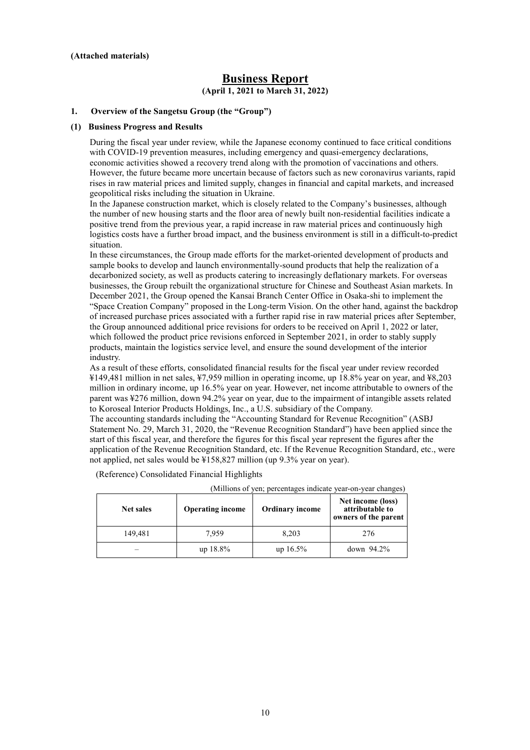# **Business Report (April 1, 2021 to March 31, 2022)**

#### **1. Overview of the Sangetsu Group (the "Group")**

#### **(1) Business Progress and Results**

During the fiscal year under review, while the Japanese economy continued to face critical conditions with COVID-19 prevention measures, including emergency and quasi-emergency declarations, economic activities showed a recovery trend along with the promotion of vaccinations and others. However, the future became more uncertain because of factors such as new coronavirus variants, rapid rises in raw material prices and limited supply, changes in financial and capital markets, and increased geopolitical risks including the situation in Ukraine.

In the Japanese construction market, which is closely related to the Company's businesses, although the number of new housing starts and the floor area of newly built non-residential facilities indicate a positive trend from the previous year, a rapid increase in raw material prices and continuously high logistics costs have a further broad impact, and the business environment is still in a difficult-to-predict situation.

In these circumstances, the Group made efforts for the market-oriented development of products and sample books to develop and launch environmentally-sound products that help the realization of a decarbonized society, as well as products catering to increasingly deflationary markets. For overseas businesses, the Group rebuilt the organizational structure for Chinese and Southeast Asian markets. In December 2021, the Group opened the Kansai Branch Center Office in Osaka-shi to implement the "Space Creation Company" proposed in the Long-term Vision. On the other hand, against the backdrop of increased purchase prices associated with a further rapid rise in raw material prices after September, the Group announced additional price revisions for orders to be received on April 1, 2022 or later, which followed the product price revisions enforced in September 2021, in order to stably supply products, maintain the logistics service level, and ensure the sound development of the interior industry.

As a result of these efforts, consolidated financial results for the fiscal year under review recorded ¥149,481 million in net sales, ¥7,959 million in operating income, up 18.8% year on year, and ¥8,203 million in ordinary income, up 16.5% year on year. However, net income attributable to owners of the parent was ¥276 million, down 94.2% year on year, due to the impairment of intangible assets related to Koroseal Interior Products Holdings, Inc., a U.S. subsidiary of the Company.

The accounting standards including the "Accounting Standard for Revenue Recognition" (ASBJ Statement No. 29, March 31, 2020, the "Revenue Recognition Standard") have been applied since the start of this fiscal year, and therefore the figures for this fiscal year represent the figures after the application of the Revenue Recognition Standard, etc. If the Revenue Recognition Standard, etc., were not applied, net sales would be ¥158,827 million (up 9.3% year on year).

(Reference) Consolidated Financial Highlights (Millions of yen; percentages indicate year-on-year changes)

| <b>Net sales</b> | <b>Operating income</b> | <b>Ordinary income</b> | Net income (loss)<br>attributable to<br>owners of the parent |
|------------------|-------------------------|------------------------|--------------------------------------------------------------|
| 149,481          | 7.959                   | 8.203                  | 276                                                          |
|                  | $up$ 18.8%              | $up 16.5\%$            | down 94.2%                                                   |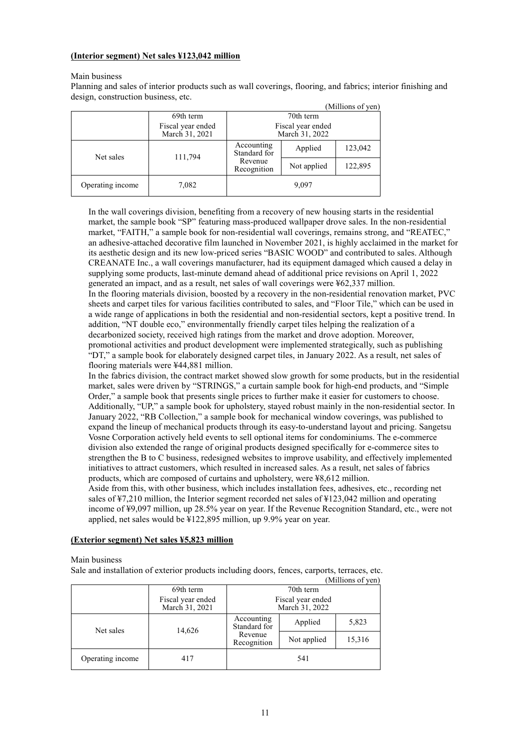### **(Interior segment) Net sales ¥123,042 million**

#### Main business

Planning and sales of interior products such as wall coverings, flooring, and fabrics; interior finishing and design, construction business, etc.

|                  |                                                                            |                            |             | (Millions of yen) |
|------------------|----------------------------------------------------------------------------|----------------------------|-------------|-------------------|
|                  | 69th term                                                                  |                            | 70th term   |                   |
|                  | Fiscal year ended<br>Fiscal year ended<br>March 31, 2021<br>March 31, 2022 |                            |             |                   |
| Net sales        | 111,794                                                                    | Accounting<br>Standard for | Applied     | 123,042           |
|                  |                                                                            | Revenue<br>Recognition     | Not applied | 122,895           |
| Operating income | 7,082                                                                      | 9,097                      |             |                   |

In the wall coverings division, benefiting from a recovery of new housing starts in the residential market, the sample book "SP" featuring mass-produced wallpaper drove sales. In the non-residential market, "FAITH," a sample book for non-residential wall coverings, remains strong, and "REATEC," an adhesive-attached decorative film launched in November 2021, is highly acclaimed in the market for its aesthetic design and its new low-priced series "BASIC WOOD" and contributed to sales. Although CREANATE Inc., a wall coverings manufacturer, had its equipment damaged which caused a delay in supplying some products, last-minute demand ahead of additional price revisions on April 1, 2022 generated an impact, and as a result, net sales of wall coverings were ¥62,337 million.

In the flooring materials division, boosted by a recovery in the non-residential renovation market, PVC sheets and carpet tiles for various facilities contributed to sales, and "Floor Tile," which can be used in a wide range of applications in both the residential and non-residential sectors, kept a positive trend. In addition, "NT double eco," environmentally friendly carpet tiles helping the realization of a decarbonized society, received high ratings from the market and drove adoption. Moreover, promotional activities and product development were implemented strategically, such as publishing

"DT," a sample book for elaborately designed carpet tiles, in January 2022. As a result, net sales of flooring materials were ¥44,881 million.

In the fabrics division, the contract market showed slow growth for some products, but in the residential market, sales were driven by "STRINGS," a curtain sample book for high-end products, and "Simple Order," a sample book that presents single prices to further make it easier for customers to choose. Additionally, "UP," a sample book for upholstery, stayed robust mainly in the non-residential sector. In January 2022, "RB Collection," a sample book for mechanical window coverings, was published to expand the lineup of mechanical products through its easy-to-understand layout and pricing. Sangetsu Vosne Corporation actively held events to sell optional items for condominiums. The e-commerce division also extended the range of original products designed specifically for e-commerce sites to strengthen the B to C business, redesigned websites to improve usability, and effectively implemented initiatives to attract customers, which resulted in increased sales. As a result, net sales of fabrics products, which are composed of curtains and upholstery, were ¥8,612 million.

Aside from this, with other business, which includes installation fees, adhesives, etc., recording net sales of ¥7,210 million, the Interior segment recorded net sales of ¥123,042 million and operating income of ¥9,097 million, up 28.5% year on year. If the Revenue Recognition Standard, etc., were not applied, net sales would be ¥122,895 million, up 9.9% year on year.

# **(Exterior segment) Net sales ¥5,823 million**

#### Main business

Sale and installation of exterior products including doors, fences, carports, terraces, etc.

|                  |                                     |                                     |             | (Millions of yen) |
|------------------|-------------------------------------|-------------------------------------|-------------|-------------------|
|                  | 69th term                           |                                     | 70th term   |                   |
|                  | Fiscal year ended<br>March 31, 2021 | Fiscal year ended<br>March 31, 2022 |             |                   |
| Net sales        | 14,626                              | Accounting<br>Standard for          | Applied     | 5,823             |
|                  |                                     | Revenue<br>Recognition              | Not applied | 15,316            |
| Operating income | 417                                 |                                     | 541         |                   |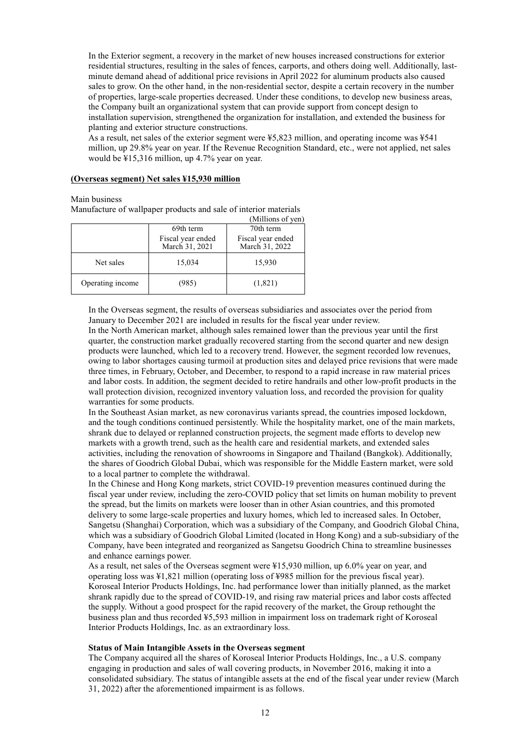In the Exterior segment, a recovery in the market of new houses increased constructions for exterior residential structures, resulting in the sales of fences, carports, and others doing well. Additionally, lastminute demand ahead of additional price revisions in April 2022 for aluminum products also caused sales to grow. On the other hand, in the non-residential sector, despite a certain recovery in the number of properties, large-scale properties decreased. Under these conditions, to develop new business areas, the Company built an organizational system that can provide support from concept design to installation supervision, strengthened the organization for installation, and extended the business for planting and exterior structure constructions.

As a result, net sales of the exterior segment were ¥5,823 million, and operating income was ¥541 million, up 29.8% year on year. If the Revenue Recognition Standard, etc., were not applied, net sales would be ¥15,316 million, up 4.7% year on year.

#### **(Overseas segment) Net sales ¥15,930 million**

Main business

Manufacture of wallpaper products and sale of interior materials

|                  |                                     | (Millions of yen)                   |
|------------------|-------------------------------------|-------------------------------------|
|                  | 69th term                           | 70th term                           |
|                  | Fiscal year ended<br>March 31, 2021 | Fiscal year ended<br>March 31, 2022 |
| Net sales        | 15,034                              | 15,930                              |
| Operating income | (985)                               | (1,821)                             |

In the Overseas segment, the results of overseas subsidiaries and associates over the period from January to December 2021 are included in results for the fiscal year under review.

In the North American market, although sales remained lower than the previous year until the first quarter, the construction market gradually recovered starting from the second quarter and new design products were launched, which led to a recovery trend. However, the segment recorded low revenues, owing to labor shortages causing turmoil at production sites and delayed price revisions that were made three times, in February, October, and December, to respond to a rapid increase in raw material prices and labor costs. In addition, the segment decided to retire handrails and other low-profit products in the wall protection division, recognized inventory valuation loss, and recorded the provision for quality warranties for some products.

In the Southeast Asian market, as new coronavirus variants spread, the countries imposed lockdown, and the tough conditions continued persistently. While the hospitality market, one of the main markets, shrank due to delayed or replanned construction projects, the segment made efforts to develop new markets with a growth trend, such as the health care and residential markets, and extended sales activities, including the renovation of showrooms in Singapore and Thailand (Bangkok). Additionally, the shares of Goodrich Global Dubai, which was responsible for the Middle Eastern market, were sold to a local partner to complete the withdrawal.

In the Chinese and Hong Kong markets, strict COVID-19 prevention measures continued during the fiscal year under review, including the zero-COVID policy that set limits on human mobility to prevent the spread, but the limits on markets were looser than in other Asian countries, and this promoted delivery to some large-scale properties and luxury homes, which led to increased sales. In October, Sangetsu (Shanghai) Corporation, which was a subsidiary of the Company, and Goodrich Global China, which was a subsidiary of Goodrich Global Limited (located in Hong Kong) and a sub-subsidiary of the Company, have been integrated and reorganized as Sangetsu Goodrich China to streamline businesses and enhance earnings power.

As a result, net sales of the Overseas segment were ¥15,930 million, up 6.0% year on year, and operating loss was ¥1,821 million (operating loss of ¥985 million for the previous fiscal year). Koroseal Interior Products Holdings, Inc. had performance lower than initially planned, as the market shrank rapidly due to the spread of COVID-19, and rising raw material prices and labor costs affected the supply. Without a good prospect for the rapid recovery of the market, the Group rethought the business plan and thus recorded ¥5,593 million in impairment loss on trademark right of Koroseal Interior Products Holdings, Inc. as an extraordinary loss.

# **Status of Main Intangible Assets in the Overseas segment**

The Company acquired all the shares of Koroseal Interior Products Holdings, Inc., a U.S. company engaging in production and sales of wall covering products, in November 2016, making it into a consolidated subsidiary. The status of intangible assets at the end of the fiscal year under review (March 31, 2022) after the aforementioned impairment is as follows.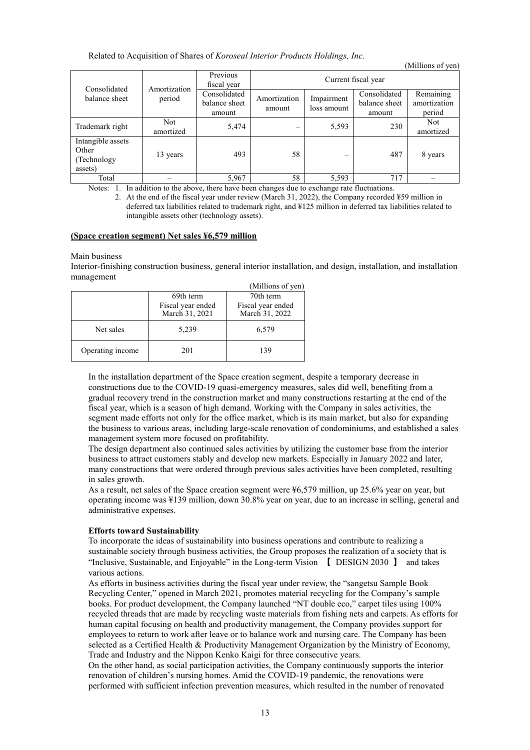#### Related to Acquisition of Shares of *Koroseal Interior Products Holdings, Inc.*

|                                                       |                        |                                         |                        |                           |                                         | TATHITIOITS OF ACITY                |
|-------------------------------------------------------|------------------------|-----------------------------------------|------------------------|---------------------------|-----------------------------------------|-------------------------------------|
| Consolidated                                          | Amortization<br>period | Previous<br>fiscal year                 | Current fiscal year    |                           |                                         |                                     |
| balance sheet                                         |                        | Consolidated<br>balance sheet<br>amount | Amortization<br>amount | Impairment<br>loss amount | Consolidated<br>balance sheet<br>amount | Remaining<br>amortization<br>period |
| Trademark right                                       | Not.<br>amortized      | 5,474                                   |                        | 5,593                     | 230                                     | Not.<br>amortized                   |
| Intangible assets<br>Other<br>(Technology)<br>assets) | 13 years               | 493                                     | 58                     |                           | 487                                     | 8 years                             |
| Total                                                 |                        | 5,967                                   | 58                     | 5,593                     | 717                                     |                                     |

 $(Milline of yon)$ 

Notes: 1. In addition to the above, there have been changes due to exchange rate fluctuations.

2. At the end of the fiscal year under review (March 31, 2022), the Company recorded ¥59 million in deferred tax liabilities related to trademark right, and ¥125 million in deferred tax liabilities related to intangible assets other (technology assets).

#### **(Space creation segment) Net sales ¥6,579 million**

#### Main business

Interior-finishing construction business, general interior installation, and design, installation, and installation management

|                  |                                     | (Millions of yen)                   |
|------------------|-------------------------------------|-------------------------------------|
|                  | 69th term                           | 70th term                           |
|                  | Fiscal year ended<br>March 31, 2021 | Fiscal year ended<br>March 31, 2022 |
| Net sales        | 5,239                               | 6,579                               |
| Operating income | 201                                 | 139                                 |

In the installation department of the Space creation segment, despite a temporary decrease in constructions due to the COVID-19 quasi-emergency measures, sales did well, benefiting from a gradual recovery trend in the construction market and many constructions restarting at the end of the fiscal year, which is a season of high demand. Working with the Company in sales activities, the segment made efforts not only for the office market, which is its main market, but also for expanding the business to various areas, including large-scale renovation of condominiums, and established a sales management system more focused on profitability.

The design department also continued sales activities by utilizing the customer base from the interior business to attract customers stably and develop new markets. Especially in January 2022 and later, many constructions that were ordered through previous sales activities have been completed, resulting in sales growth.

As a result, net sales of the Space creation segment were ¥6,579 million, up 25.6% year on year, but operating income was ¥139 million, down 30.8% year on year, due to an increase in selling, general and administrative expenses.

# **Efforts toward Sustainability**

To incorporate the ideas of sustainability into business operations and contribute to realizing a sustainable society through business activities, the Group proposes the realization of a society that is "Inclusive, Sustainable, and Enjoyable" in the Long-term Vision 【 DESIGN 2030 】 and takes various actions.

As efforts in business activities during the fiscal year under review, the "sangetsu Sample Book Recycling Center," opened in March 2021, promotes material recycling for the Company's sample books. For product development, the Company launched "NT double eco," carpet tiles using 100% recycled threads that are made by recycling waste materials from fishing nets and carpets. As efforts for human capital focusing on health and productivity management, the Company provides support for employees to return to work after leave or to balance work and nursing care. The Company has been selected as a Certified Health & Productivity Management Organization by the Ministry of Economy, Trade and Industry and the Nippon Kenko Kaigi for three consecutive years.

On the other hand, as social participation activities, the Company continuously supports the interior renovation of children's nursing homes. Amid the COVID-19 pandemic, the renovations were performed with sufficient infection prevention measures, which resulted in the number of renovated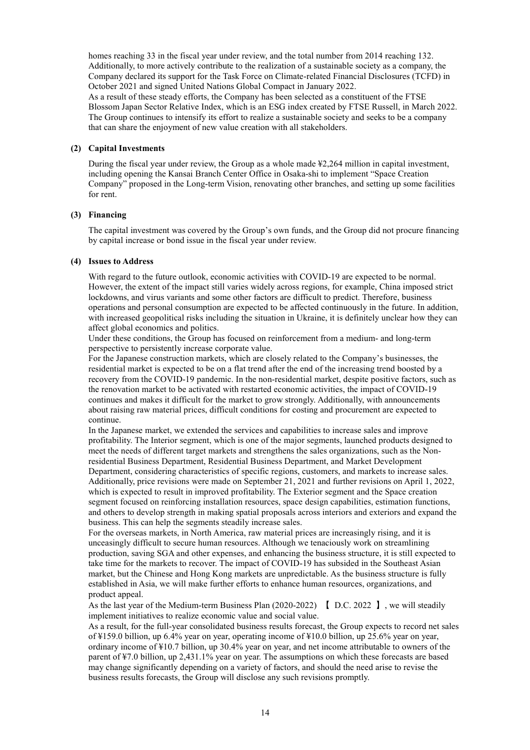homes reaching 33 in the fiscal year under review, and the total number from 2014 reaching 132. Additionally, to more actively contribute to the realization of a sustainable society as a company, the Company declared its support for the Task Force on Climate-related Financial Disclosures (TCFD) in October 2021 and signed United Nations Global Compact in January 2022.

As a result of these steady efforts, the Company has been selected as a constituent of the FTSE Blossom Japan Sector Relative Index, which is an ESG index created by FTSE Russell, in March 2022. The Group continues to intensify its effort to realize a sustainable society and seeks to be a company that can share the enjoyment of new value creation with all stakeholders.

# **(2) Capital Investments**

During the fiscal year under review, the Group as a whole made ¥2,264 million in capital investment, including opening the Kansai Branch Center Office in Osaka-shi to implement "Space Creation Company" proposed in the Long-term Vision, renovating other branches, and setting up some facilities for rent.

#### **(3) Financing**

The capital investment was covered by the Group's own funds, and the Group did not procure financing by capital increase or bond issue in the fiscal year under review.

#### **(4) Issues to Address**

With regard to the future outlook, economic activities with COVID-19 are expected to be normal. However, the extent of the impact still varies widely across regions, for example, China imposed strict lockdowns, and virus variants and some other factors are difficult to predict. Therefore, business operations and personal consumption are expected to be affected continuously in the future. In addition, with increased geopolitical risks including the situation in Ukraine, it is definitely unclear how they can affect global economics and politics.

Under these conditions, the Group has focused on reinforcement from a medium- and long-term perspective to persistently increase corporate value.

For the Japanese construction markets, which are closely related to the Company's businesses, the residential market is expected to be on a flat trend after the end of the increasing trend boosted by a recovery from the COVID-19 pandemic. In the non-residential market, despite positive factors, such as the renovation market to be activated with restarted economic activities, the impact of COVID-19 continues and makes it difficult for the market to grow strongly. Additionally, with announcements about raising raw material prices, difficult conditions for costing and procurement are expected to continue.

In the Japanese market, we extended the services and capabilities to increase sales and improve profitability. The Interior segment, which is one of the major segments, launched products designed to meet the needs of different target markets and strengthens the sales organizations, such as the Nonresidential Business Department, Residential Business Department, and Market Development Department, considering characteristics of specific regions, customers, and markets to increase sales. Additionally, price revisions were made on September 21, 2021 and further revisions on April 1, 2022, which is expected to result in improved profitability. The Exterior segment and the Space creation segment focused on reinforcing installation resources, space design capabilities, estimation functions, and others to develop strength in making spatial proposals across interiors and exteriors and expand the business. This can help the segments steadily increase sales.

For the overseas markets, in North America, raw material prices are increasingly rising, and it is unceasingly difficult to secure human resources. Although we tenaciously work on streamlining production, saving SGA and other expenses, and enhancing the business structure, it is still expected to take time for the markets to recover. The impact of COVID-19 has subsided in the Southeast Asian market, but the Chinese and Hong Kong markets are unpredictable. As the business structure is fully established in Asia, we will make further efforts to enhance human resources, organizations, and product appeal.

As the last year of the Medium-term Business Plan (2020-2022) 【 D.C. 2022 】, we will steadily implement initiatives to realize economic value and social value.

As a result, for the full-year consolidated business results forecast, the Group expects to record net sales of ¥159.0 billion, up 6.4% year on year, operating income of ¥10.0 billion, up 25.6% year on year, ordinary income of ¥10.7 billion, up 30.4% year on year, and net income attributable to owners of the parent of ¥7.0 billion, up 2,431.1% year on year. The assumptions on which these forecasts are based may change significantly depending on a variety of factors, and should the need arise to revise the business results forecasts, the Group will disclose any such revisions promptly.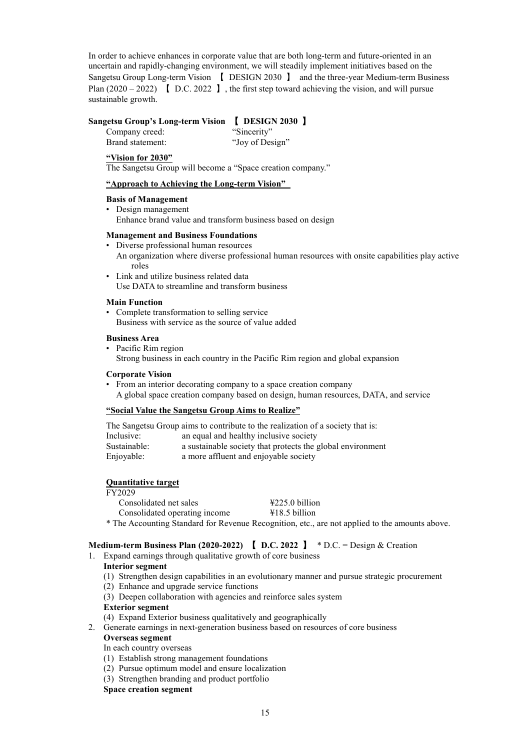In order to achieve enhances in corporate value that are both long-term and future-oriented in an uncertain and rapidly-changing environment, we will steadily implement initiatives based on the Sangetsu Group Long-term Vision 【 DESIGN 2030 】 and the three-year Medium-term Business Plan  $(2020 - 2022)$  [D.C. 2022 ], the first step toward achieving the vision, and will pursue sustainable growth.

# **Sangetsu Group's Long-term Vision** 【 **DESIGN 2030** 】

Company creed: "Sincerity" Brand statement: "Joy of Design"

#### **"Vision for 2030"**

The Sangetsu Group will become a "Space creation company."

#### **"Approach to Achieving the Long-term Vision"**

#### **Basis of Management**

• Design management Enhance brand value and transform business based on design

#### **Management and Business Foundations**

- Diverse professional human resources An organization where diverse professional human resources with onsite capabilities play active roles
- Link and utilize business related data Use DATA to streamline and transform business

#### **Main Function**

• Complete transformation to selling service Business with service as the source of value added

#### **Business Area**

• Pacific Rim region

Strong business in each country in the Pacific Rim region and global expansion

#### **Corporate Vision**

• From an interior decorating company to a space creation company A global space creation company based on design, human resources, DATA, and service

#### **"Social Value the Sangetsu Group Aims to Realize"**

|              | The Sangetsu Group aims to contribute to the realization of a society that is: |
|--------------|--------------------------------------------------------------------------------|
| Inclusive:   | an equal and healthy inclusive society                                         |
| Sustainable: | a sustainable society that protects the global environment                     |
| Enjoyable:   | a more affluent and enjoyable society                                          |

#### **Quantitative target**

| Consolidated net sales        | $\text{\textsterling}225.0$ billion |
|-------------------------------|-------------------------------------|
| Consolidated operating income | $\text{\textsterling}18.5$ billion  |
|                               |                                     |

\* The Accounting Standard for Revenue Recognition, etc., are not applied to the amounts above.

# **Medium-term Business Plan (2020-2022)** 【 **D.C. 2022** 】 \* D.C. = Design & Creation

- 1. Expand earnings through qualitative growth of core business
	- **Interior segment**
		- (1) Strengthen design capabilities in an evolutionary manner and pursue strategic procurement
		- (2) Enhance and upgrade service functions
		- (3) Deepen collaboration with agencies and reinforce sales system

#### **Exterior segment**

- (4) Expand Exterior business qualitatively and geographically
- 2. Generate earnings in next-generation business based on resources of core business

# **Overseas segment**

In each country overseas

- (1) Establish strong management foundations
- (2) Pursue optimum model and ensure localization
- (3) Strengthen branding and product portfolio

**Space creation segment**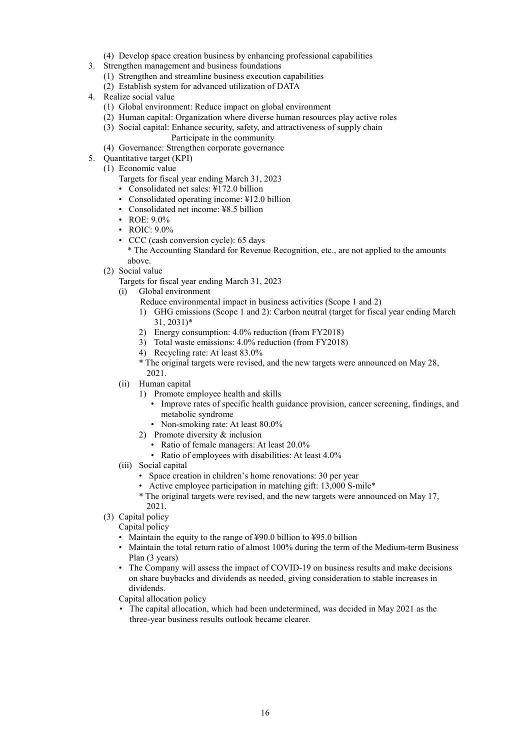- (4) Develop space creation business by enhancing professional capabilities
- 3. Strengthen management and business foundations
	- (1) Strengthen and streamline business execution capabilities
	- (2) Establish system for advanced utilization of DATA
- 4. Realize social value
	- (1) Global environment: Reduce impact on global environment
	- (2) Human capital: Organization where diverse human resources play active roles
	- (3) Social capital: Enhance security, safety, and attractiveness of supply chain

Participate in the community

- (4) Governance: Strengthen corporate governance
- 5. Quantitative target (KPI)
	- (1) Economic value
		- Targets for fiscal year ending March 31, 2023
		- Consolidated net sales: ¥172.0 billion
		- Consolidated operating income: ¥12.0 billion
		- Consolidated net income: ¥8.5 billion
		- ROE: 9.0%
		- ROIC:  $9.0\%$
		- CCC (cash conversion cycle): 65 days

\* The Accounting Standard for Revenue Recognition, etc., are not applied to the amounts above.

- (2) Social value
	- Targets for fiscal year ending March 31, 2023
	- (i) Global environment
		- Reduce environmental impact in business activities (Scope 1 and 2)
		- 1) GHG emissions (Scope 1 and 2): Carbon neutral (target for fiscal year ending March 31, 2031)\*
		- 2) Energy consumption: 4.0% reduction (from FY2018)
		- 3) Total waste emissions: 4.0% reduction (from FY2018)
		- 4) Recycling rate: At least 83.0%
		- \* The original targets were revised, and the new targets were announced on May 28, 2021.
	- (ii) Human capital
		- 1) Promote employee health and skills
			- Improve rates of specific health guidance provision, cancer screening, findings, and metabolic syndrome
			- Non-smoking rate: At least 80.0%
		- 2) Promote diversity & inclusion
			- Ratio of female managers: At least 20.0%
			- Ratio of employees with disabilities: At least 4.0%
	- (iii) Social capital
		- Space creation in children's home renovations: 30 per year
		- Active employee participation in matching gift: 13,000 S-mile\*
		- \* The original targets were revised, and the new targets were announced on May 17, 2021.
- (3) Capital policy

Capital policy

- Maintain the equity to the range of ¥90.0 billion to ¥95.0 billion
- Maintain the total return ratio of almost 100% during the term of the Medium-term Business Plan (3 years)
- The Company will assess the impact of COVID-19 on business results and make decisions on share buybacks and dividends as needed, giving consideration to stable increases in dividends.

Capital allocation policy

• The capital allocation, which had been undetermined, was decided in May 2021 as the three-year business results outlook became clearer.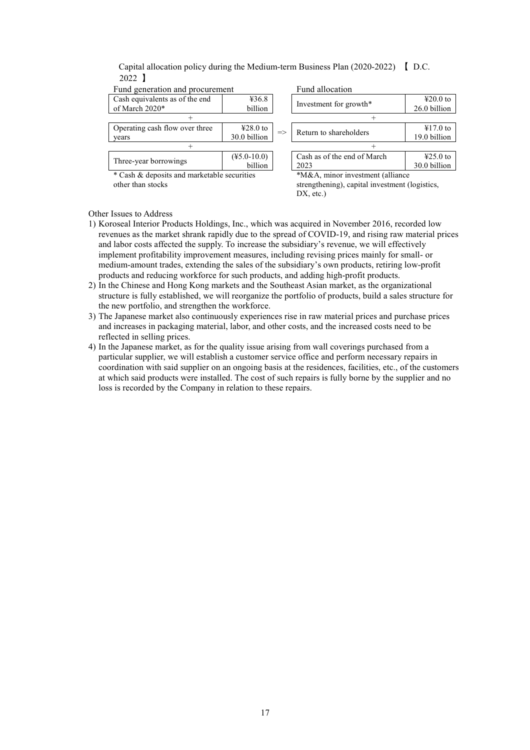Capital allocation policy during the Medium-term Business Plan (2020-2022) 【 D.C. 2022 】

| Fund generation and procurement             |                                       |                                         | Fund allocation                                |                                       |
|---------------------------------------------|---------------------------------------|-----------------------------------------|------------------------------------------------|---------------------------------------|
| Cash equivalents as of the end              | 436.8                                 | Investment for growth*                  |                                                | $\text{\textsterling}20.0$ to         |
| of March 2020*                              | billion                               |                                         |                                                | 26.0 billion                          |
|                                             |                                       |                                         |                                                |                                       |
| Operating cash flow over three              | $\text{\textsterling}28.0 \text{ to}$ |                                         |                                                | $\text{\textsterling}17.0 \text{ to}$ |
| years                                       | 30.0 billion                          | Return to shareholders<br>$\Rightarrow$ |                                                | 19.0 billion                          |
|                                             |                                       |                                         |                                                |                                       |
| Three-year borrowings                       | $(\text{\textsterling}5.0-10.0)$      |                                         | Cash as of the end of March                    | $\text{\textsterling}25.0 \text{ to}$ |
|                                             | billion                               |                                         | 2023                                           | 30.0 billion                          |
| * Cash & deposits and marketable securities |                                       |                                         | *M&A, minor investment (alliance               |                                       |
| other than stocks                           |                                       |                                         | strengthening), capital investment (logistics, |                                       |
|                                             |                                       |                                         | DX, etc.                                       |                                       |

Other Issues to Address

- 1) Koroseal Interior Products Holdings, Inc., which was acquired in November 2016, recorded low revenues as the market shrank rapidly due to the spread of COVID-19, and rising raw material prices and labor costs affected the supply. To increase the subsidiary's revenue, we will effectively implement profitability improvement measures, including revising prices mainly for small- or medium-amount trades, extending the sales of the subsidiary's own products, retiring low-profit products and reducing workforce for such products, and adding high-profit products.
- 2) In the Chinese and Hong Kong markets and the Southeast Asian market, as the organizational structure is fully established, we will reorganize the portfolio of products, build a sales structure for the new portfolio, and strengthen the workforce.
- 3) The Japanese market also continuously experiences rise in raw material prices and purchase prices and increases in packaging material, labor, and other costs, and the increased costs need to be reflected in selling prices.
- 4) In the Japanese market, as for the quality issue arising from wall coverings purchased from a particular supplier, we will establish a customer service office and perform necessary repairs in coordination with said supplier on an ongoing basis at the residences, facilities, etc., of the customers at which said products were installed. The cost of such repairs is fully borne by the supplier and no loss is recorded by the Company in relation to these repairs.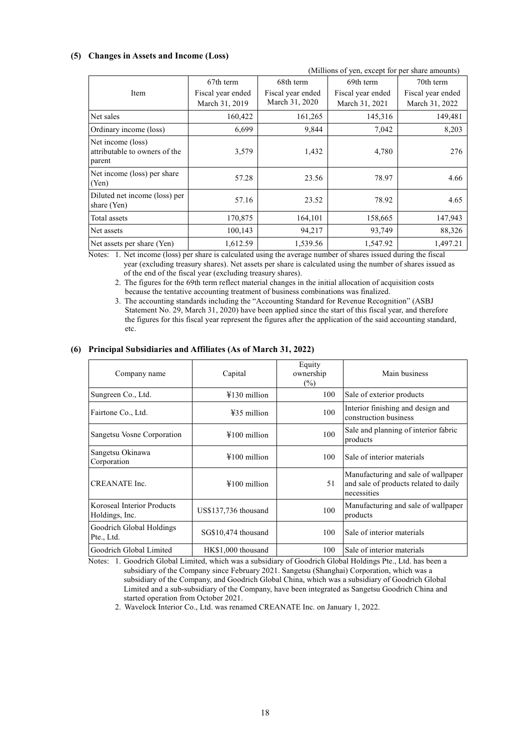#### **(5) Changes in Assets and Income (Loss)**

|                                                              |                   |                   | (Millions of yen, except for per share amounts) |                   |
|--------------------------------------------------------------|-------------------|-------------------|-------------------------------------------------|-------------------|
|                                                              | 67th term         | 68th term         | 69th term                                       | 70th term         |
| Item                                                         | Fiscal year ended | Fiscal year ended | Fiscal year ended                               | Fiscal year ended |
|                                                              | March 31, 2019    | March 31, 2020    | March 31, 2021                                  | March 31, 2022    |
| Net sales                                                    | 160,422           | 161,265           | 145,316                                         | 149,481           |
| Ordinary income (loss)                                       | 6,699             | 9,844             | 7,042                                           | 8,203             |
| Net income (loss)<br>attributable to owners of the<br>parent | 3,579             | 1,432             | 4,780                                           | 276               |
| Net income (loss) per share<br>(Yen)                         | 57.28             | 23.56             | 78.97                                           | 4.66              |
| Diluted net income (loss) per<br>share (Yen)                 | 57.16             | 23.52             | 78.92                                           | 4.65              |
| Total assets                                                 | 170,875           | 164,101           | 158,665                                         | 147,943           |
| Net assets                                                   | 100,143           | 94,217            | 93,749                                          | 88,326            |
| Net assets per share (Yen)                                   | 1.612.59          | 1,539.56          | 1,547.92                                        | 1.497.21          |

Notes: 1. Net income (loss) per share is calculated using the average number of shares issued during the fiscal year (excluding treasury shares). Net assets per share is calculated using the number of shares issued as of the end of the fiscal year (excluding treasury shares).

2. The figures for the 69th term reflect material changes in the initial allocation of acquisition costs because the tentative accounting treatment of business combinations was finalized.

3. The accounting standards including the "Accounting Standard for Revenue Recognition" (ASBJ Statement No. 29, March 31, 2020) have been applied since the start of this fiscal year, and therefore the figures for this fiscal year represent the figures after the application of the said accounting standard, etc.

#### **(6) Principal Subsidiaries and Affiliates (As of March 31, 2022)**

| Company name                                 | Capital                | Equity<br>ownership<br>$(\%)$ | Main business                                                                               |
|----------------------------------------------|------------------------|-------------------------------|---------------------------------------------------------------------------------------------|
| Sungreen Co., Ltd.                           | $\text{\#130}$ million | 100                           | Sale of exterior products                                                                   |
| Fairtone Co., Ltd.                           | $435$ million          | 100                           | Interior finishing and design and<br>construction business                                  |
| Sangetsu Vosne Corporation                   | $\text{\#}100$ million | 100                           | Sale and planning of interior fabric<br>products                                            |
| Sangetsu Okinawa<br>Corporation              | $\text{\#}100$ million | 100                           | Sale of interior materials                                                                  |
| CREANATE Inc.                                | $4100$ million         | 51                            | Manufacturing and sale of wallpaper<br>and sale of products related to daily<br>necessities |
| Koroseal Interior Products<br>Holdings, Inc. | US\$137,736 thousand   | 100                           | Manufacturing and sale of wallpaper<br>products                                             |
| Goodrich Global Holdings<br>Pte., Ltd.       | SG\$10,474 thousand    | 100                           | Sale of interior materials                                                                  |
| Goodrich Global Limited                      | HK\$1,000 thousand     | 100                           | Sale of interior materials                                                                  |

Notes: 1. Goodrich Global Limited, which was a subsidiary of Goodrich Global Holdings Pte., Ltd. has been a subsidiary of the Company since February 2021. Sangetsu (Shanghai) Corporation, which was a subsidiary of the Company, and Goodrich Global China, which was a subsidiary of Goodrich Global Limited and a sub-subsidiary of the Company, have been integrated as Sangetsu Goodrich China and started operation from October 2021.

2. Wavelock Interior Co., Ltd. was renamed CREANATE Inc. on January 1, 2022.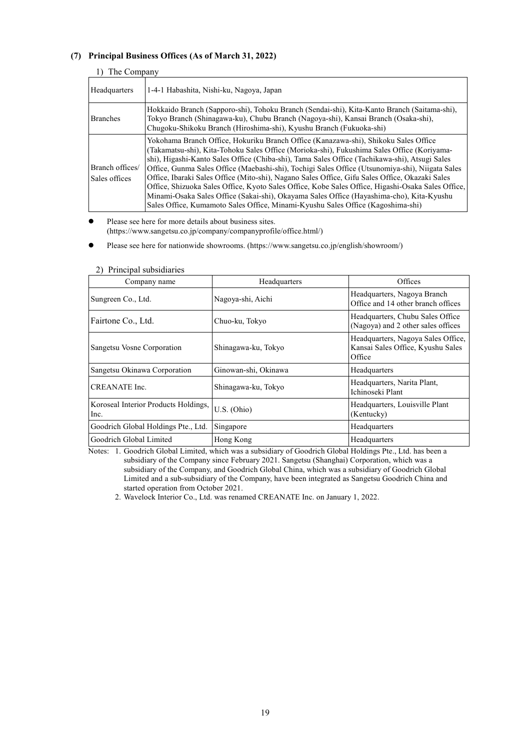# **(7) Principal Business Offices (As of March 31, 2022)**

| The Company                      |                                                                                                                                                                                                                                                                                                                                                                                                                                                                                                                                                                                                                                                                                                                                                                             |
|----------------------------------|-----------------------------------------------------------------------------------------------------------------------------------------------------------------------------------------------------------------------------------------------------------------------------------------------------------------------------------------------------------------------------------------------------------------------------------------------------------------------------------------------------------------------------------------------------------------------------------------------------------------------------------------------------------------------------------------------------------------------------------------------------------------------------|
| Headquarters                     | 1-4-1 Habashita, Nishi-ku, Nagoya, Japan                                                                                                                                                                                                                                                                                                                                                                                                                                                                                                                                                                                                                                                                                                                                    |
| <b>Branches</b>                  | Hokkaido Branch (Sapporo-shi), Tohoku Branch (Sendai-shi), Kita-Kanto Branch (Saitama-shi),<br>Tokyo Branch (Shinagawa-ku), Chubu Branch (Nagoya-shi), Kansai Branch (Osaka-shi),<br>Chugoku-Shikoku Branch (Hiroshima-shi), Kyushu Branch (Fukuoka-shi)                                                                                                                                                                                                                                                                                                                                                                                                                                                                                                                    |
| Branch offices/<br>Sales offices | Yokohama Branch Office, Hokuriku Branch Office (Kanazawa-shi), Shikoku Sales Office<br>(Takamatsu-shi), Kita-Tohoku Sales Office (Morioka-shi), Fukushima Sales Office (Koriyama-<br>shi), Higashi-Kanto Sales Office (Chiba-shi), Tama Sales Office (Tachikawa-shi), Atsugi Sales<br>Office, Gunma Sales Office (Maebashi-shi), Tochigi Sales Office (Utsunomiya-shi), Niigata Sales<br>Office, Ibaraki Sales Office (Mito-shi), Nagano Sales Office, Gifu Sales Office, Okazaki Sales<br>Office, Shizuoka Sales Office, Kyoto Sales Office, Kobe Sales Office, Higashi-Osaka Sales Office,<br>Minami-Osaka Sales Office (Sakai-shi), Okayama Sales Office (Hayashima-cho), Kita-Kyushu<br>Sales Office, Kumamoto Sales Office, Minami-Kyushu Sales Office (Kagoshima-shi) |

 Please see here for more details about business sites. ([https://www.sangetsu.co.jp/company/companyprofile/office.html/\)](https://www.sangetsu.co.jp/company/companyprofile/office.html/)

Please see here for nationwide showrooms. ([https://www.sangetsu.co.jp/english/showroom/\)](https://www.sangetsu.co.jp/english/showroom/)

| Company name                                 | Headquarters         | Offices                                                                           |
|----------------------------------------------|----------------------|-----------------------------------------------------------------------------------|
| Sungreen Co., Ltd.                           | Nagoya-shi, Aichi    | Headquarters, Nagoya Branch<br>Office and 14 other branch offices                 |
| Fairtone Co., Ltd.                           | Chuo-ku, Tokyo       | Headquarters, Chubu Sales Office<br>(Nagoya) and 2 other sales offices            |
| Sangetsu Vosne Corporation                   | Shinagawa-ku, Tokyo  | Headquarters, Nagoya Sales Office,<br>Kansai Sales Office, Kyushu Sales<br>Office |
| Sangetsu Okinawa Corporation                 | Ginowan-shi, Okinawa | Headquarters                                                                      |
| CREANATE Inc.                                | Shinagawa-ku, Tokyo  | Headquarters, Narita Plant,<br>Ichinoseki Plant                                   |
| Koroseal Interior Products Holdings,<br>Inc. | U.S. (Ohio)          | Headquarters, Louisville Plant<br>(Kentucky)                                      |
| Goodrich Global Holdings Pte., Ltd.          | Singapore            | Headquarters                                                                      |
| Goodrich Global Limited                      | Hong Kong            | Headquarters                                                                      |

#### 2) Principal subsidiaries

Notes: 1. Goodrich Global Limited, which was a subsidiary of Goodrich Global Holdings Pte., Ltd. has been a subsidiary of the Company since February 2021. Sangetsu (Shanghai) Corporation, which was a subsidiary of the Company, and Goodrich Global China, which was a subsidiary of Goodrich Global Limited and a sub-subsidiary of the Company, have been integrated as Sangetsu Goodrich China and started operation from October 2021.

2. Wavelock Interior Co., Ltd. was renamed CREANATE Inc. on January 1, 2022.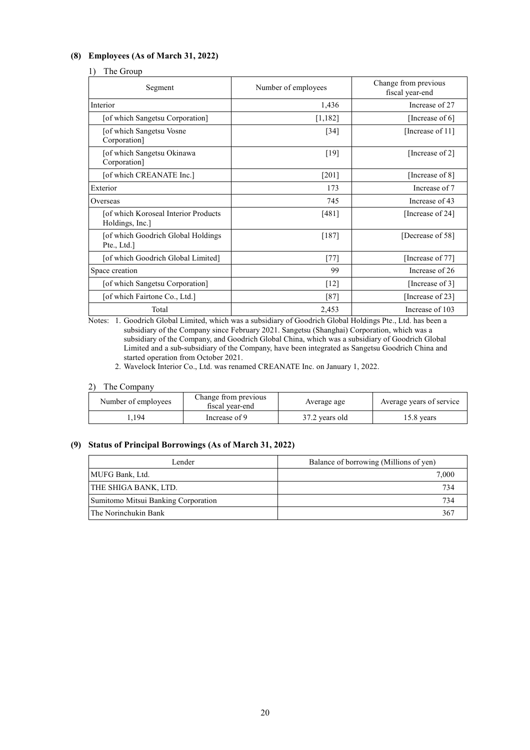# **(8) Employees (As of March 31, 2022)**

#### 1) The Group

| Segment                                                  | Number of employees | Change from previous<br>fiscal year-end |
|----------------------------------------------------------|---------------------|-----------------------------------------|
| Interior                                                 | 1,436               | Increase of 27                          |
| [of which Sangetsu Corporation]                          | [1,182]             | [Increase of 6]                         |
| [of which Sangetsu Vosne<br>Corporation]                 | $[34]$              | [Increase of 11]                        |
| [of which Sangetsu Okinawa<br>Corporation]               | [19]                | [Increase of 2]                         |
| [of which CREANATE Inc.]                                 | [201]               | [Increase of 8]                         |
| Exterior                                                 | 173                 | Increase of 7                           |
| Overseas                                                 | 745                 | Increase of 43                          |
| [of which Koroseal Interior Products]<br>Holdings, Inc.] | $[481]$             | [Increase of 24]                        |
| [of which Goodrich Global Holdings]<br>Pte., Ltd.]       | [187]               | [Decrease of 58]                        |
| [of which Goodrich Global Limited]                       | $[77]$              | [Increase of 77]                        |
| Space creation                                           | 99                  | Increase of 26                          |
| [of which Sangetsu Corporation]                          | $\lceil 12 \rceil$  | [Increase of 3]                         |
| [of which Fairtone Co., Ltd.]                            | $[87]$              | [Increase of 23]                        |
| Total                                                    | 2,453               | Increase of 103                         |

Notes: 1. Goodrich Global Limited, which was a subsidiary of Goodrich Global Holdings Pte., Ltd. has been a subsidiary of the Company since February 2021. Sangetsu (Shanghai) Corporation, which was a subsidiary of the Company, and Goodrich Global China, which was a subsidiary of Goodrich Global Limited and a sub-subsidiary of the Company, have been integrated as Sangetsu Goodrich China and started operation from October 2021.

2. Wavelock Interior Co., Ltd. was renamed CREANATE Inc. on January 1, 2022.

#### 2) The Company

| Number of employees | Change from previous<br>fiscal vear-end | Average age    | Average years of service |
|---------------------|-----------------------------------------|----------------|--------------------------|
| .194                | Increase of 9                           | 37.2 years old | .5.8 vears               |

# **(9) Status of Principal Borrowings (As of March 31, 2022)**

| Lender                              | Balance of borrowing (Millions of yen) |
|-------------------------------------|----------------------------------------|
| MUFG Bank, Ltd.                     | 7,000                                  |
| THE SHIGA BANK, LTD.                | 734                                    |
| Sumitomo Mitsui Banking Corporation | 734                                    |
| l The Norinchukin Bank              | 367                                    |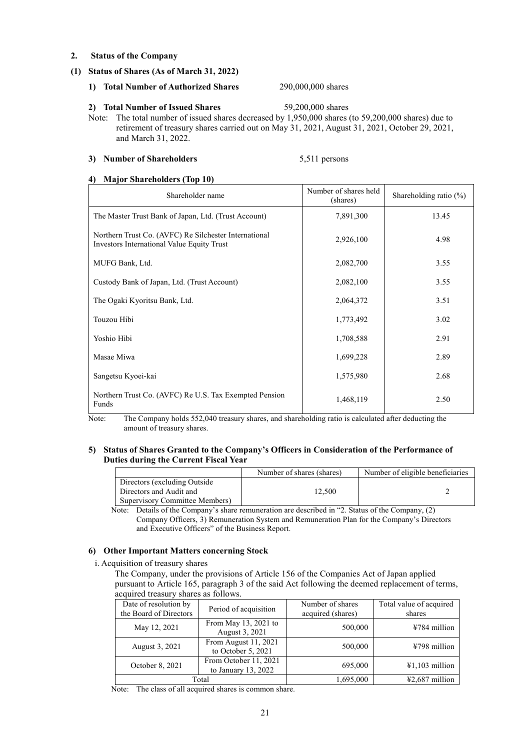#### **2. Status of the Company**

#### **(1) Status of Shares (As of March 31, 2022)**

#### **1) Total Number of Authorized Shares** 290,000,000 shares

#### **2) Total Number of Issued Shares** 59,200,000 shares

Note: The total number of issued shares decreased by 1,950,000 shares (to 59,200,000 shares) due to retirement of treasury shares carried out on May 31, 2021, August 31, 2021, October 29, 2021, and March 31, 2022.

### **3) Number of Shareholders** 5,511 persons

#### **4) Major Shareholders (Top 10)**

| Shareholder name                                                                                    | Number of shares held<br>(shares) | Shareholding ratio $(\%)$ |
|-----------------------------------------------------------------------------------------------------|-----------------------------------|---------------------------|
| The Master Trust Bank of Japan, Ltd. (Trust Account)                                                | 7,891,300                         | 13.45                     |
| Northern Trust Co. (AVFC) Re Silchester International<br>Investors International Value Equity Trust | 2,926,100                         | 4.98                      |
| MUFG Bank, Ltd.                                                                                     | 2,082,700                         | 3.55                      |
| Custody Bank of Japan, Ltd. (Trust Account)                                                         | 2,082,100                         | 3.55                      |
| The Ogaki Kyoritsu Bank, Ltd.                                                                       | 2,064,372                         | 3.51                      |
| Touzou Hibi                                                                                         | 1,773,492                         | 3.02                      |
| Yoshio Hibi                                                                                         | 1,708,588                         | 2.91                      |
| Masae Miwa                                                                                          | 1,699,228                         | 2.89                      |
| Sangetsu Kyoei-kai                                                                                  | 1,575,980                         | 2.68                      |
| Northern Trust Co. (AVFC) Re U.S. Tax Exempted Pension<br>Funds                                     | 1,468,119                         | 2.50                      |

Note: The Company holds 552,040 treasury shares, and shareholding ratio is calculated after deducting the amount of treasury shares.

#### **5) Status of Shares Granted to the Company's Officers in Consideration of the Performance of Duties during the Current Fiscal Year**

|                                | Number of shares (shares) | Number of eligible beneficiaries |
|--------------------------------|---------------------------|----------------------------------|
| Directors (excluding Outside   |                           |                                  |
| Directors and Audit and        | 12.500                    |                                  |
| Supervisory Committee Members) |                           |                                  |

Note: Details of the Company's share remuneration are described in "2. Status of the Company, (2) Company Officers, 3) Remuneration System and Remuneration Plan for the Company's Directors and Executive Officers" of the Business Report.

# **6) Other Important Matters concerning Stock**

i. Acquisition of treasury shares

The Company, under the provisions of Article 156 of the Companies Act of Japan applied pursuant to Article 165, paragraph 3 of the said Act following the deemed replacement of terms, acquired treasury shares as follows.

| Date of resolution by  | Period of acquisition                          | Number of shares  | Total value of acquired |
|------------------------|------------------------------------------------|-------------------|-------------------------|
| the Board of Directors |                                                | acquired (shares) | shares                  |
| May 12, 2021           | From May $13, 2021$ to<br>August 3, 2021       | 500,000           | $¥784$ million          |
| August 3, 2021         | From August 11, 2021<br>to October 5, 2021     | 500,000           | ¥798 million            |
| October 8, 2021        | From October 11, 2021<br>to January $13, 2022$ | 695,000           | $41,103$ million        |
|                        | Total                                          | 1,695,000         | $42.687$ million        |

Note: The class of all acquired shares is common share.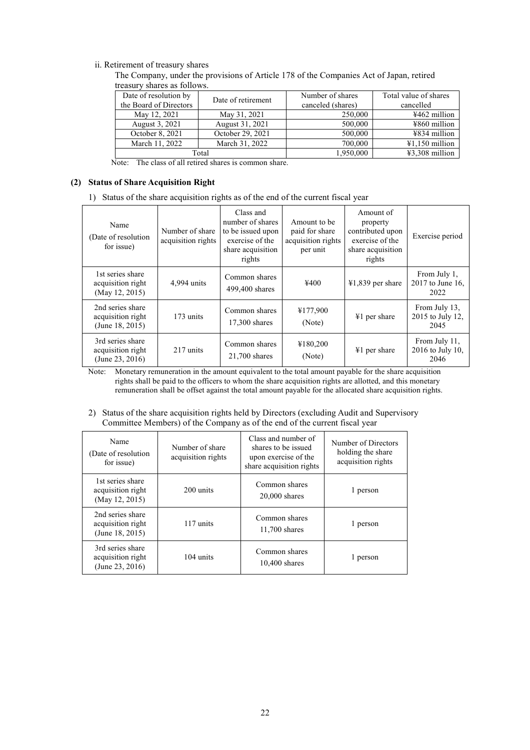# ii. Retirement of treasury shares

The Company, under the provisions of Article 178 of the Companies Act of Japan, retired treasury shares as follows.

| Date of resolution by  | Date of retirement | Number of shares  | Total value of shares               |
|------------------------|--------------------|-------------------|-------------------------------------|
| the Board of Directors |                    | canceled (shares) | cancelled                           |
| May 12, 2021           | May 31, 2021       | 250,000           | $4462$ million                      |
| August 3, 2021         | August 31, 2021    | 500,000           | $4860$ million                      |
| October 8, 2021        | October 29, 2021   | 500,000           | ¥834 million                        |
| March 11, 2022         | March 31, 2022     | 700,000           | $\text{\textsterling}1.150$ million |
|                        | Total              | 1,950,000         | $43,308$ million                    |

Note: The class of all retired shares is common share.

#### **(2) Status of Share Acquisition Right**

1) Status of the share acquisition rights as of the end of the current fiscal year

| Name<br>(Date of resolution)<br>for issue)               | Number of share<br>acquisition rights | Class and<br>number of shares<br>to be issued upon<br>exercise of the<br>share acquisition<br>rights | Amount to be<br>paid for share<br>acquisition rights<br>per unit | Amount of<br>property<br>contributed upon<br>exercise of the<br>share acquisition<br>rights | Exercise period                           |
|----------------------------------------------------------|---------------------------------------|------------------------------------------------------------------------------------------------------|------------------------------------------------------------------|---------------------------------------------------------------------------------------------|-------------------------------------------|
| 1st series share<br>acquisition right<br>(May 12, 2015)  | 4,994 units                           | Common shares<br>499,400 shares                                                                      | ¥400                                                             | $\text{\textsterling}1,839$ per share                                                       | From July 1,<br>2017 to June 16,<br>2022  |
| 2nd series share<br>acquisition right<br>(June 18, 2015) | 173 units                             | Common shares<br>17,300 shares                                                                       | ¥177,900<br>(Note)                                               | ¥1 per share                                                                                | From July 13,<br>2015 to July 12,<br>2045 |
| 3rd series share<br>acquisition right<br>(June 23, 2016) | 217 units                             | Common shares<br>$21,700$ shares                                                                     | ¥180,200<br>(Note)                                               | ¥1 per share                                                                                | From July 11,<br>2016 to July 10,<br>2046 |

Note: Monetary remuneration in the amount equivalent to the total amount payable for the share acquisition rights shall be paid to the officers to whom the share acquisition rights are allotted, and this monetary remuneration shall be offset against the total amount payable for the allocated share acquisition rights.

2) Status of the share acquisition rights held by Directors (excluding Audit and Supervisory Committee Members) of the Company as of the end of the current fiscal year

| Name<br>(Date of resolution)<br>for issue)                  | Number of share<br>acquisition rights | Class and number of<br>shares to be issued<br>upon exercise of the<br>share acquisition rights | Number of Directors<br>holding the share<br>acquisition rights |
|-------------------------------------------------------------|---------------------------------------|------------------------------------------------------------------------------------------------|----------------------------------------------------------------|
| 1st series share<br>acquisition right<br>(May 12, 2015)     | 200 units                             | Common shares<br>$20,000$ shares                                                               | 1 person                                                       |
| 2nd series share<br>acquisition right<br>(June $18, 2015$ ) | 117 units                             | Common shares<br>11,700 shares                                                                 | 1 person                                                       |
| 3rd series share<br>acquisition right<br>(June 23, 2016)    | 104 units                             | Common shares<br>$10,400$ shares                                                               | l person                                                       |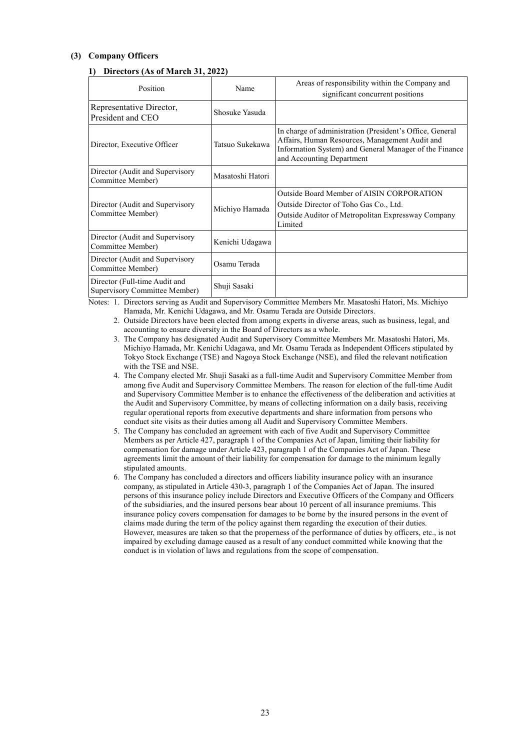# **(3) Company Officers**

# **1) Directors (As of March 31, 2022)**

| Position                                                       | Name             | Areas of responsibility within the Company and<br>significant concurrent positions                                                                                                                |
|----------------------------------------------------------------|------------------|---------------------------------------------------------------------------------------------------------------------------------------------------------------------------------------------------|
| Representative Director,<br>President and CEO                  | Shosuke Yasuda   |                                                                                                                                                                                                   |
| Director, Executive Officer                                    | Tatsuo Sukekawa  | In charge of administration (President's Office, General<br>Affairs, Human Resources, Management Audit and<br>Information System) and General Manager of the Finance<br>and Accounting Department |
| Director (Audit and Supervisory<br>Committee Member)           | Masatoshi Hatori |                                                                                                                                                                                                   |
| Director (Audit and Supervisory<br>Committee Member)           | Michiyo Hamada   | Outside Board Member of AISIN CORPORATION<br>Outside Director of Toho Gas Co., Ltd.<br>Outside Auditor of Metropolitan Expressway Company<br>Limited                                              |
| Director (Audit and Supervisory<br>Committee Member)           | Kenichi Udagawa  |                                                                                                                                                                                                   |
| Director (Audit and Supervisory<br>Committee Member)           | Osamu Terada     |                                                                                                                                                                                                   |
| Director (Full-time Audit and<br>Supervisory Committee Member) | Shuji Sasaki     |                                                                                                                                                                                                   |

Notes: 1. Directors serving as Audit and Supervisory Committee Members Mr. Masatoshi Hatori, Ms. Michiyo Hamada, Mr. Kenichi Udagawa, and Mr. Osamu Terada are Outside Directors.

- 2. Outside Directors have been elected from among experts in diverse areas, such as business, legal, and accounting to ensure diversity in the Board of Directors as a whole.
- 3. The Company has designated Audit and Supervisory Committee Members Mr. Masatoshi Hatori, Ms. Michiyo Hamada, Mr. Kenichi Udagawa, and Mr. Osamu Terada as Independent Officers stipulated by Tokyo Stock Exchange (TSE) and Nagoya Stock Exchange (NSE), and filed the relevant notification with the TSE and NSE.
- 4. The Company elected Mr. Shuji Sasaki as a full-time Audit and Supervisory Committee Member from among five Audit and Supervisory Committee Members. The reason for election of the full-time Audit and Supervisory Committee Member is to enhance the effectiveness of the deliberation and activities at the Audit and Supervisory Committee, by means of collecting information on a daily basis, receiving regular operational reports from executive departments and share information from persons who conduct site visits as their duties among all Audit and Supervisory Committee Members.
- 5. The Company has concluded an agreement with each of five Audit and Supervisory Committee Members as per Article 427, paragraph 1 of the Companies Act of Japan, limiting their liability for compensation for damage under Article 423, paragraph 1 of the Companies Act of Japan. These agreements limit the amount of their liability for compensation for damage to the minimum legally stipulated amounts.
- 6. The Company has concluded a directors and officers liability insurance policy with an insurance company, as stipulated in Article 430-3, paragraph 1 of the Companies Act of Japan. The insured persons of this insurance policy include Directors and Executive Officers of the Company and Officers of the subsidiaries, and the insured persons bear about 10 percent of all insurance premiums. This insurance policy covers compensation for damages to be borne by the insured persons in the event of claims made during the term of the policy against them regarding the execution of their duties. However, measures are taken so that the properness of the performance of duties by officers, etc., is not impaired by excluding damage caused as a result of any conduct committed while knowing that the conduct is in violation of laws and regulations from the scope of compensation.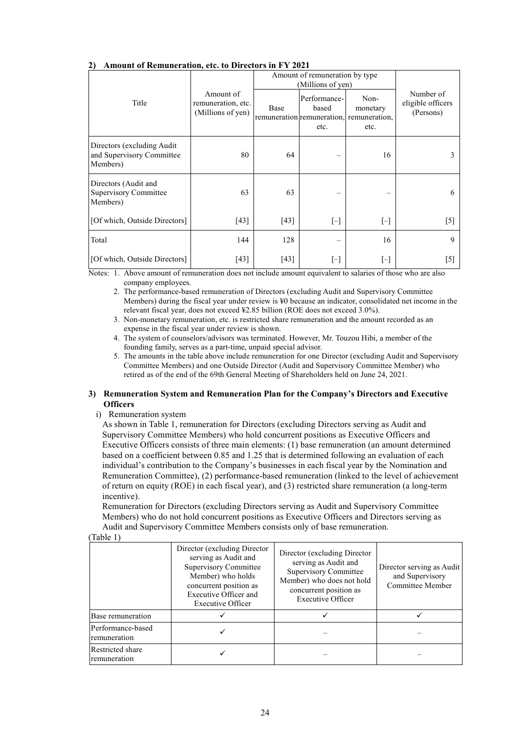| Amvant of Kemanci ation, etc. to Difectors in F 1 2021               |                                                      |        |                                                     |                                                                                                                                                                                                                                                                                                                                                                                                                                                                                                                                                                                                                                                                                                                                                                                                                                                                                                                            |                                             |  |
|----------------------------------------------------------------------|------------------------------------------------------|--------|-----------------------------------------------------|----------------------------------------------------------------------------------------------------------------------------------------------------------------------------------------------------------------------------------------------------------------------------------------------------------------------------------------------------------------------------------------------------------------------------------------------------------------------------------------------------------------------------------------------------------------------------------------------------------------------------------------------------------------------------------------------------------------------------------------------------------------------------------------------------------------------------------------------------------------------------------------------------------------------------|---------------------------------------------|--|
|                                                                      |                                                      |        | Amount of remuneration by type<br>(Millions of yen) |                                                                                                                                                                                                                                                                                                                                                                                                                                                                                                                                                                                                                                                                                                                                                                                                                                                                                                                            |                                             |  |
| Title                                                                | Amount of<br>remuneration, etc.<br>(Millions of yen) | Base   | Performance-<br>based<br>etc.                       | Non-<br>monetary<br>remuneration remuneration, remuneration,<br>etc.                                                                                                                                                                                                                                                                                                                                                                                                                                                                                                                                                                                                                                                                                                                                                                                                                                                       | Number of<br>eligible officers<br>(Persons) |  |
| Directors (excluding Audit)<br>and Supervisory Committee<br>Members) | 80                                                   | 64     |                                                     | 16                                                                                                                                                                                                                                                                                                                                                                                                                                                                                                                                                                                                                                                                                                                                                                                                                                                                                                                         |                                             |  |
| Directors (Audit and<br><b>Supervisory Committee</b><br>Members)     | 63                                                   | 63     |                                                     |                                                                                                                                                                                                                                                                                                                                                                                                                                                                                                                                                                                                                                                                                                                                                                                                                                                                                                                            | 6                                           |  |
| [Of which, Outside Directors]                                        | $[43]$                                               | $[43]$ | $[-]$                                               | $\left[ -\right] % \begin{minipage}[b]{.45\linewidth} \centering \includegraphics[width=\textwidth]{figs/fig_4-1.png} \caption{The number of times in the left end of the number of times in the right end of the number of times in the right end of the number of times in the right end of the number of times in the right end of the number of times in the right end of the number of times in the right end of the number of times in the right end of the number of times in the right end of the number of times in the right end of the number of times in the right end of the number of times in the right end of the number of times in the right end of the number of times in the right end of the number of times in the right end of the number of times in the right end of the number of times in the right end of the number of times in the right end of the number of times in the right end of the$ | $[5]$                                       |  |
| Total                                                                | 144                                                  | 128    |                                                     | 16                                                                                                                                                                                                                                                                                                                                                                                                                                                                                                                                                                                                                                                                                                                                                                                                                                                                                                                         | 9                                           |  |
| [Of which, Outside Directors]                                        | [43]                                                 | [43]   | $[-]$                                               | $[\mathord{\text{--}}]$                                                                                                                                                                                                                                                                                                                                                                                                                                                                                                                                                                                                                                                                                                                                                                                                                                                                                                    | [5]                                         |  |

# **2) Amount of Remuneration, etc. to Directors in FY 2021**

Notes: 1. Above amount of remuneration does not include amount equivalent to salaries of those who are also company employees.

2. The performance-based remuneration of Directors (excluding Audit and Supervisory Committee Members) during the fiscal year under review is ¥0 because an indicator, consolidated net income in the relevant fiscal year, does not exceed ¥2.85 billion (ROE does not exceed 3.0%).

3. Non-monetary remuneration, etc. is restricted share remuneration and the amount recorded as an expense in the fiscal year under review is shown.

4. The system of counselors/advisors was terminated. However, Mr. Touzou Hibi, a member of the founding family, serves as a part-time, unpaid special advisor.

5. The amounts in the table above include remuneration for one Director (excluding Audit and Supervisory Committee Members) and one Outside Director (Audit and Supervisory Committee Member) who retired as of the end of the 69th General Meeting of Shareholders held on June 24, 2021.

#### **3) Remuneration System and Remuneration Plan for the Company's Directors and Executive Officers**

#### i) Remuneration system

As shown in Table 1, remuneration for Directors (excluding Directors serving as Audit and Supervisory Committee Members) who hold concurrent positions as Executive Officers and Executive Officers consists of three main elements: (1) base remuneration (an amount determined based on a coefficient between 0.85 and 1.25 that is determined following an evaluation of each individual's contribution to the Company's businesses in each fiscal year by the Nomination and Remuneration Committee), (2) performance-based remuneration (linked to the level of achievement of return on equity (ROE) in each fiscal year), and (3) restricted share remuneration (a long-term incentive).

Remuneration for Directors (excluding Directors serving as Audit and Supervisory Committee Members) who do not hold concurrent positions as Executive Officers and Directors serving as Audit and Supervisory Committee Members consists only of base remuneration.

(Table 1)

|                                   | Director (excluding Director)<br>serving as Audit and<br>Supervisory Committee<br>Member) who holds<br>concurrent position as<br>Executive Officer and<br>Executive Officer | Director (excluding Director)<br>serving as Audit and<br><b>Supervisory Committee</b><br>Member) who does not hold<br>concurrent position as<br><b>Executive Officer</b> | Director serving as Audit<br>and Supervisory<br>Committee Member |
|-----------------------------------|-----------------------------------------------------------------------------------------------------------------------------------------------------------------------------|--------------------------------------------------------------------------------------------------------------------------------------------------------------------------|------------------------------------------------------------------|
| Base remuneration                 |                                                                                                                                                                             |                                                                                                                                                                          |                                                                  |
| Performance-based<br>remuneration |                                                                                                                                                                             |                                                                                                                                                                          |                                                                  |
| Restricted share<br>remuneration  |                                                                                                                                                                             |                                                                                                                                                                          |                                                                  |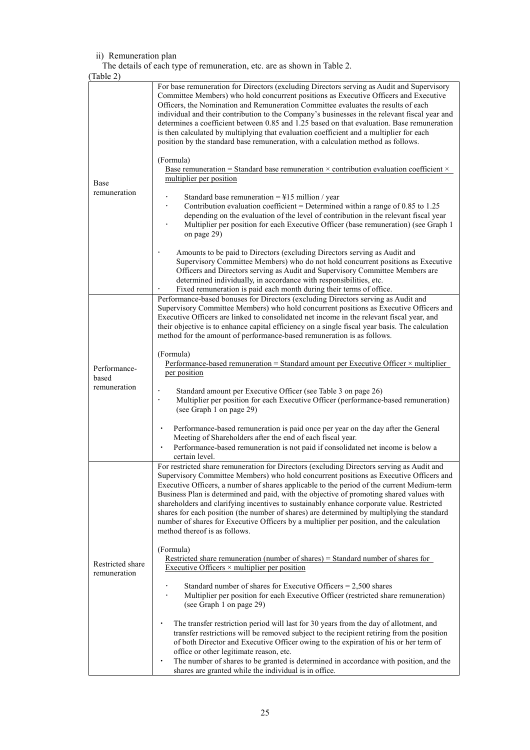# ii) Remuneration plan

The details of each type of remuneration, etc. are as shown in Table 2.

| (Table 2)                        |                                                                                                                                                                                                                                                                                                                                                                                                                                                                                                                                                                                                                                                                                                        |
|----------------------------------|--------------------------------------------------------------------------------------------------------------------------------------------------------------------------------------------------------------------------------------------------------------------------------------------------------------------------------------------------------------------------------------------------------------------------------------------------------------------------------------------------------------------------------------------------------------------------------------------------------------------------------------------------------------------------------------------------------|
|                                  | For base remuneration for Directors (excluding Directors serving as Audit and Supervisory<br>Committee Members) who hold concurrent positions as Executive Officers and Executive<br>Officers, the Nomination and Remuneration Committee evaluates the results of each<br>individual and their contribution to the Company's businesses in the relevant fiscal year and<br>determines a coefficient between 0.85 and 1.25 based on that evaluation. Base remuneration<br>is then calculated by multiplying that evaluation coefficient and a multiplier for each<br>position by the standard base remuneration, with a calculation method as follows.                                                  |
| <b>Base</b>                      | (Formula)<br><u>Base remuneration = Standard base remuneration <math>\times</math> contribution evaluation coefficient <math>\times</math></u><br>multiplier per position                                                                                                                                                                                                                                                                                                                                                                                                                                                                                                                              |
| remuneration                     | Standard base remuneration = $\frac{1}{2}$ 15 million / year<br>Contribution evaluation coefficient = Determined within a range of $0.85$ to 1.25<br>depending on the evaluation of the level of contribution in the relevant fiscal year<br>Multiplier per position for each Executive Officer (base remuneration) (see Graph 1<br>on page 29)                                                                                                                                                                                                                                                                                                                                                        |
|                                  | Amounts to be paid to Directors (excluding Directors serving as Audit and<br>Supervisory Committee Members) who do not hold concurrent positions as Executive<br>Officers and Directors serving as Audit and Supervisory Committee Members are<br>determined individually, in accordance with responsibilities, etc.<br>Fixed remuneration is paid each month during their terms of office.                                                                                                                                                                                                                                                                                                            |
|                                  | Performance-based bonuses for Directors (excluding Directors serving as Audit and<br>Supervisory Committee Members) who hold concurrent positions as Executive Officers and<br>Executive Officers are linked to consolidated net income in the relevant fiscal year, and<br>their objective is to enhance capital efficiency on a single fiscal year basis. The calculation<br>method for the amount of performance-based remuneration is as follows.                                                                                                                                                                                                                                                  |
| Performance-<br>based            | (Formula)<br>Performance-based remuneration = Standard amount per Executive Officer $\times$ multiplier<br>per position                                                                                                                                                                                                                                                                                                                                                                                                                                                                                                                                                                                |
| remuneration                     | Standard amount per Executive Officer (see Table 3 on page 26)<br>Multiplier per position for each Executive Officer (performance-based remuneration)<br>(see Graph 1 on page 29)                                                                                                                                                                                                                                                                                                                                                                                                                                                                                                                      |
|                                  | Performance-based remuneration is paid once per year on the day after the General<br>Meeting of Shareholders after the end of each fiscal year.<br>Performance-based remuneration is not paid if consolidated net income is below a<br>$\bullet$<br>certain level.                                                                                                                                                                                                                                                                                                                                                                                                                                     |
|                                  | For restricted share remuneration for Directors (excluding Directors serving as Audit and<br>Supervisory Committee Members) who hold concurrent positions as Executive Officers and<br>Executive Officers, a number of shares applicable to the period of the current Medium-term<br>Business Plan is determined and paid, with the objective of promoting shared values with<br>shareholders and clarifying incentives to sustainably enhance corporate value. Restricted<br>shares for each position (the number of shares) are determined by multiplying the standard<br>number of shares for Executive Officers by a multiplier per position, and the calculation<br>method thereof is as follows. |
| Restricted share<br>remuneration | (Formula)<br>Restricted share remuneration (number of shares) = Standard number of shares for<br>Executive Officers $\times$ multiplier per position                                                                                                                                                                                                                                                                                                                                                                                                                                                                                                                                                   |
|                                  | Standard number of shares for Executive Officers $= 2,500$ shares<br>Multiplier per position for each Executive Officer (restricted share remuneration)<br>(see Graph 1 on page 29)                                                                                                                                                                                                                                                                                                                                                                                                                                                                                                                    |
|                                  | The transfer restriction period will last for 30 years from the day of allotment, and<br>transfer restrictions will be removed subject to the recipient retiring from the position<br>of both Director and Executive Officer owing to the expiration of his or her term of<br>office or other legitimate reason, etc.<br>The number of shares to be granted is determined in accordance with position, and the                                                                                                                                                                                                                                                                                         |
|                                  | shares are granted while the individual is in office.                                                                                                                                                                                                                                                                                                                                                                                                                                                                                                                                                                                                                                                  |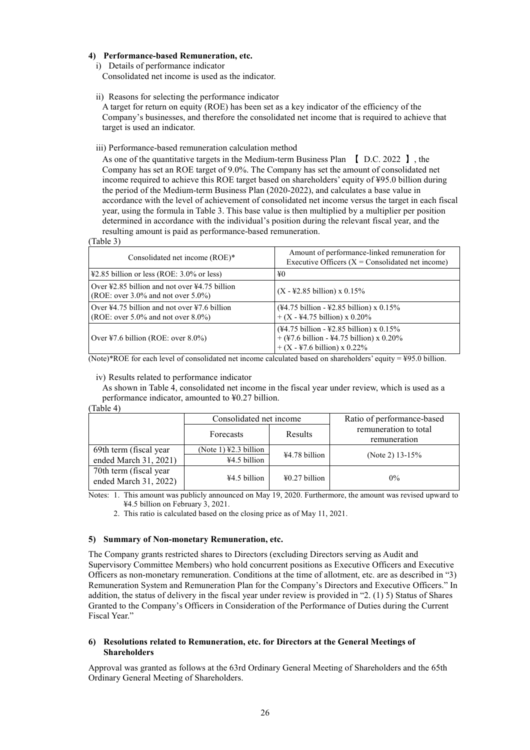# **4) Performance-based Remuneration, etc.**

i) Details of performance indicator

Consolidated net income is used as the indicator.

ii) Reasons for selecting the performance indicator

A target for return on equity (ROE) has been set as a key indicator of the efficiency of the Company's businesses, and therefore the consolidated net income that is required to achieve that target is used an indicator.

iii) Performance-based remuneration calculation method

As one of the quantitative targets in the Medium-term Business Plan 【 D.C. 2022 】, the Company has set an ROE target of 9.0%. The Company has set the amount of consolidated net income required to achieve this ROE target based on shareholders' equity of ¥95.0 billion during the period of the Medium-term Business Plan (2020-2022), and calculates a base value in accordance with the level of achievement of consolidated net income versus the target in each fiscal year, using the formula in Table 3. This base value is then multiplied by a multiplier per position determined in accordance with the individual's position during the relevant fiscal year, and the resulting amount is paid as performance-based remuneration.

(Table 3)

| Consolidated net income (ROE)*                                                                                                       | Amount of performance-linked remuneration for<br>Executive Officers $(X =$ Consolidated net income)                           |
|--------------------------------------------------------------------------------------------------------------------------------------|-------------------------------------------------------------------------------------------------------------------------------|
| $\text{\#2.85}$ billion or less (ROE: 3.0% or less)                                                                                  | ¥0                                                                                                                            |
| Over $\text{\textsterling}2.85$ billion and not over $\text{\textsterling}4.75$ billion<br>(ROE: over $3.0\%$ and not over $5.0\%$ ) | $(X - 42.85)$ billion) x 0.15%                                                                                                |
| Over $\frac{1}{4}$ , 0.75 billion and not over $\frac{1}{2}$ , 6 billion<br>(ROE: over $5.0\%$ and not over $8.0\%$ )                | $(*4.75 \text{ billion} - *2.85 \text{ billion}) \times 0.15\%$<br>$+ (X - 44.75 \text{ billion}) \times 0.20\%$              |
| Over $\text{\textsterling}7.6$ billion (ROE: over $8.0\%$ )                                                                          | $(*4.75 billion - *2.85 billion) \times 0.15\%$<br>+ (¥7.6 billion - ¥4.75 billion) x 0.20%<br>$+(X - 47.6)$ billion) x 0.22% |

(Note)\*ROE for each level of consolidated net income calculated based on shareholders' equity = ¥95.0 billion.

#### iv) Results related to performance indicator

As shown in Table 4, consolidated net income in the fiscal year under review, which is used as a performance indicator, amounted to ¥0.27 billion.

#### (Table 4)

|                                                 | Consolidated net income                                    |                         | Ratio of performance-based            |
|-------------------------------------------------|------------------------------------------------------------|-------------------------|---------------------------------------|
|                                                 | Forecasts                                                  | Results                 | remuneration to total<br>remuneration |
| 69th term (fiscal year<br>ended March 31, 2021) | (Note 1) $\text{\textsterling}2.3$ billion<br>¥4.5 billion | $\text{\#}4.78$ billion | (Note 2) $13-15%$                     |
| 70th term (fiscal year<br>ended March 31, 2022) | ¥4.5 billion                                               | $\text{\#}0.27$ billion | $0\%$                                 |

Notes: 1. This amount was publicly announced on May 19, 2020. Furthermore, the amount was revised upward to ¥4.5 billion on February 3, 2021.

2. This ratio is calculated based on the closing price as of May 11, 2021.

#### **5) Summary of Non-monetary Remuneration, etc.**

The Company grants restricted shares to Directors (excluding Directors serving as Audit and Supervisory Committee Members) who hold concurrent positions as Executive Officers and Executive Officers as non-monetary remuneration. Conditions at the time of allotment, etc. are as described in "3) Remuneration System and Remuneration Plan for the Company's Directors and Executive Officers." In addition, the status of delivery in the fiscal year under review is provided in "2. (1) 5) Status of Shares Granted to the Company's Officers in Consideration of the Performance of Duties during the Current Fiscal Year."

#### **6) Resolutions related to Remuneration, etc. for Directors at the General Meetings of Shareholders**

Approval was granted as follows at the 63rd Ordinary General Meeting of Shareholders and the 65th Ordinary General Meeting of Shareholders.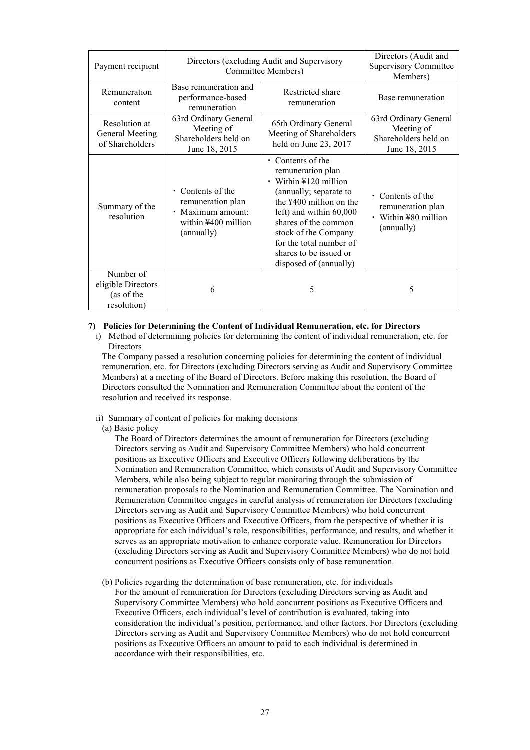| Payment recipient                                            |                                                                                                             | Directors (excluding Audit and Supervisory<br><b>Committee Members)</b>                                                                                                                                                                                                                      | Directors (Audit and<br>Supervisory Committee<br>Members)                          |
|--------------------------------------------------------------|-------------------------------------------------------------------------------------------------------------|----------------------------------------------------------------------------------------------------------------------------------------------------------------------------------------------------------------------------------------------------------------------------------------------|------------------------------------------------------------------------------------|
| Remuneration<br>content                                      | Base remuneration and<br>performance-based<br>remuneration                                                  | Restricted share<br>remuneration                                                                                                                                                                                                                                                             | Base remuneration                                                                  |
| Resolution at<br>General Meeting<br>of Shareholders          | 63rd Ordinary General<br>Meeting of<br>Shareholders held on<br>June 18, 2015                                | 65th Ordinary General<br>Meeting of Shareholders<br>held on June 23, 2017                                                                                                                                                                                                                    | 63rd Ordinary General<br>Meeting of<br>Shareholders held on<br>June 18, 2015       |
| Summary of the<br>resolution                                 | Contents of the<br>$\bullet$<br>remuneration plan<br>· Maximum amount:<br>within ¥400 million<br>(annually) | $\cdot$ Contents of the<br>remuneration plan<br>$\cdot$ Within ¥120 million<br>(annually; separate to<br>the $4400$ million on the<br>left) and within 60,000<br>shares of the common<br>stock of the Company<br>for the total number of<br>shares to be issued or<br>disposed of (annually) | $\cdot$ Contents of the<br>remuneration plan<br>• Within ¥80 million<br>(annually) |
| Number of<br>eligible Directors<br>(as of the<br>resolution) | 6                                                                                                           | 5                                                                                                                                                                                                                                                                                            | 5                                                                                  |

#### **7) Policies for Determining the Content of Individual Remuneration, etc. for Directors**

i) Method of determining policies for determining the content of individual remuneration, etc. for **Directors** 

The Company passed a resolution concerning policies for determining the content of individual remuneration, etc. for Directors (excluding Directors serving as Audit and Supervisory Committee Members) at a meeting of the Board of Directors. Before making this resolution, the Board of Directors consulted the Nomination and Remuneration Committee about the content of the resolution and received its response.

- ii) Summary of content of policies for making decisions
- (a) Basic policy

The Board of Directors determines the amount of remuneration for Directors (excluding Directors serving as Audit and Supervisory Committee Members) who hold concurrent positions as Executive Officers and Executive Officers following deliberations by the Nomination and Remuneration Committee, which consists of Audit and Supervisory Committee Members, while also being subject to regular monitoring through the submission of remuneration proposals to the Nomination and Remuneration Committee. The Nomination and Remuneration Committee engages in careful analysis of remuneration for Directors (excluding Directors serving as Audit and Supervisory Committee Members) who hold concurrent positions as Executive Officers and Executive Officers, from the perspective of whether it is appropriate for each individual's role, responsibilities, performance, and results, and whether it serves as an appropriate motivation to enhance corporate value. Remuneration for Directors (excluding Directors serving as Audit and Supervisory Committee Members) who do not hold concurrent positions as Executive Officers consists only of base remuneration.

(b) Policies regarding the determination of base remuneration, etc. for individuals For the amount of remuneration for Directors (excluding Directors serving as Audit and Supervisory Committee Members) who hold concurrent positions as Executive Officers and Executive Officers, each individual's level of contribution is evaluated, taking into consideration the individual's position, performance, and other factors. For Directors (excluding Directors serving as Audit and Supervisory Committee Members) who do not hold concurrent positions as Executive Officers an amount to paid to each individual is determined in accordance with their responsibilities, etc.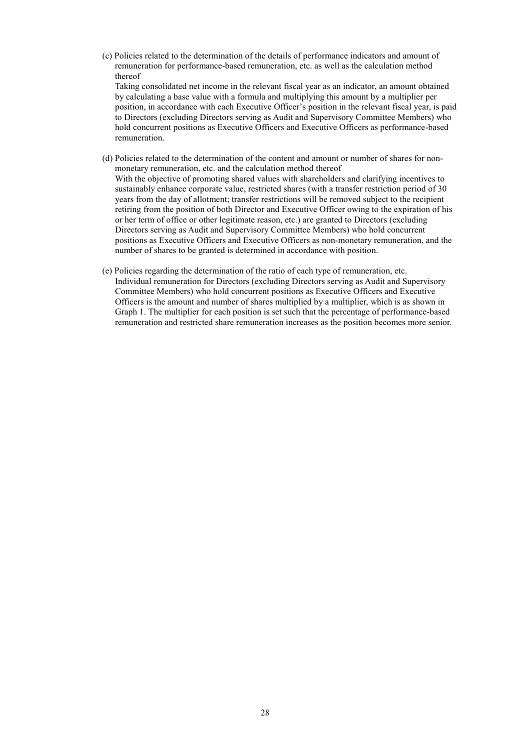(c) Policies related to the determination of the details of performance indicators and amount of remuneration for performance-based remuneration, etc. as well as the calculation method thereof

Taking consolidated net income in the relevant fiscal year as an indicator, an amount obtained by calculating a base value with a formula and multiplying this amount by a multiplier per position, in accordance with each Executive Officer's position in the relevant fiscal year, is paid to Directors (excluding Directors serving as Audit and Supervisory Committee Members) who hold concurrent positions as Executive Officers and Executive Officers as performance-based remuneration.

- (d) Policies related to the determination of the content and amount or number of shares for nonmonetary remuneration, etc. and the calculation method thereof With the objective of promoting shared values with shareholders and clarifying incentives to sustainably enhance corporate value, restricted shares (with a transfer restriction period of 30 years from the day of allotment; transfer restrictions will be removed subject to the recipient retiring from the position of both Director and Executive Officer owing to the expiration of his or her term of office or other legitimate reason, etc.) are granted to Directors (excluding Directors serving as Audit and Supervisory Committee Members) who hold concurrent positions as Executive Officers and Executive Officers as non-monetary remuneration, and the number of shares to be granted is determined in accordance with position.
- (e) Policies regarding the determination of the ratio of each type of remuneration, etc. Individual remuneration for Directors (excluding Directors serving as Audit and Supervisory Committee Members) who hold concurrent positions as Executive Officers and Executive Officers is the amount and number of shares multiplied by a multiplier, which is as shown in Graph 1. The multiplier for each position is set such that the percentage of performance-based remuneration and restricted share remuneration increases as the position becomes more senior.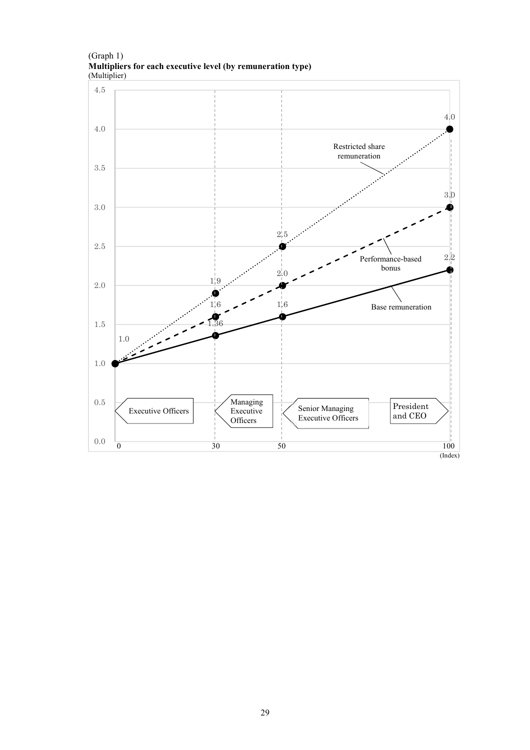(Graph 1) **Multipliers for each executive level (by remuneration type)** (Multiplier)

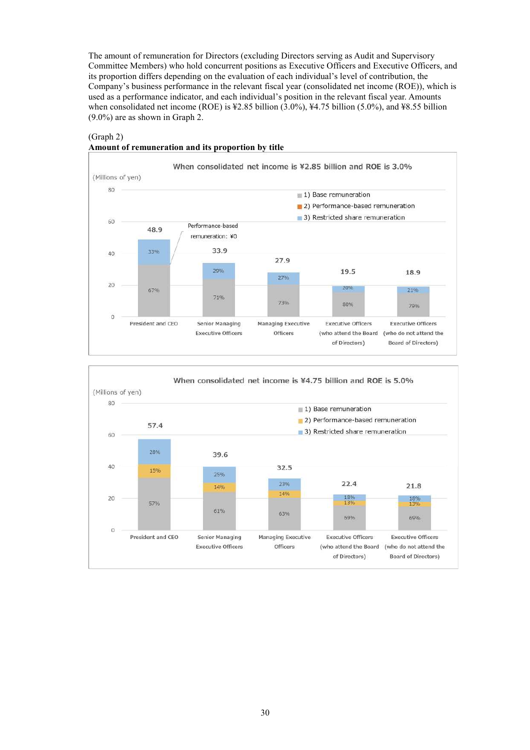The amount of remuneration for Directors (excluding Directors serving as Audit and Supervisory Committee Members) who hold concurrent positions as Executive Officers and Executive Officers, and its proportion differs depending on the evaluation of each individual's level of contribution, the Company's business performance in the relevant fiscal year (consolidated net income (ROE)), which is used as a performance indicator, and each individual's position in the relevant fiscal year. Amounts when consolidated net income (ROE) is ¥2.85 billion (3.0%), ¥4.75 billion (5.0%), and ¥8.55 billion (9.0%) are as shown in Graph 2.

# (Graph 2)

#### **Amount of remuneration and its proportion by title**



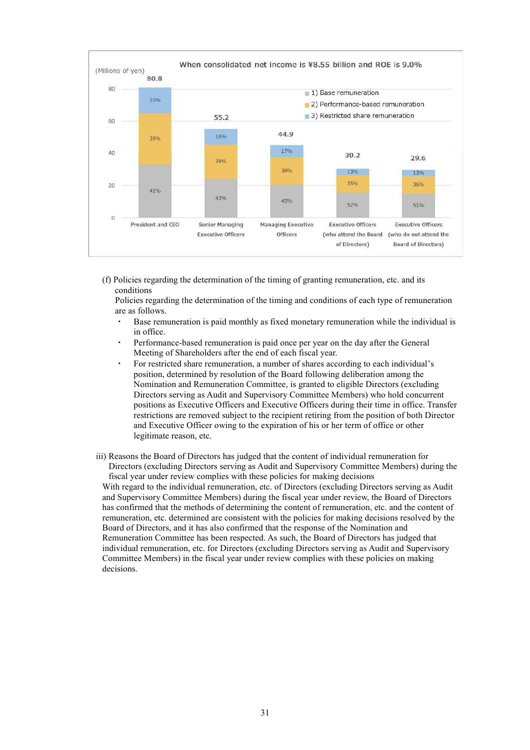

(f) Policies regarding the determination of the timing of granting remuneration, etc. and its conditions

Policies regarding the determination of the timing and conditions of each type of remuneration are as follows.

- Base remuneration is paid monthly as fixed monetary remuneration while the individual is in office.
- Performance-based remuneration is paid once per year on the day after the General Meeting of Shareholders after the end of each fiscal year.
- For restricted share remuneration, a number of shares according to each individual's position, determined by resolution of the Board following deliberation among the Nomination and Remuneration Committee, is granted to eligible Directors (excluding Directors serving as Audit and Supervisory Committee Members) who hold concurrent positions as Executive Officers and Executive Officers during their time in office. Transfer restrictions are removed subject to the recipient retiring from the position of both Director and Executive Officer owing to the expiration of his or her term of office or other legitimate reason, etc.
- iii) Reasons the Board of Directors has judged that the content of individual remuneration for Directors (excluding Directors serving as Audit and Supervisory Committee Members) during the fiscal year under review complies with these policies for making decisions

With regard to the individual remuneration, etc. of Directors (excluding Directors serving as Audit and Supervisory Committee Members) during the fiscal year under review, the Board of Directors has confirmed that the methods of determining the content of remuneration, etc. and the content of remuneration, etc. determined are consistent with the policies for making decisions resolved by the Board of Directors, and it has also confirmed that the response of the Nomination and Remuneration Committee has been respected. As such, the Board of Directors has judged that individual remuneration, etc. for Directors (excluding Directors serving as Audit and Supervisory Committee Members) in the fiscal year under review complies with these policies on making decisions.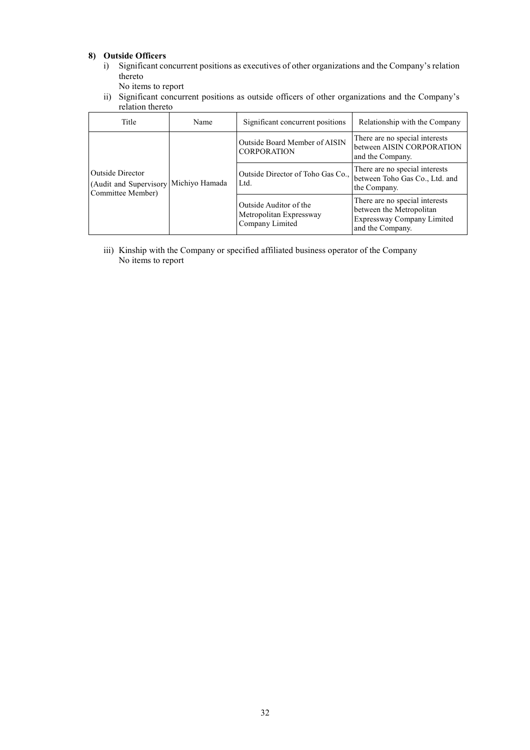# **8) Outside Officers**

- i) Significant concurrent positions as executives of other organizations and the Company's relation thereto
	- No items to report
- ii) Significant concurrent positions as outside officers of other organizations and the Company's relation thereto

| Title                                                                                     | Name                                                | Significant concurrent positions                                                | Relationship with the Company                                                                                |
|-------------------------------------------------------------------------------------------|-----------------------------------------------------|---------------------------------------------------------------------------------|--------------------------------------------------------------------------------------------------------------|
| <b>Outside Director</b><br>Michiyo Hamada<br>(Audit and Supervisory)<br>Committee Member) | Outside Board Member of AISIN<br><b>CORPORATION</b> | There are no special interests<br>between AISIN CORPORATION<br>and the Company. |                                                                                                              |
|                                                                                           |                                                     | Outside Director of Toho Gas Co.,<br>Ltd.                                       | There are no special interests<br>between Toho Gas Co., Ltd. and<br>the Company.                             |
|                                                                                           |                                                     | Outside Auditor of the<br>Metropolitan Expressway<br>Company Limited            | There are no special interests<br>between the Metropolitan<br>Expressway Company Limited<br>and the Company. |

iii) Kinship with the Company or specified affiliated business operator of the Company No items to report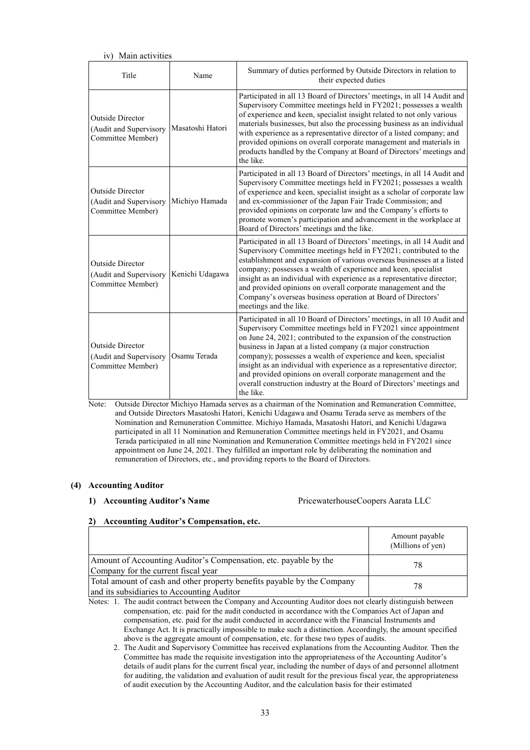| Main activities<br>iv)                                                 |                  |                                                                                                                                                                                                                                                                                                                                                                                                                                                                                                                                                                                      |
|------------------------------------------------------------------------|------------------|--------------------------------------------------------------------------------------------------------------------------------------------------------------------------------------------------------------------------------------------------------------------------------------------------------------------------------------------------------------------------------------------------------------------------------------------------------------------------------------------------------------------------------------------------------------------------------------|
| Title                                                                  | Name             | Summary of duties performed by Outside Directors in relation to<br>their expected duties                                                                                                                                                                                                                                                                                                                                                                                                                                                                                             |
| <b>Outside Director</b><br>(Audit and Supervisory<br>Committee Member) | Masatoshi Hatori | Participated in all 13 Board of Directors' meetings, in all 14 Audit and<br>Supervisory Committee meetings held in FY2021; possesses a wealth<br>of experience and keen, specialist insight related to not only various<br>materials businesses, but also the processing business as an individual<br>with experience as a representative director of a listed company; and<br>provided opinions on overall corporate management and materials in<br>products handled by the Company at Board of Directors' meetings and<br>the like.                                                |
| <b>Outside Director</b><br>(Audit and Supervisory<br>Committee Member) | Michiyo Hamada   | Participated in all 13 Board of Directors' meetings, in all 14 Audit and<br>Supervisory Committee meetings held in FY2021; possesses a wealth<br>of experience and keen, specialist insight as a scholar of corporate law<br>and ex-commissioner of the Japan Fair Trade Commission; and<br>provided opinions on corporate law and the Company's efforts to<br>promote women's participation and advancement in the workplace at<br>Board of Directors' meetings and the like.                                                                                                       |
| <b>Outside Director</b><br>(Audit and Supervisory<br>Committee Member) | Kenichi Udagawa  | Participated in all 13 Board of Directors' meetings, in all 14 Audit and<br>Supervisory Committee meetings held in FY2021; contributed to the<br>establishment and expansion of various overseas businesses at a listed<br>company; possesses a wealth of experience and keen, specialist<br>insight as an individual with experience as a representative director;<br>and provided opinions on overall corporate management and the<br>Company's overseas business operation at Board of Directors'<br>meetings and the like.                                                       |
| <b>Outside Director</b><br>(Audit and Supervisory<br>Committee Member) | Osamu Terada     | Participated in all 10 Board of Directors' meetings, in all 10 Audit and<br>Supervisory Committee meetings held in FY2021 since appointment<br>on June 24, 2021; contributed to the expansion of the construction<br>business in Japan at a listed company (a major construction<br>company); possesses a wealth of experience and keen, specialist<br>insight as an individual with experience as a representative director;<br>and provided opinions on overall corporate management and the<br>overall construction industry at the Board of Directors' meetings and<br>the like. |

Note: Outside Director Michiyo Hamada serves as a chairman of the Nomination and Remuneration Committee, and Outside Directors Masatoshi Hatori, Kenichi Udagawa and Osamu Terada serve as members of the Nomination and Remuneration Committee. Michiyo Hamada, Masatoshi Hatori, and Kenichi Udagawa participated in all 11 Nomination and Remuneration Committee meetings held in FY2021, and Osamu Terada participated in all nine Nomination and Remuneration Committee meetings held in FY2021 since appointment on June 24, 2021. They fulfilled an important role by deliberating the nomination and remuneration of Directors, etc., and providing reports to the Board of Directors.

# **(4) Accounting Auditor**

# **1) Accounting Auditor's Name** PricewaterhouseCoopers Aarata LLC

# **2) Accounting Auditor's Compensation, etc.**

|                                                                                                                       | Amount payable<br>(Millions of yen) |
|-----------------------------------------------------------------------------------------------------------------------|-------------------------------------|
| Amount of Accounting Auditor's Compensation, etc. payable by the<br>Company for the current fiscal year               | 78                                  |
| Total amount of cash and other property benefits payable by the Company<br>and its subsidiaries to Accounting Auditor | 78                                  |

Notes: 1. The audit contract between the Company and Accounting Auditor does not clearly distinguish between compensation, etc. paid for the audit conducted in accordance with the Companies Act of Japan and compensation, etc. paid for the audit conducted in accordance with the Financial Instruments and Exchange Act. It is practically impossible to make such a distinction. Accordingly, the amount specified above is the aggregate amount of compensation, etc. for these two types of audits.

2. The Audit and Supervisory Committee has received explanations from the Accounting Auditor. Then the Committee has made the requisite investigation into the appropriateness of the Accounting Auditor's details of audit plans for the current fiscal year, including the number of days of and personnel allotment for auditing, the validation and evaluation of audit result for the previous fiscal year, the appropriateness of audit execution by the Accounting Auditor, and the calculation basis for their estimated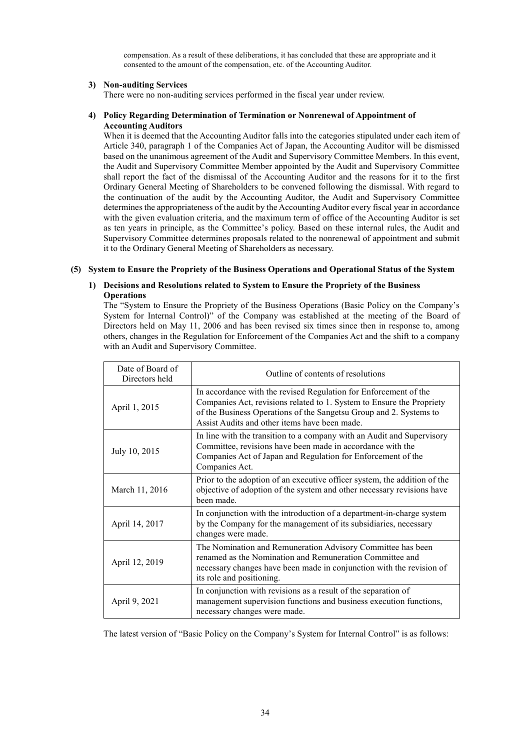compensation. As a result of these deliberations, it has concluded that these are appropriate and it consented to the amount of the compensation, etc. of the Accounting Auditor.

#### **3) Non-auditing Services**

There were no non-auditing services performed in the fiscal year under review.

# **4) Policy Regarding Determination of Termination or Nonrenewal of Appointment of Accounting Auditors**

When it is deemed that the Accounting Auditor falls into the categories stipulated under each item of Article 340, paragraph 1 of the Companies Act of Japan, the Accounting Auditor will be dismissed based on the unanimous agreement of the Audit and Supervisory Committee Members. In this event, the Audit and Supervisory Committee Member appointed by the Audit and Supervisory Committee shall report the fact of the dismissal of the Accounting Auditor and the reasons for it to the first Ordinary General Meeting of Shareholders to be convened following the dismissal. With regard to the continuation of the audit by the Accounting Auditor, the Audit and Supervisory Committee determinesthe appropriateness of the audit by the Accounting Auditor every fiscal year in accordance with the given evaluation criteria, and the maximum term of office of the Accounting Auditor is set as ten years in principle, as the Committee's policy. Based on these internal rules, the Audit and Supervisory Committee determines proposals related to the nonrenewal of appointment and submit it to the Ordinary General Meeting of Shareholders as necessary.

#### **(5) System to Ensure the Propriety of the Business Operations and Operational Status of the System**

# **1) Decisions and Resolutions related to System to Ensure the Propriety of the Business Operations**

The "System to Ensure the Propriety of the Business Operations (Basic Policy on the Company's System for Internal Control)" of the Company was established at the meeting of the Board of Directors held on May 11, 2006 and has been revised six times since then in response to, among others, changes in the Regulation for Enforcement of the Companies Act and the shift to a company with an Audit and Supervisory Committee.

| Date of Board of<br>Directors held | Outline of contents of resolutions                                                                                                                                                                                                                               |
|------------------------------------|------------------------------------------------------------------------------------------------------------------------------------------------------------------------------------------------------------------------------------------------------------------|
| April 1, 2015                      | In accordance with the revised Regulation for Enforcement of the<br>Companies Act, revisions related to 1. System to Ensure the Propriety<br>of the Business Operations of the Sangetsu Group and 2. Systems to<br>Assist Audits and other items have been made. |
| July 10, 2015                      | In line with the transition to a company with an Audit and Supervisory<br>Committee, revisions have been made in accordance with the<br>Companies Act of Japan and Regulation for Enforcement of the<br>Companies Act.                                           |
| March 11, 2016                     | Prior to the adoption of an executive officer system, the addition of the<br>objective of adoption of the system and other necessary revisions have<br>been made.                                                                                                |
| April 14, 2017                     | In conjunction with the introduction of a department-in-charge system<br>by the Company for the management of its subsidiaries, necessary<br>changes were made.                                                                                                  |
| April 12, 2019                     | The Nomination and Remuneration Advisory Committee has been<br>renamed as the Nomination and Remuneration Committee and<br>necessary changes have been made in conjunction with the revision of<br>its role and positioning.                                     |
| April 9, 2021                      | In conjunction with revisions as a result of the separation of<br>management supervision functions and business execution functions,<br>necessary changes were made.                                                                                             |

The latest version of "Basic Policy on the Company's System for Internal Control" is as follows: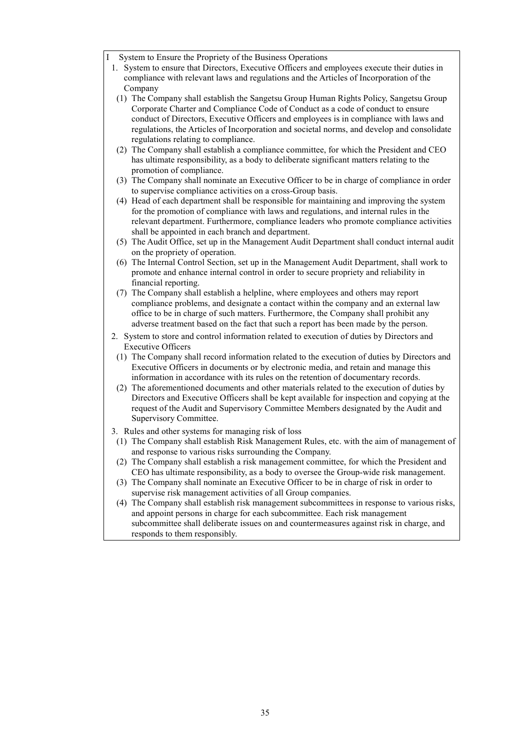- System to Ensure the Propriety of the Business Operations
- 1. System to ensure that Directors, Executive Officers and employees execute their duties in compliance with relevant laws and regulations and the Articles of Incorporation of the Company
- (1) The Company shall establish the Sangetsu Group Human Rights Policy, Sangetsu Group Corporate Charter and Compliance Code of Conduct as a code of conduct to ensure conduct of Directors, Executive Officers and employees is in compliance with laws and regulations, the Articles of Incorporation and societal norms, and develop and consolidate regulations relating to compliance.
- (2) The Company shall establish a compliance committee, for which the President and CEO has ultimate responsibility, as a body to deliberate significant matters relating to the promotion of compliance.
- (3) The Company shall nominate an Executive Officer to be in charge of compliance in order to supervise compliance activities on a cross-Group basis.
- (4) Head of each department shall be responsible for maintaining and improving the system for the promotion of compliance with laws and regulations, and internal rules in the relevant department. Furthermore, compliance leaders who promote compliance activities shall be appointed in each branch and department.
- (5) The Audit Office, set up in the Management Audit Department shall conduct internal audit on the propriety of operation.
- (6) The Internal Control Section, set up in the Management Audit Department, shall work to promote and enhance internal control in order to secure propriety and reliability in financial reporting.
- (7) The Company shall establish a helpline, where employees and others may report compliance problems, and designate a contact within the company and an external law office to be in charge of such matters. Furthermore, the Company shall prohibit any adverse treatment based on the fact that such a report has been made by the person.
- 2. System to store and control information related to execution of duties by Directors and Executive Officers
- (1) The Company shall record information related to the execution of duties by Directors and Executive Officers in documents or by electronic media, and retain and manage this information in accordance with its rules on the retention of documentary records.
- (2) The aforementioned documents and other materials related to the execution of duties by Directors and Executive Officers shall be kept available for inspection and copying at the request of the Audit and Supervisory Committee Members designated by the Audit and Supervisory Committee.
- 3. Rules and other systems for managing risk of loss
- (1) The Company shall establish Risk Management Rules, etc. with the aim of management of and response to various risks surrounding the Company.
- (2) The Company shall establish a risk management committee, for which the President and CEO has ultimate responsibility, as a body to oversee the Group-wide risk management.
- (3) The Company shall nominate an Executive Officer to be in charge of risk in order to supervise risk management activities of all Group companies.
- (4) The Company shall establish risk management subcommittees in response to various risks, and appoint persons in charge for each subcommittee. Each risk management subcommittee shall deliberate issues on and countermeasures against risk in charge, and responds to them responsibly.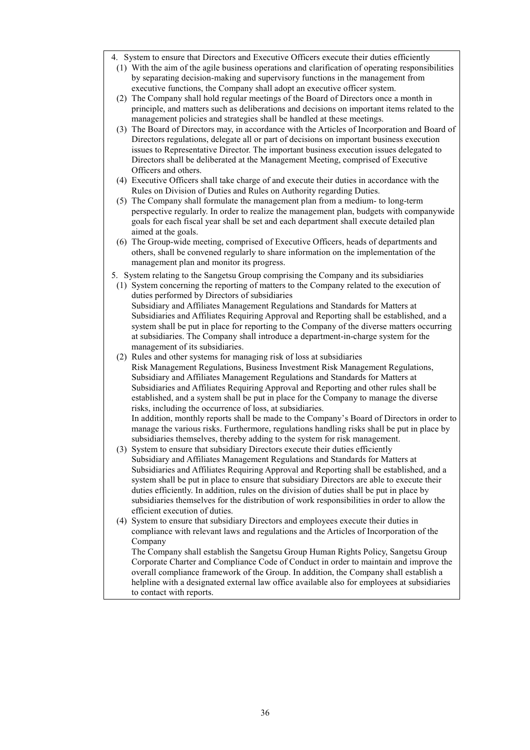- 4. System to ensure that Directors and Executive Officers execute their duties efficiently
- (1) With the aim of the agile business operations and clarification of operating responsibilities by separating decision-making and supervisory functions in the management from executive functions, the Company shall adopt an executive officer system.
- (2) The Company shall hold regular meetings of the Board of Directors once a month in principle, and matters such as deliberations and decisions on important items related to the management policies and strategies shall be handled at these meetings.
- (3) The Board of Directors may, in accordance with the Articles of Incorporation and Board of Directors regulations, delegate all or part of decisions on important business execution issues to Representative Director. The important business execution issues delegated to Directors shall be deliberated at the Management Meeting, comprised of Executive Officers and others.
- (4) Executive Officers shall take charge of and execute their duties in accordance with the Rules on Division of Duties and Rules on Authority regarding Duties.
- (5) The Company shall formulate the management plan from a medium- to long-term perspective regularly. In order to realize the management plan, budgets with companywide goals for each fiscal year shall be set and each department shall execute detailed plan aimed at the goals.
- (6) The Group-wide meeting, comprised of Executive Officers, heads of departments and others, shall be convened regularly to share information on the implementation of the management plan and monitor its progress.
- 5. System relating to the Sangetsu Group comprising the Company and its subsidiaries
- (1) System concerning the reporting of matters to the Company related to the execution of duties performed by Directors of subsidiaries Subsidiary and Affiliates Management Regulations and Standards for Matters at Subsidiaries and Affiliates Requiring Approval and Reporting shall be established, and a system shall be put in place for reporting to the Company of the diverse matters occurring at subsidiaries. The Company shall introduce a department-in-charge system for the management of its subsidiaries.
- (2) Rules and other systems for managing risk of loss at subsidiaries Risk Management Regulations, Business Investment Risk Management Regulations, Subsidiary and Affiliates Management Regulations and Standards for Matters at Subsidiaries and Affiliates Requiring Approval and Reporting and other rules shall be established, and a system shall be put in place for the Company to manage the diverse risks, including the occurrence of loss, at subsidiaries. In addition, monthly reports shall be made to the Company's Board of Directors in order to manage the various risks. Furthermore, regulations handling risks shall be put in place by subsidiaries themselves, thereby adding to the system for risk management.
- (3) System to ensure that subsidiary Directors execute their duties efficiently Subsidiary and Affiliates Management Regulations and Standards for Matters at Subsidiaries and Affiliates Requiring Approval and Reporting shall be established, and a system shall be put in place to ensure that subsidiary Directors are able to execute their duties efficiently. In addition, rules on the division of duties shall be put in place by subsidiaries themselves for the distribution of work responsibilities in order to allow the efficient execution of duties.
- (4) System to ensure that subsidiary Directors and employees execute their duties in compliance with relevant laws and regulations and the Articles of Incorporation of the Company

The Company shall establish the Sangetsu Group Human Rights Policy, Sangetsu Group Corporate Charter and Compliance Code of Conduct in order to maintain and improve the overall compliance framework of the Group. In addition, the Company shall establish a helpline with a designated external law office available also for employees at subsidiaries to contact with reports.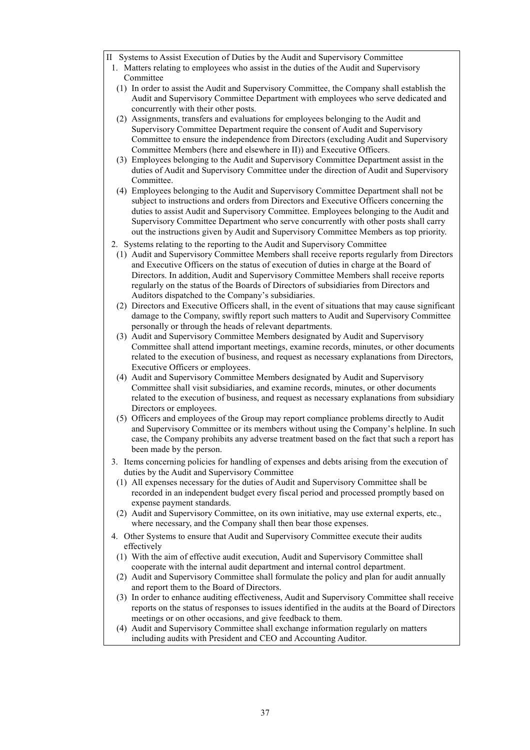- II Systems to Assist Execution of Duties by the Audit and Supervisory Committee
	- 1. Matters relating to employees who assist in the duties of the Audit and Supervisory Committee
	- (1) In order to assist the Audit and Supervisory Committee, the Company shall establish the Audit and Supervisory Committee Department with employees who serve dedicated and concurrently with their other posts.
	- (2) Assignments, transfers and evaluations for employees belonging to the Audit and Supervisory Committee Department require the consent of Audit and Supervisory Committee to ensure the independence from Directors (excluding Audit and Supervisory Committee Members (here and elsewhere in II)) and Executive Officers.
	- (3) Employees belonging to the Audit and Supervisory Committee Department assist in the duties of Audit and Supervisory Committee under the direction of Audit and Supervisory Committee.
	- (4) Employees belonging to the Audit and Supervisory Committee Department shall not be subject to instructions and orders from Directors and Executive Officers concerning the duties to assist Audit and Supervisory Committee. Employees belonging to the Audit and Supervisory Committee Department who serve concurrently with other posts shall carry out the instructions given by Audit and Supervisory Committee Members as top priority.
	- 2. Systems relating to the reporting to the Audit and Supervisory Committee
	- (1) Audit and Supervisory Committee Members shall receive reports regularly from Directors and Executive Officers on the status of execution of duties in charge at the Board of Directors. In addition, Audit and Supervisory Committee Members shall receive reports regularly on the status of the Boards of Directors of subsidiaries from Directors and Auditors dispatched to the Company's subsidiaries.
	- (2) Directors and Executive Officers shall, in the event of situations that may cause significant damage to the Company, swiftly report such matters to Audit and Supervisory Committee personally or through the heads of relevant departments.
	- (3) Audit and Supervisory Committee Members designated by Audit and Supervisory Committee shall attend important meetings, examine records, minutes, or other documents related to the execution of business, and request as necessary explanations from Directors, Executive Officers or employees.
	- (4) Audit and Supervisory Committee Members designated by Audit and Supervisory Committee shall visit subsidiaries, and examine records, minutes, or other documents related to the execution of business, and request as necessary explanations from subsidiary Directors or employees.
	- (5) Officers and employees of the Group may report compliance problems directly to Audit and Supervisory Committee or its members without using the Company's helpline. In such case, the Company prohibits any adverse treatment based on the fact that such a report has been made by the person.
- 3. Items concerning policies for handling of expenses and debts arising from the execution of duties by the Audit and Supervisory Committee
	- (1) All expenses necessary for the duties of Audit and Supervisory Committee shall be recorded in an independent budget every fiscal period and processed promptly based on expense payment standards.
- (2) Audit and Supervisory Committee, on its own initiative, may use external experts, etc., where necessary, and the Company shall then bear those expenses.
- 4. Other Systems to ensure that Audit and Supervisory Committee execute their audits effectively
- (1) With the aim of effective audit execution, Audit and Supervisory Committee shall cooperate with the internal audit department and internal control department.
- (2) Audit and Supervisory Committee shall formulate the policy and plan for audit annually and report them to the Board of Directors.
- (3) In order to enhance auditing effectiveness, Audit and Supervisory Committee shall receive reports on the status of responses to issues identified in the audits at the Board of Directors meetings or on other occasions, and give feedback to them.
- (4) Audit and Supervisory Committee shall exchange information regularly on matters including audits with President and CEO and Accounting Auditor.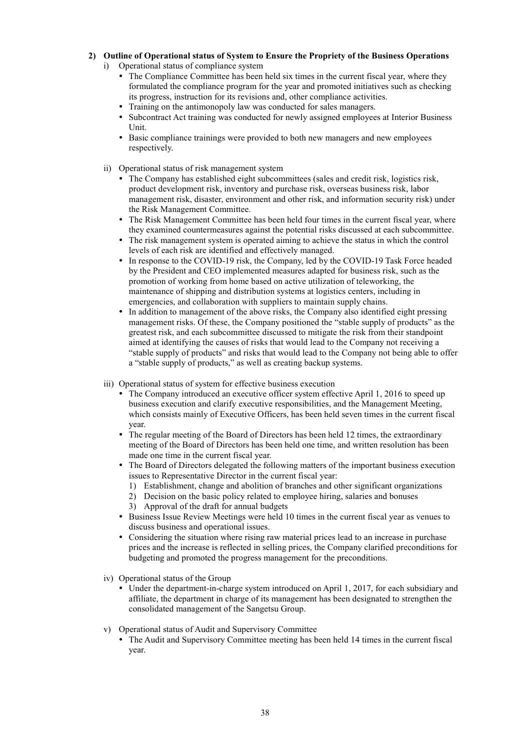# **2) Outline of Operational status of System to Ensure the Propriety of the Business Operations**

- i) Operational status of compliance system
	- The Compliance Committee has been held six times in the current fiscal year, where they formulated the compliance program for the year and promoted initiatives such as checking its progress, instruction for its revisions and, other compliance activities.
	- Training on the antimonopoly law was conducted for sales managers.
	- Subcontract Act training was conducted for newly assigned employees at Interior Business Unit.
	- Basic compliance trainings were provided to both new managers and new employees respectively.
- ii) Operational status of risk management system
	- The Company has established eight subcommittees (sales and credit risk, logistics risk, product development risk, inventory and purchase risk, overseas business risk, labor management risk, disaster, environment and other risk, and information security risk) under the Risk Management Committee.
	- The Risk Management Committee has been held four times in the current fiscal year, where they examined countermeasures against the potential risks discussed at each subcommittee.
	- The risk management system is operated aiming to achieve the status in which the control levels of each risk are identified and effectively managed.
	- In response to the COVID-19 risk, the Company, led by the COVID-19 Task Force headed by the President and CEO implemented measures adapted for business risk, such as the promotion of working from home based on active utilization of teleworking, the maintenance of shipping and distribution systems at logistics centers, including in emergencies, and collaboration with suppliers to maintain supply chains.
	- In addition to management of the above risks, the Company also identified eight pressing management risks. Of these, the Company positioned the "stable supply of products" as the greatest risk, and each subcommittee discussed to mitigate the risk from their standpoint aimed at identifying the causes of risks that would lead to the Company not receiving a "stable supply of products" and risks that would lead to the Company not being able to offer a "stable supply of products," as well as creating backup systems.
- iii) Operational status of system for effective business execution
	- The Company introduced an executive officer system effective April 1, 2016 to speed up business execution and clarify executive responsibilities, and the Management Meeting, which consists mainly of Executive Officers, has been held seven times in the current fiscal year.
	- The regular meeting of the Board of Directors has been held 12 times, the extraordinary meeting of the Board of Directors has been held one time, and written resolution has been made one time in the current fiscal year.
	- The Board of Directors delegated the following matters of the important business execution issues to Representative Director in the current fiscal year:
		- 1) Establishment, change and abolition of branches and other significant organizations
		- 2) Decision on the basic policy related to employee hiring, salaries and bonuses
		- 3) Approval of the draft for annual budgets
	- Business Issue Review Meetings were held 10 times in the current fiscal year as venues to discuss business and operational issues.
	- Considering the situation where rising raw material prices lead to an increase in purchase prices and the increase is reflected in selling prices, the Company clarified preconditions for budgeting and promoted the progress management for the preconditions.
- iv) Operational status of the Group
	- Under the department-in-charge system introduced on April 1, 2017, for each subsidiary and affiliate, the department in charge of its management has been designated to strengthen the consolidated management of the Sangetsu Group.
- v) Operational status of Audit and Supervisory Committee
	- The Audit and Supervisory Committee meeting has been held 14 times in the current fiscal year.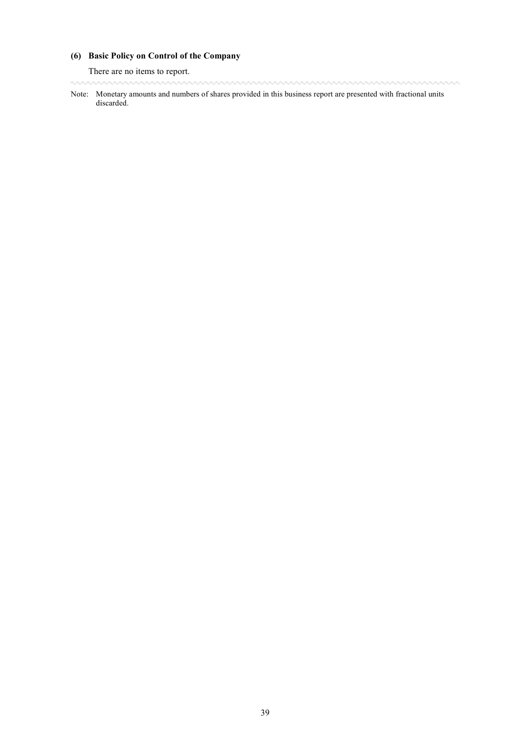# **(6) Basic Policy on Control of the Company**

There are no items to report.

www.www.www.www.www.www.www.www.ww www

Note: Monetary amounts and numbers of shares provided in this business report are presented with fractional units discarded.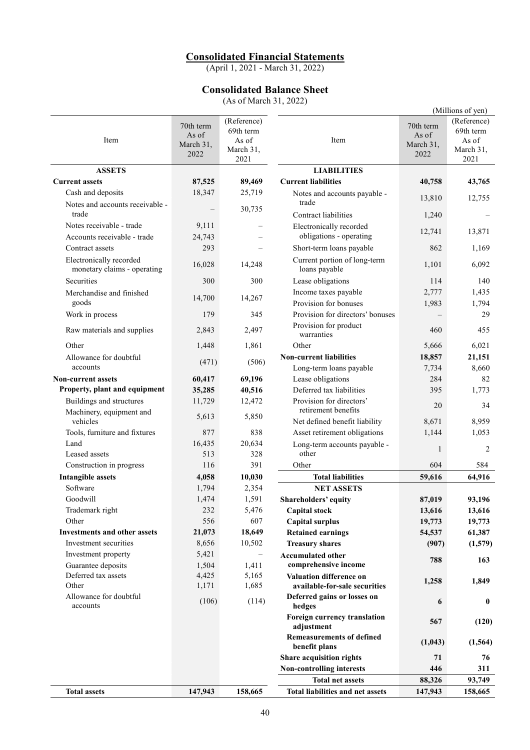# **Consolidated Financial Statements**

(April 1, 2021 - March 31, 2022)

# **Consolidated Balance Sheet**

(As of March 31, 2022)

|                                                        |                                 |                                   |                                                      |                                 | (Millions of yen)                 |
|--------------------------------------------------------|---------------------------------|-----------------------------------|------------------------------------------------------|---------------------------------|-----------------------------------|
| Item                                                   | 70th term<br>As of<br>March 31, | (Reference)<br>69th term<br>As of | Item                                                 | 70th term<br>As of<br>March 31, | (Reference)<br>69th term<br>As of |
|                                                        | 2022                            | March 31,<br>2021                 |                                                      | 2022                            | March 31,<br>2021                 |
| <b>ASSETS</b>                                          |                                 |                                   | <b>LIABILITIES</b>                                   |                                 |                                   |
| <b>Current assets</b>                                  | 87,525                          | 89,469                            | <b>Current liabilities</b>                           | 40,758                          | 43,765                            |
| Cash and deposits                                      | 18,347                          | 25,719                            | Notes and accounts payable -                         | 13,810                          | 12,755                            |
| Notes and accounts receivable -<br>trade               |                                 | 30,735                            | trade<br><b>Contract liabilities</b>                 | 1,240                           |                                   |
| Notes receivable - trade                               | 9,111                           |                                   | Electronically recorded                              |                                 |                                   |
| Accounts receivable - trade                            | 24,743                          |                                   | obligations - operating                              | 12,741                          | 13,871                            |
| Contract assets                                        | 293                             |                                   | Short-term loans payable                             | 862                             | 1,169                             |
| Electronically recorded<br>monetary claims - operating | 16,028                          | 14,248                            | Current portion of long-term<br>loans payable        | 1,101                           | 6,092                             |
| Securities                                             | 300                             | 300                               | Lease obligations                                    | 114                             | 140                               |
| Merchandise and finished                               | 14,700                          | 14,267                            | Income taxes payable                                 | 2,777                           | 1,435                             |
| goods                                                  |                                 |                                   | Provision for bonuses                                | 1,983                           | 1,794                             |
| Work in process                                        | 179                             | 345                               | Provision for directors' bonuses                     |                                 | 29                                |
| Raw materials and supplies                             | 2,843                           | 2,497                             | Provision for product<br>warranties                  | 460                             | 455                               |
| Other                                                  | 1,448                           | 1,861                             | Other                                                | 5,666                           | 6,021                             |
| Allowance for doubtful                                 | (471)                           | (506)                             | <b>Non-current liabilities</b>                       | 18,857                          | 21,151                            |
| accounts                                               |                                 |                                   | Long-term loans payable                              | 7,734                           | 8,660                             |
| <b>Non-current assets</b>                              | 60,417                          | 69,196                            | Lease obligations                                    | 284                             | 82                                |
| Property, plant and equipment                          | 35,285                          | 40,516                            | Deferred tax liabilities<br>Provision for directors' | 395                             | 1,773                             |
| Buildings and structures<br>Machinery, equipment and   | 11,729                          | 12,472                            | retirement benefits                                  | 20                              | 34                                |
| vehicles                                               | 5,613                           | 5,850                             | Net defined benefit liability                        | 8,671                           | 8,959                             |
| Tools, furniture and fixtures                          | 877                             | 838                               | Asset retirement obligations                         | 1,144                           | 1,053                             |
| Land                                                   | 16,435                          | 20,634                            | Long-term accounts payable -                         | 1                               | 2                                 |
| Leased assets                                          | 513                             | 328                               | other                                                |                                 |                                   |
| Construction in progress                               | 116                             | 391                               | Other<br><b>Total liabilities</b>                    | 604                             | 584                               |
| <b>Intangible assets</b><br>Software                   | 4,058                           | 10,030                            | <b>NET ASSETS</b>                                    | 59,616                          | 64,916                            |
| Goodwill                                               | 1,794<br>1,474                  | 2,354<br>1,591                    | Shareholders' equity                                 | 87,019                          | 93,196                            |
| Trademark right                                        | 232                             | 5,476                             | <b>Capital stock</b>                                 | 13,616                          | 13,616                            |
| Other                                                  | 556                             | 607                               | <b>Capital surplus</b>                               | 19,773                          | 19,773                            |
| <b>Investments and other assets</b>                    | 21,073                          | 18,649                            | <b>Retained earnings</b>                             | 54,537                          | 61,387                            |
| Investment securities                                  | 8,656                           | 10,502                            | <b>Treasury shares</b>                               | (907)                           | (1,579)                           |
| Investment property                                    | 5,421                           | $\overline{\phantom{0}}$          | <b>Accumulated other</b>                             |                                 |                                   |
| Guarantee deposits                                     | 1,504                           | 1,411                             | comprehensive income                                 | 788                             | 163                               |
| Deferred tax assets                                    | 4,425                           | 5,165                             | <b>Valuation difference on</b>                       | 1,258                           | 1,849                             |
| Other                                                  | 1,171                           | 1,685                             | available-for-sale securities                        |                                 |                                   |
| Allowance for doubtful<br>accounts                     | (106)                           | (114)                             | Deferred gains or losses on<br>hedges                | 6                               | $\bf{0}$                          |
|                                                        |                                 |                                   | Foreign currency translation<br>adjustment           | 567                             | (120)                             |
|                                                        |                                 |                                   | <b>Remeasurements of defined</b><br>benefit plans    | (1,043)                         | (1, 564)                          |
|                                                        |                                 |                                   | Share acquisition rights                             | 71                              | 76                                |
|                                                        |                                 |                                   | Non-controlling interests                            | 446                             | 311                               |
|                                                        |                                 |                                   | <b>Total net assets</b>                              | 88,326                          | 93,749                            |
| <b>Total assets</b>                                    | 147,943                         | 158,665                           | Total liabilities and net assets                     | 147,943                         | 158,665                           |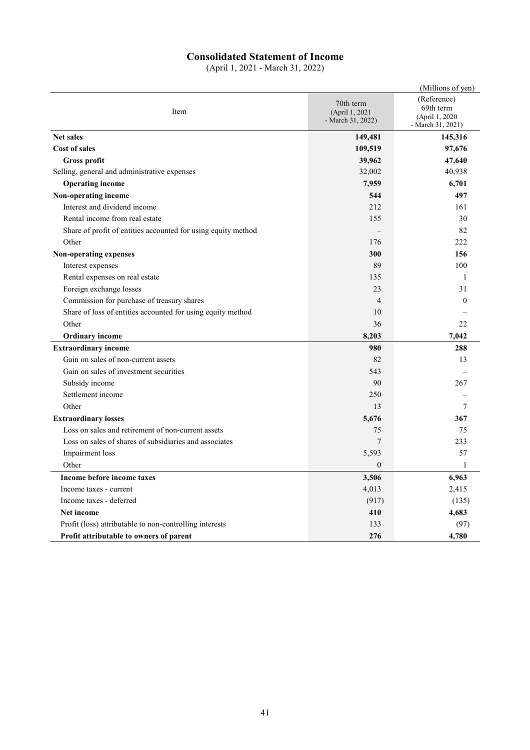# **Consolidated Statement of Income**

(April 1, 2021 - March 31, 2022)

|                                                               |                                                  | (Millions of yen)                                                |
|---------------------------------------------------------------|--------------------------------------------------|------------------------------------------------------------------|
| Item                                                          | 70th term<br>(April 1, 2021<br>- March 31, 2022) | (Reference)<br>69th term<br>(April 1, 2020)<br>- March 31, 2021) |
| <b>Net sales</b>                                              | 149,481                                          | 145,316                                                          |
| <b>Cost of sales</b>                                          | 109,519                                          | 97,676                                                           |
| Gross profit                                                  | 39,962                                           | 47,640                                                           |
| Selling, general and administrative expenses                  | 32,002                                           | 40,938                                                           |
| <b>Operating income</b>                                       | 7,959                                            | 6,701                                                            |
| Non-operating income                                          | 544                                              | 497                                                              |
| Interest and dividend income                                  | 212                                              | 161                                                              |
| Rental income from real estate                                | 155                                              | 30                                                               |
| Share of profit of entities accounted for using equity method |                                                  | 82                                                               |
| Other                                                         | 176                                              | 222                                                              |
| Non-operating expenses                                        | 300                                              | 156                                                              |
| Interest expenses                                             | 89                                               | 100                                                              |
| Rental expenses on real estate                                | 135                                              | 1                                                                |
| Foreign exchange losses                                       | 23                                               | 31                                                               |
| Commission for purchase of treasury shares                    | $\overline{4}$                                   | $\Omega$                                                         |
| Share of loss of entities accounted for using equity method   | 10                                               |                                                                  |
| Other                                                         | 36                                               | 22                                                               |
| <b>Ordinary income</b>                                        | 8,203                                            | 7,042                                                            |
| <b>Extraordinary income</b>                                   | 980                                              | 288                                                              |
| Gain on sales of non-current assets                           | 82                                               | 13                                                               |
| Gain on sales of investment securities                        | 543                                              |                                                                  |
| Subsidy income                                                | 90                                               | 267                                                              |
| Settlement income                                             | 250                                              |                                                                  |
| Other                                                         | 13                                               | 7                                                                |
| <b>Extraordinary losses</b>                                   | 5,676                                            | 367                                                              |
| Loss on sales and retirement of non-current assets            | 75                                               | 75                                                               |
| Loss on sales of shares of subsidiaries and associates        | $\overline{7}$                                   | 233                                                              |
| Impairment loss                                               | 5,593                                            | 57                                                               |
| Other                                                         | $\mathbf{0}$                                     | $\mathbf{1}$                                                     |
| Income before income taxes                                    | 3,506                                            | 6,963                                                            |
| Income taxes - current                                        | 4,013                                            | 2,415                                                            |
| Income taxes - deferred                                       | (917)                                            | (135)                                                            |
| Net income                                                    | 410                                              | 4,683                                                            |
| Profit (loss) attributable to non-controlling interests       | 133                                              | (97)                                                             |
| Profit attributable to owners of parent                       | 276                                              | 4,780                                                            |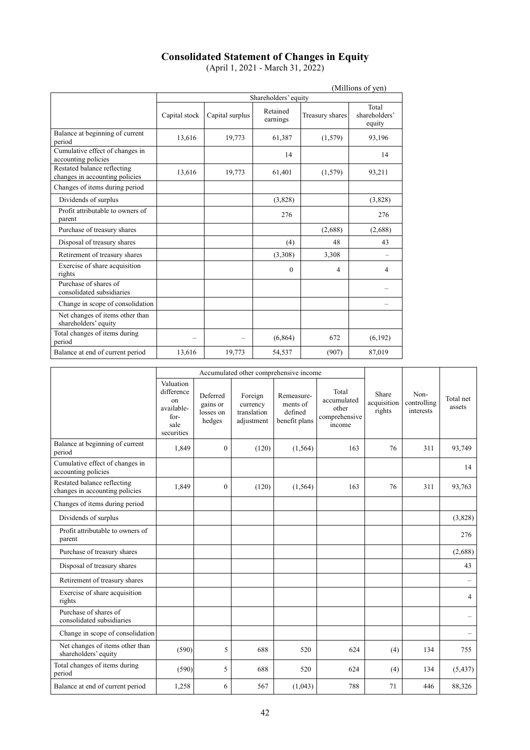# **Consolidated Statement of Changes in Equity**

(April 1, 2021 - March 31, 2022)

|                                                               | (Millions of yen) |                 |                      |                 |                                  |  |
|---------------------------------------------------------------|-------------------|-----------------|----------------------|-----------------|----------------------------------|--|
|                                                               |                   |                 | Shareholders' equity |                 |                                  |  |
|                                                               | Capital stock     | Capital surplus | Retained<br>earnings | Treasury shares | Total<br>shareholders'<br>equity |  |
| Balance at beginning of current<br>period                     | 13,616            | 19,773          | 61,387               | (1,579)         | 93,196                           |  |
| Cumulative effect of changes in<br>accounting policies        |                   |                 | 14                   |                 | 14                               |  |
| Restated balance reflecting<br>changes in accounting policies | 13,616            | 19,773          | 61,401               | (1,579)         | 93,211                           |  |
| Changes of items during period                                |                   |                 |                      |                 |                                  |  |
| Dividends of surplus                                          |                   |                 | (3,828)              |                 | (3,828)                          |  |
| Profit attributable to owners of<br>parent                    |                   |                 | 276                  |                 | 276                              |  |
| Purchase of treasury shares                                   |                   |                 |                      | (2,688)         | (2,688)                          |  |
| Disposal of treasury shares                                   |                   |                 | (4)                  | 48              | 43                               |  |
| Retirement of treasury shares                                 |                   |                 | (3,308)              | 3,308           |                                  |  |
| Exercise of share acquisition<br>rights                       |                   |                 | $\Omega$             | 4               | 4                                |  |
| Purchase of shares of<br>consolidated subsidiaries            |                   |                 |                      |                 |                                  |  |
| Change in scope of consolidation                              |                   |                 |                      |                 |                                  |  |
| Net changes of items other than<br>shareholders' equity       |                   |                 |                      |                 |                                  |  |
| Total changes of items during<br>period                       |                   |                 | (6, 864)             | 672             | (6,192)                          |  |
| Balance at end of current period                              | 13,616            | 19,773          | 54,537               | (907)           | 87,019                           |  |

|                                                               | Accumulated other comprehensive income                                    |                                             |                                                  |                                                    |                                                          |                                |                                  |                     |
|---------------------------------------------------------------|---------------------------------------------------------------------------|---------------------------------------------|--------------------------------------------------|----------------------------------------------------|----------------------------------------------------------|--------------------------------|----------------------------------|---------------------|
|                                                               | Valuation<br>difference<br>on<br>available-<br>for-<br>sale<br>securities | Deferred<br>gains or<br>losses on<br>hedges | Foreign<br>currency<br>translation<br>adiustment | Remeasure-<br>ments of<br>defined<br>benefit plans | Total<br>accumulated<br>other<br>comprehensive<br>income | Share<br>acquisition<br>rights | Non-<br>controlling<br>interests | Total net<br>assets |
| Balance at beginning of current<br>period                     | 1,849                                                                     | $\mathbf{0}$                                | (120)                                            | (1, 564)                                           | 163                                                      | 76                             | 311                              | 93,749              |
| Cumulative effect of changes in<br>accounting policies        |                                                                           |                                             |                                                  |                                                    |                                                          |                                |                                  | 14                  |
| Restated balance reflecting<br>changes in accounting policies | 1.849                                                                     | $\theta$                                    | (120)                                            | (1, 564)                                           | 163                                                      | 76                             | 311                              | 93,763              |
| Changes of items during period                                |                                                                           |                                             |                                                  |                                                    |                                                          |                                |                                  |                     |
| Dividends of surplus                                          |                                                                           |                                             |                                                  |                                                    |                                                          |                                |                                  | (3,828)             |
| Profit attributable to owners of<br>parent                    |                                                                           |                                             |                                                  |                                                    |                                                          |                                |                                  | 276                 |
| Purchase of treasury shares                                   |                                                                           |                                             |                                                  |                                                    |                                                          |                                |                                  | (2,688)             |
| Disposal of treasury shares                                   |                                                                           |                                             |                                                  |                                                    |                                                          |                                |                                  | 43                  |
| Retirement of treasury shares                                 |                                                                           |                                             |                                                  |                                                    |                                                          |                                |                                  |                     |
| Exercise of share acquisition<br>rights                       |                                                                           |                                             |                                                  |                                                    |                                                          |                                |                                  | $\overline{4}$      |
| Purchase of shares of<br>consolidated subsidiaries            |                                                                           |                                             |                                                  |                                                    |                                                          |                                |                                  |                     |
| Change in scope of consolidation                              |                                                                           |                                             |                                                  |                                                    |                                                          |                                |                                  |                     |
| Net changes of items other than<br>shareholders' equity       | (590)                                                                     | 5                                           | 688                                              | 520                                                | 624                                                      | (4)                            | 134                              | 755                 |
| Total changes of items during<br>period                       | (590)                                                                     | 5                                           | 688                                              | 520                                                | 624                                                      | (4)                            | 134                              | (5, 437)            |
| Balance at end of current period                              | 1,258                                                                     | 6                                           | 567                                              | (1,043)                                            | 788                                                      | 71                             | 446                              | 88,326              |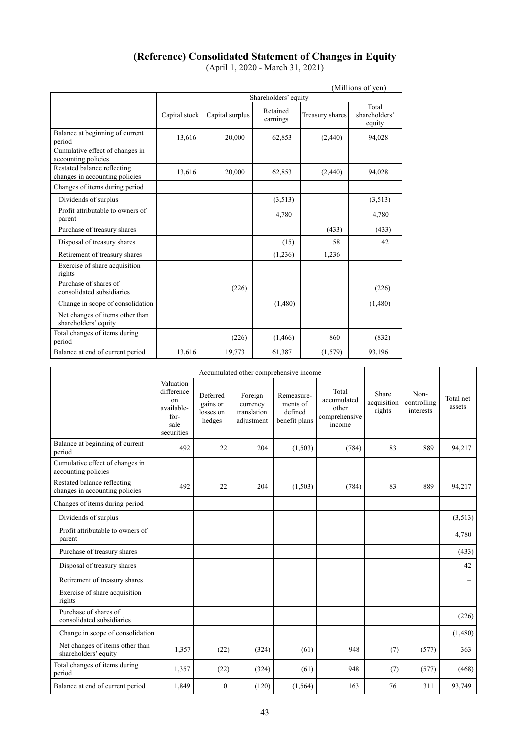# **(Reference) Consolidated Statement of Changes in Equity**

(April 1, 2020 - March 31, 2021)

|                                                               | (Millions of yen) |                 |                      |                 |                                  |  |
|---------------------------------------------------------------|-------------------|-----------------|----------------------|-----------------|----------------------------------|--|
|                                                               |                   |                 | Shareholders' equity |                 |                                  |  |
|                                                               | Capital stock     | Capital surplus | Retained<br>earnings | Treasury shares | Total<br>shareholders'<br>equity |  |
| Balance at beginning of current<br>period                     | 13,616            | 20,000          | 62,853               | (2,440)         | 94,028                           |  |
| Cumulative effect of changes in<br>accounting policies        |                   |                 |                      |                 |                                  |  |
| Restated balance reflecting<br>changes in accounting policies | 13.616            | 20,000          | 62.853               | (2, 440)        | 94,028                           |  |
| Changes of items during period                                |                   |                 |                      |                 |                                  |  |
| Dividends of surplus                                          |                   |                 | (3,513)              |                 | (3,513)                          |  |
| Profit attributable to owners of<br>parent                    |                   |                 | 4,780                |                 | 4,780                            |  |
| Purchase of treasury shares                                   |                   |                 |                      | (433)           | (433)                            |  |
| Disposal of treasury shares                                   |                   |                 | (15)                 | 58              | 42                               |  |
| Retirement of treasury shares                                 |                   |                 | (1,236)              | 1,236           |                                  |  |
| Exercise of share acquisition<br>rights                       |                   |                 |                      |                 |                                  |  |
| Purchase of shares of<br>consolidated subsidiaries            |                   | (226)           |                      |                 | (226)                            |  |
| Change in scope of consolidation                              |                   |                 | (1,480)              |                 | (1,480)                          |  |
| Net changes of items other than<br>shareholders' equity       |                   |                 |                      |                 |                                  |  |
| Total changes of items during<br>period                       |                   | (226)           | (1, 466)             | 860             | (832)                            |  |
| Balance at end of current period                              | 13,616            | 19,773          | 61,387               | (1, 579)        | 93,196                           |  |

|                                                               | Accumulated other comprehensive income                                    |                                             |                                                  |                                                    |                                                          |                                |                                  |                          |
|---------------------------------------------------------------|---------------------------------------------------------------------------|---------------------------------------------|--------------------------------------------------|----------------------------------------------------|----------------------------------------------------------|--------------------------------|----------------------------------|--------------------------|
|                                                               | Valuation<br>difference<br>on<br>available-<br>for-<br>sale<br>securities | Deferred<br>gains or<br>losses on<br>hedges | Foreign<br>currency<br>translation<br>adjustment | Remeasure-<br>ments of<br>defined<br>benefit plans | Total<br>accumulated<br>other<br>comprehensive<br>income | Share<br>acquisition<br>rights | Non-<br>controlling<br>interests | Total net<br>assets      |
| Balance at beginning of current<br>period                     | 492                                                                       | 22                                          | 204                                              | (1,503)                                            | (784)                                                    | 83                             | 889                              | 94,217                   |
| Cumulative effect of changes in<br>accounting policies        |                                                                           |                                             |                                                  |                                                    |                                                          |                                |                                  |                          |
| Restated balance reflecting<br>changes in accounting policies | 492                                                                       | 22                                          | 204                                              | (1,503)                                            | (784)                                                    | 83                             | 889                              | 94,217                   |
| Changes of items during period                                |                                                                           |                                             |                                                  |                                                    |                                                          |                                |                                  |                          |
| Dividends of surplus                                          |                                                                           |                                             |                                                  |                                                    |                                                          |                                |                                  | (3,513)                  |
| Profit attributable to owners of<br>parent                    |                                                                           |                                             |                                                  |                                                    |                                                          |                                |                                  | 4,780                    |
| Purchase of treasury shares                                   |                                                                           |                                             |                                                  |                                                    |                                                          |                                |                                  | (433)                    |
| Disposal of treasury shares                                   |                                                                           |                                             |                                                  |                                                    |                                                          |                                |                                  | 42                       |
| Retirement of treasury shares                                 |                                                                           |                                             |                                                  |                                                    |                                                          |                                |                                  | $\overline{\phantom{0}}$ |
| Exercise of share acquisition<br>rights                       |                                                                           |                                             |                                                  |                                                    |                                                          |                                |                                  | $\overline{\phantom{0}}$ |
| Purchase of shares of<br>consolidated subsidiaries            |                                                                           |                                             |                                                  |                                                    |                                                          |                                |                                  | (226)                    |
| Change in scope of consolidation                              |                                                                           |                                             |                                                  |                                                    |                                                          |                                |                                  | (1,480)                  |
| Net changes of items other than<br>shareholders' equity       | 1,357                                                                     | (22)                                        | (324)                                            | (61)                                               | 948                                                      | (7)                            | (577)                            | 363                      |
| Total changes of items during<br>period                       | 1,357                                                                     | (22)                                        | (324)                                            | (61)                                               | 948                                                      | (7)                            | (577)                            | (468)                    |
| Balance at end of current period                              | 1,849                                                                     | $\mathbf{0}$                                | (120)                                            | (1, 564)                                           | 163                                                      | 76                             | 311                              | 93,749                   |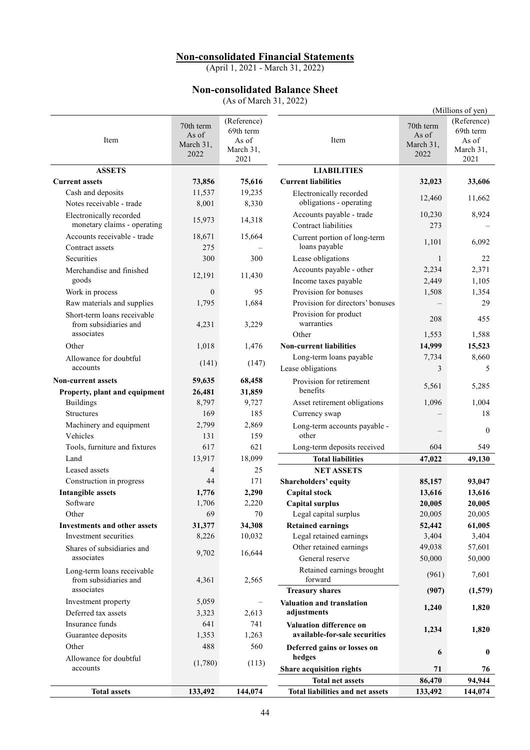# **Non-consolidated Financial Statements**

(April 1, 2021 - March 31, 2022)

# **Non-consolidated Balance Sheet**

(As of March 31, 2022)

|                                                        |                                         | $(113 \text{ VI}$ with $01 \text{ J}$ , $2022$         |                                                         |                                         | (Millions of yen)                                      |
|--------------------------------------------------------|-----------------------------------------|--------------------------------------------------------|---------------------------------------------------------|-----------------------------------------|--------------------------------------------------------|
| Item                                                   | 70th term<br>As of<br>March 31,<br>2022 | (Reference)<br>69th term<br>As of<br>March 31,<br>2021 | Item                                                    | 70th term<br>As of<br>March 31,<br>2022 | (Reference)<br>69th term<br>As of<br>March 31,<br>2021 |
| <b>ASSETS</b>                                          |                                         |                                                        | <b>LIABILITIES</b>                                      |                                         |                                                        |
| <b>Current assets</b>                                  | 73,856                                  | 75,616                                                 | <b>Current liabilities</b>                              | 32,023                                  | 33,606                                                 |
| Cash and deposits                                      | 11,537                                  | 19,235                                                 | Electronically recorded                                 | 12,460                                  | 11,662                                                 |
| Notes receivable - trade                               | 8,001                                   | 8,330                                                  | obligations - operating                                 |                                         |                                                        |
| Electronically recorded<br>monetary claims - operating | 15,973                                  | 14,318                                                 | Accounts payable - trade<br>Contract liabilities        | 10,230<br>273                           | 8,924                                                  |
| Accounts receivable - trade                            | 18,671                                  | 15,664                                                 | Current portion of long-term                            | 1,101                                   | 6,092                                                  |
| Contract assets                                        | 275                                     |                                                        | loans payable                                           |                                         |                                                        |
| Securities                                             | 300                                     | 300                                                    | Lease obligations                                       | $\mathbf{1}$                            | 22                                                     |
| Merchandise and finished                               | 12,191                                  | 11,430                                                 | Accounts payable - other                                | 2,234                                   | 2,371                                                  |
| goods                                                  |                                         |                                                        | Income taxes payable                                    | 2,449                                   | 1,105                                                  |
| Work in process                                        | $\theta$                                | 95                                                     | Provision for bonuses                                   | 1,508                                   | 1,354                                                  |
| Raw materials and supplies                             | 1,795                                   | 1.684                                                  | Provision for directors' bonuses                        |                                         | 29                                                     |
| Short-term loans receivable                            |                                         |                                                        | Provision for product                                   | 208                                     | 455                                                    |
| from subsidiaries and<br>associates                    | 4,231                                   | 3,229                                                  | warranties<br>Other                                     | 1,553                                   | 1,588                                                  |
| Other                                                  | 1,018                                   | 1,476                                                  | <b>Non-current liabilities</b>                          | 14,999                                  | 15,523                                                 |
|                                                        |                                         |                                                        | Long-term loans payable                                 | 7,734                                   | 8,660                                                  |
| Allowance for doubtful<br>accounts                     | (141)                                   | (147)                                                  | Lease obligations                                       | 3                                       | 5                                                      |
| <b>Non-current assets</b>                              | 59,635                                  | 68,458                                                 | Provision for retirement                                | 5,561                                   | 5,285                                                  |
| Property, plant and equipment                          | 26,481                                  | 31,859                                                 | benefits                                                |                                         |                                                        |
| <b>Buildings</b>                                       | 8,797                                   | 9,727                                                  | Asset retirement obligations                            | 1,096                                   | 1,004                                                  |
| <b>Structures</b>                                      | 169                                     | 185                                                    | Currency swap                                           |                                         | 18                                                     |
| Machinery and equipment                                | 2,799                                   | 2,869                                                  | Long-term accounts payable -<br>other                   |                                         | $\theta$                                               |
| Vehicles                                               | 131<br>617                              | 159<br>621                                             |                                                         | 604                                     | 549                                                    |
| Tools, furniture and fixtures<br>Land                  | 13,917                                  | 18,099                                                 | Long-term deposits received<br><b>Total liabilities</b> | 47,022                                  | 49,130                                                 |
| Leased assets                                          | $\overline{4}$                          | 25                                                     | <b>NET ASSETS</b>                                       |                                         |                                                        |
| Construction in progress                               | 44                                      | 171                                                    | Shareholders' equity                                    | 85,157                                  | 93,047                                                 |
| Intangible assets                                      | 1,776                                   | 2,290                                                  | <b>Capital stock</b>                                    | 13,616                                  | 13,616                                                 |
| Software                                               | 1,706                                   | 2,220                                                  | <b>Capital surplus</b>                                  | 20,005                                  | 20,005                                                 |
| Other                                                  | 69                                      | 70                                                     | Legal capital surplus                                   | 20,005                                  | 20,005                                                 |
| <b>Investments and other assets</b>                    | 31,377                                  | 34,308                                                 | <b>Retained earnings</b>                                | 52,442                                  | 61,005                                                 |
| Investment securities                                  | 8,226                                   | 10,032                                                 | Legal retained earnings                                 | 3,404                                   | 3,404                                                  |
| Shares of subsidiaries and                             |                                         |                                                        | Other retained earnings                                 | 49,038                                  | 57,601                                                 |
| associates                                             | 9,702                                   | 16,644                                                 | General reserve                                         | 50,000                                  | 50,000                                                 |
| Long-term loans receivable<br>from subsidiaries and    | 4,361                                   | 2,565                                                  | Retained earnings brought<br>forward                    | (961)                                   | 7,601                                                  |
| associates                                             |                                         |                                                        | <b>Treasury shares</b>                                  | (907)                                   | (1,579)                                                |
| Investment property                                    | 5,059                                   | $\qquad \qquad -$                                      | Valuation and translation                               |                                         |                                                        |
| Deferred tax assets                                    | 3,323                                   | 2,613                                                  | adjustments                                             | 1,240                                   | 1,820                                                  |
| Insurance funds                                        | 641                                     | 741                                                    | Valuation difference on                                 |                                         |                                                        |
| Guarantee deposits                                     | 1,353                                   | 1,263                                                  | available-for-sale securities                           | 1,234                                   | 1,820                                                  |
| Other                                                  | 488                                     | 560                                                    | Deferred gains or losses on<br>hedges                   | 6                                       | $\bf{0}$                                               |
| Allowance for doubtful<br>accounts                     | (1,780)                                 | (113)                                                  | Share acquisition rights                                | 71                                      | 76                                                     |
|                                                        |                                         |                                                        | <b>Total net assets</b>                                 | 86,470                                  | 94,944                                                 |
| <b>Total assets</b>                                    | 133,492                                 | 144,074                                                | <b>Total liabilities and net assets</b>                 | 133,492                                 | 144,074                                                |
|                                                        |                                         |                                                        |                                                         |                                         |                                                        |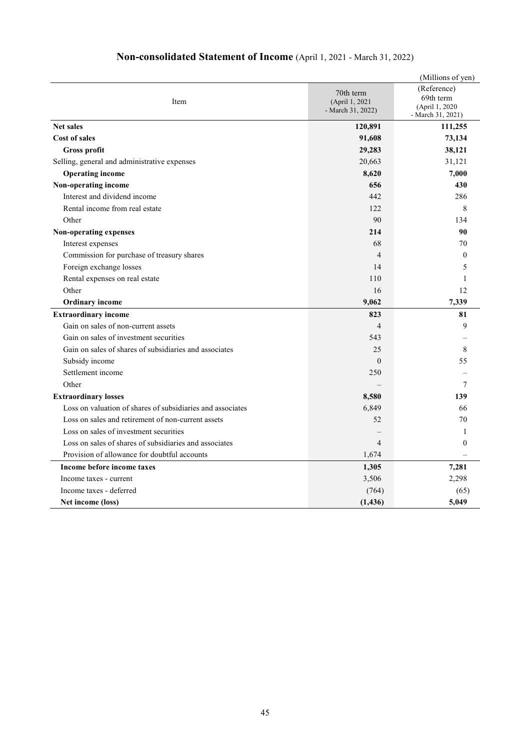|                                                            |                                                  | (Millions of yen)                                               |
|------------------------------------------------------------|--------------------------------------------------|-----------------------------------------------------------------|
| Item                                                       | 70th term<br>(April 1, 2021<br>- March 31, 2022) | (Reference)<br>69th term<br>(April 1, 2020<br>- March 31, 2021) |
| <b>Net sales</b>                                           | 120,891                                          | 111,255                                                         |
| <b>Cost of sales</b>                                       | 91,608                                           | 73,134                                                          |
| <b>Gross profit</b>                                        | 29,283                                           | 38,121                                                          |
| Selling, general and administrative expenses               | 20,663                                           | 31,121                                                          |
| <b>Operating income</b>                                    | 8,620                                            | 7,000                                                           |
| Non-operating income                                       | 656                                              | 430                                                             |
| Interest and dividend income                               | 442                                              | 286                                                             |
| Rental income from real estate                             | 122                                              | 8                                                               |
| Other                                                      | 90                                               | 134                                                             |
| Non-operating expenses                                     | 214                                              | 90                                                              |
| Interest expenses                                          | 68                                               | 70                                                              |
| Commission for purchase of treasury shares                 | $\overline{4}$                                   | $\Omega$                                                        |
| Foreign exchange losses                                    | 14                                               | 5                                                               |
| Rental expenses on real estate                             | 110                                              | 1                                                               |
| Other                                                      | 16                                               | 12                                                              |
| <b>Ordinary income</b>                                     | 9,062                                            | 7,339                                                           |
| <b>Extraordinary income</b>                                | 823                                              | 81                                                              |
| Gain on sales of non-current assets                        | $\overline{4}$                                   | 9                                                               |
| Gain on sales of investment securities                     | 543                                              |                                                                 |
| Gain on sales of shares of subsidiaries and associates     | 25                                               | 8                                                               |
| Subsidy income                                             | $\Omega$                                         | 55                                                              |
| Settlement income                                          | 250                                              |                                                                 |
| Other                                                      |                                                  | 7                                                               |
| <b>Extraordinary losses</b>                                | 8,580                                            | 139                                                             |
| Loss on valuation of shares of subsidiaries and associates | 6,849                                            | 66                                                              |
| Loss on sales and retirement of non-current assets         | 52                                               | 70                                                              |
| Loss on sales of investment securities                     |                                                  | 1                                                               |
| Loss on sales of shares of subsidiaries and associates     | $\overline{4}$                                   | 0                                                               |
| Provision of allowance for doubtful accounts               | 1,674                                            |                                                                 |
| Income before income taxes                                 | 1,305                                            | 7,281                                                           |
| Income taxes - current                                     | 3,506                                            | 2,298                                                           |
| Income taxes - deferred                                    | (764)                                            | (65)                                                            |
| Net income (loss)                                          | (1, 436)                                         | 5,049                                                           |

# **Non-consolidated Statement of Income** (April 1, 2021 - March 31, 2022)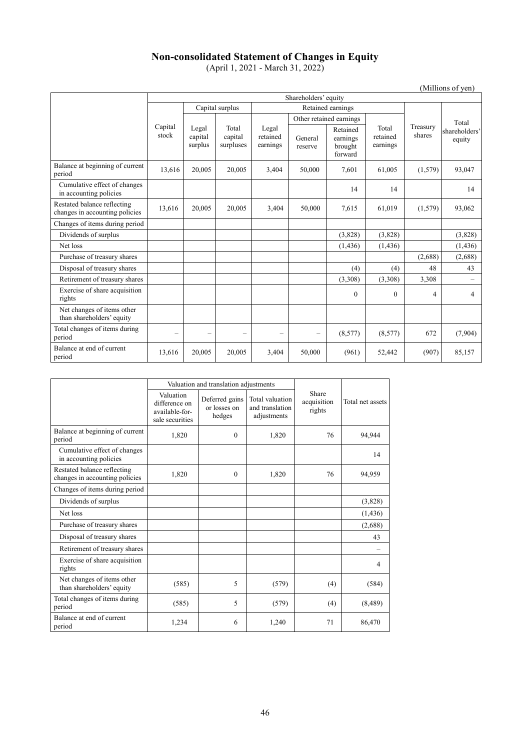# **Non-consolidated Statement of Changes in Equity**

(April 1, 2021 - March 31, 2022)

Shareholders' equity Capital stock Capital surplus and Retained earnings Treasury shares<sup>.</sup> Total shareholders' equity Legal capital surplus Total capital surpluses Legal retained earnings Other retained earnings Total retained earnings General reserve Retained earnings brought forward Balance at beginning of current period 13,616 20,005 20,005 3,404 50,000 7,601 61,005 (1,579) 93,047 Cumulative effect of changes in accounting policies 14 14 14 Restated balance reflecting changes in accounting policies 13,616 20,005 20,005 3,404 50,000 7,615 61,019 (1,579) 93,062 Changes of items during period Dividends of surplus (3,828) (3,828) (3,828) (3,828) (3,828) Net loss (1,436) (1,436) (1,436) (1,436) (1,436) (1,436) Purchase of treasury shares (2,688) (2,688) (2,688) (2,688) Disposal of treasury shares (4) (4) 48 43 43 Retirement of treasury shares (3,308) (3,308) 3,308 – Exercise of share acquisition rights  $0 \quad 0 \quad 4 \quad 4$ Net changes of items other than shareholders' equity Total changes of items during period  $(8,577)$   $(8,577)$   $672$   $(7,904)$ Balance at end of current period 13,616 20,005 20,005 3,404 50,000 (961) 52,442 (907) 85,157

|                                                               |                                                                 | Valuation and translation adjustments    |                                                   |                                |                  |
|---------------------------------------------------------------|-----------------------------------------------------------------|------------------------------------------|---------------------------------------------------|--------------------------------|------------------|
|                                                               | Valuation<br>difference on<br>available-for-<br>sale securities | Deferred gains<br>or losses on<br>hedges | Total valuation<br>and translation<br>adjustments | Share<br>acquisition<br>rights | Total net assets |
| Balance at beginning of current<br>period                     | 1,820                                                           | $\Omega$                                 | 1,820                                             | 76                             | 94,944           |
| Cumulative effect of changes<br>in accounting policies        |                                                                 |                                          |                                                   |                                | 14               |
| Restated balance reflecting<br>changes in accounting policies | 1,820                                                           | $\theta$                                 | 1,820                                             | 76                             | 94,959           |
| Changes of items during period                                |                                                                 |                                          |                                                   |                                |                  |
| Dividends of surplus                                          |                                                                 |                                          |                                                   |                                | (3,828)          |
| Net loss                                                      |                                                                 |                                          |                                                   |                                | (1,436)          |
| Purchase of treasury shares                                   |                                                                 |                                          |                                                   |                                | (2,688)          |
| Disposal of treasury shares                                   |                                                                 |                                          |                                                   |                                | 43               |
| Retirement of treasury shares                                 |                                                                 |                                          |                                                   |                                |                  |
| Exercise of share acquisition<br>rights                       |                                                                 |                                          |                                                   |                                | 4                |
| Net changes of items other<br>than shareholders' equity       | (585)                                                           | 5                                        | (579)                                             | (4)                            | (584)            |
| Total changes of items during<br>period                       | (585)                                                           | 5                                        | (579)                                             | (4)                            | (8, 489)         |
| Balance at end of current<br>period                           | 1,234                                                           | 6                                        | 1,240                                             | 71                             | 86,470           |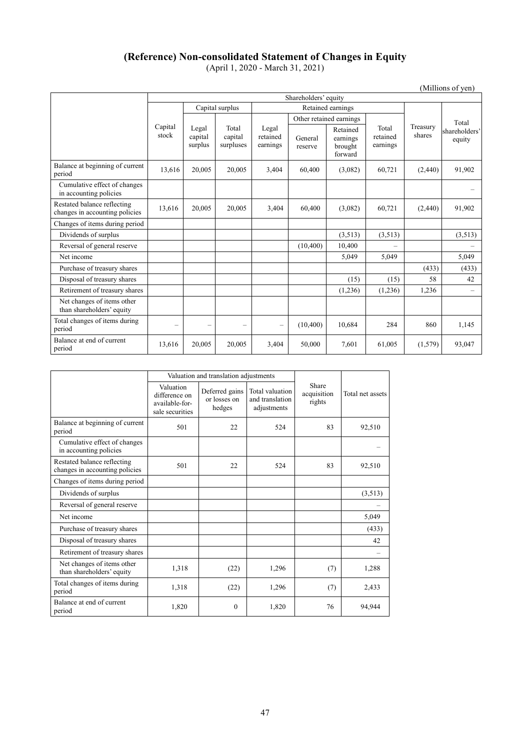# **(Reference) Non-consolidated Statement of Changes in Equity**

(April 1, 2020 - March 31, 2021)

| (Millions of yen)                                             |                      |                             |                               |                               |                    |                                            |                               |                    |                         |
|---------------------------------------------------------------|----------------------|-----------------------------|-------------------------------|-------------------------------|--------------------|--------------------------------------------|-------------------------------|--------------------|-------------------------|
|                                                               | Shareholders' equity |                             |                               |                               |                    |                                            |                               |                    |                         |
|                                                               |                      |                             | Capital surplus               |                               | Retained earnings  |                                            |                               |                    |                         |
|                                                               |                      |                             |                               |                               |                    | Other retained earnings                    |                               | Total              |                         |
|                                                               | Capital<br>stock     | Legal<br>capital<br>surplus | Total<br>capital<br>surpluses | Legal<br>retained<br>earnings | General<br>reserve | Retained<br>earnings<br>brought<br>forward | Total<br>retained<br>earnings | Treasury<br>shares | shareholders'<br>equity |
| Balance at beginning of current<br>period                     | 13,616               | 20,005                      | 20,005                        | 3,404                         | 60,400             | (3,082)                                    | 60,721                        | (2,440)            | 91,902                  |
| Cumulative effect of changes<br>in accounting policies        |                      |                             |                               |                               |                    |                                            |                               |                    |                         |
| Restated balance reflecting<br>changes in accounting policies | 13,616               | 20,005                      | 20,005                        | 3,404                         | 60,400             | (3,082)                                    | 60,721                        | (2,440)            | 91,902                  |
| Changes of items during period                                |                      |                             |                               |                               |                    |                                            |                               |                    |                         |
| Dividends of surplus                                          |                      |                             |                               |                               |                    | (3,513)                                    | (3,513)                       |                    | (3,513)                 |
| Reversal of general reserve                                   |                      |                             |                               |                               | (10,400)           | 10,400                                     |                               |                    |                         |
| Net income                                                    |                      |                             |                               |                               |                    | 5,049                                      | 5,049                         |                    | 5,049                   |
| Purchase of treasury shares                                   |                      |                             |                               |                               |                    |                                            |                               | (433)              | (433)                   |
| Disposal of treasury shares                                   |                      |                             |                               |                               |                    | (15)                                       | (15)                          | 58                 | 42                      |
| Retirement of treasury shares                                 |                      |                             |                               |                               |                    | (1,236)                                    | (1,236)                       | 1,236              |                         |
| Net changes of items other<br>than shareholders' equity       |                      |                             |                               |                               |                    |                                            |                               |                    |                         |
| Total changes of items during<br>period                       |                      | ÷                           | $\overline{\phantom{a}}$      | -                             | (10,400)           | 10,684                                     | 284                           | 860                | 1,145                   |
| Balance at end of current<br>period                           | 13,616               | 20,005                      | 20,005                        | 3,404                         | 50,000             | 7,601                                      | 61,005                        | (1,579)            | 93,047                  |

|                                                               |                                                                 | Valuation and translation adjustments    |                                                   |                                |                  |
|---------------------------------------------------------------|-----------------------------------------------------------------|------------------------------------------|---------------------------------------------------|--------------------------------|------------------|
|                                                               | Valuation<br>difference on<br>available-for-<br>sale securities | Deferred gains<br>or losses on<br>hedges | Total valuation<br>and translation<br>adjustments | Share<br>acquisition<br>rights | Total net assets |
| Balance at beginning of current<br>period                     | 501                                                             | 22                                       | 524                                               | 83                             | 92,510           |
| Cumulative effect of changes<br>in accounting policies        |                                                                 |                                          |                                                   |                                |                  |
| Restated balance reflecting<br>changes in accounting policies | 501                                                             | 22                                       | 524                                               | 83                             | 92,510           |
| Changes of items during period                                |                                                                 |                                          |                                                   |                                |                  |
| Dividends of surplus                                          |                                                                 |                                          |                                                   |                                | (3,513)          |
| Reversal of general reserve                                   |                                                                 |                                          |                                                   |                                |                  |
| Net income                                                    |                                                                 |                                          |                                                   |                                | 5,049            |
| Purchase of treasury shares                                   |                                                                 |                                          |                                                   |                                | (433)            |
| Disposal of treasury shares                                   |                                                                 |                                          |                                                   |                                | 42               |
| Retirement of treasury shares                                 |                                                                 |                                          |                                                   |                                |                  |
| Net changes of items other<br>than shareholders' equity       | 1,318                                                           | (22)                                     | 1,296                                             | (7)                            | 1,288            |
| Total changes of items during<br>period                       | 1,318                                                           | (22)                                     | 1,296                                             | (7)                            | 2,433            |
| Balance at end of current<br>period                           | 1,820                                                           | $\theta$                                 | 1,820                                             | 76                             | 94,944           |

(Millions of yen)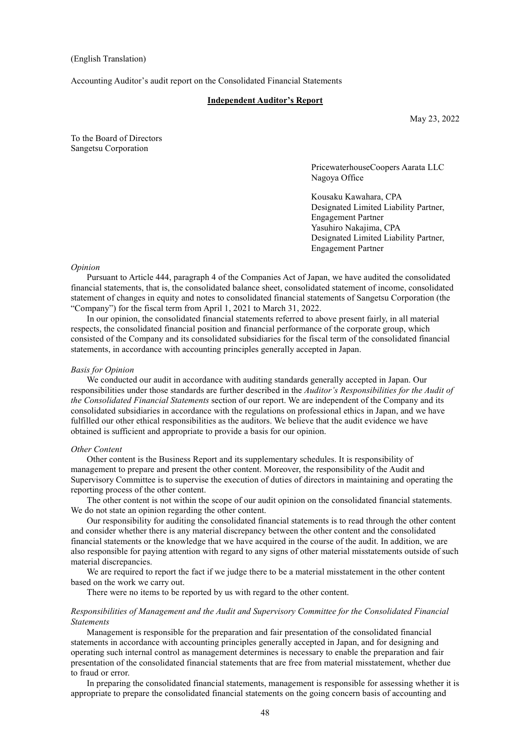#### (English Translation)

Accounting Auditor's audit report on the Consolidated Financial Statements

#### **Independent Auditor's Report**

May 23, 2022

To the Board of Directors Sangetsu Corporation

> PricewaterhouseCoopers Aarata LLC Nagoya Office

> Kousaku Kawahara, CPA Designated Limited Liability Partner, Engagement Partner Yasuhiro Nakajima, CPA Designated Limited Liability Partner, Engagement Partner

#### *Opinion*

Pursuant to Article 444, paragraph 4 of the Companies Act of Japan, we have audited the consolidated financial statements, that is, the consolidated balance sheet, consolidated statement of income, consolidated statement of changes in equity and notes to consolidated financial statements of Sangetsu Corporation (the "Company") for the fiscal term from April 1, 2021 to March 31, 2022.

In our opinion, the consolidated financial statements referred to above present fairly, in all material respects, the consolidated financial position and financial performance of the corporate group, which consisted of the Company and its consolidated subsidiaries for the fiscal term of the consolidated financial statements, in accordance with accounting principles generally accepted in Japan.

#### *Basis for Opinion*

We conducted our audit in accordance with auditing standards generally accepted in Japan. Our responsibilities under those standards are further described in the *Auditor's Responsibilities for the Audit of the Consolidated Financial Statements* section of our report. We are independent of the Company and its consolidated subsidiaries in accordance with the regulations on professional ethics in Japan, and we have fulfilled our other ethical responsibilities as the auditors. We believe that the audit evidence we have obtained is sufficient and appropriate to provide a basis for our opinion.

#### *Other Content*

Other content is the Business Report and its supplementary schedules. It is responsibility of management to prepare and present the other content. Moreover, the responsibility of the Audit and Supervisory Committee is to supervise the execution of duties of directors in maintaining and operating the reporting process of the other content.

The other content is not within the scope of our audit opinion on the consolidated financial statements. We do not state an opinion regarding the other content.

Our responsibility for auditing the consolidated financial statements is to read through the other content and consider whether there is any material discrepancy between the other content and the consolidated financial statements or the knowledge that we have acquired in the course of the audit. In addition, we are also responsible for paying attention with regard to any signs of other material misstatements outside of such material discrepancies.

We are required to report the fact if we judge there to be a material misstatement in the other content based on the work we carry out.

There were no items to be reported by us with regard to the other content.

#### *Responsibilities of Management and the Audit and Supervisory Committee for the Consolidated Financial Statements*

Management is responsible for the preparation and fair presentation of the consolidated financial statements in accordance with accounting principles generally accepted in Japan, and for designing and operating such internal control as management determines is necessary to enable the preparation and fair presentation of the consolidated financial statements that are free from material misstatement, whether due to fraud or error.

In preparing the consolidated financial statements, management is responsible for assessing whether it is appropriate to prepare the consolidated financial statements on the going concern basis of accounting and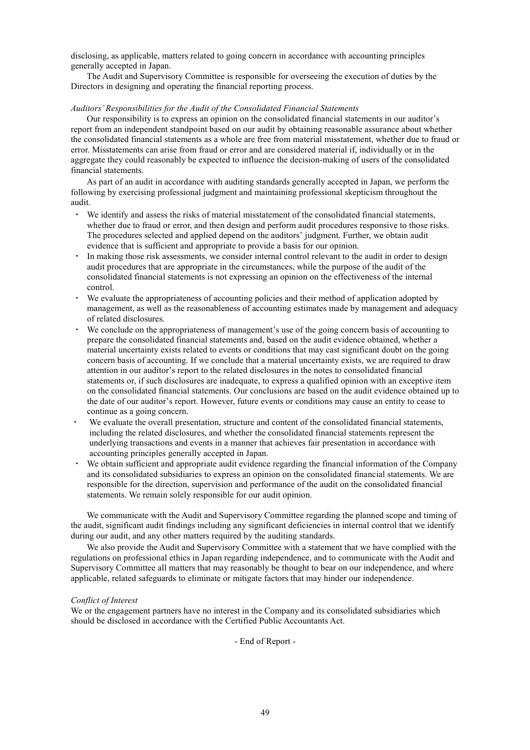disclosing, as applicable, matters related to going concern in accordance with accounting principles generally accepted in Japan.

The Audit and Supervisory Committee is responsible for overseeing the execution of duties by the Directors in designing and operating the financial reporting process.

#### *Auditors'Responsibilities for the Audit of the Consolidated Financial Statements*

Our responsibility is to express an opinion on the consolidated financial statements in our auditor's report from an independent standpoint based on our audit by obtaining reasonable assurance about whether the consolidated financial statements as a whole are free from material misstatement, whether due to fraud or error. Misstatements can arise from fraud or error and are considered material if, individually or in the aggregate they could reasonably be expected to influence the decision-making of users of the consolidated financial statements.

As part of an audit in accordance with auditing standards generally accepted in Japan, we perform the following by exercising professional judgment and maintaining professional skepticism throughout the audit.

- ・ We identify and assess the risks of material misstatement of the consolidated financial statements, whether due to fraud or error, and then design and perform audit procedures responsive to those risks. The procedures selected and applied depend on the auditors' judgment. Further, we obtain audit evidence that is sufficient and appropriate to provide a basis for our opinion.
- ・ In making those risk assessments, we consider internal control relevant to the audit in order to design audit procedures that are appropriate in the circumstances, while the purpose of the audit of the consolidated financial statements is not expressing an opinion on the effectiveness of the internal control.
- We evaluate the appropriateness of accounting policies and their method of application adopted by management, as well as the reasonableness of accounting estimates made by management and adequacy of related disclosures.
- We conclude on the appropriateness of management's use of the going concern basis of accounting to prepare the consolidated financial statements and, based on the audit evidence obtained, whether a material uncertainty exists related to events or conditions that may cast significant doubt on the going concern basis of accounting. If we conclude that a material uncertainty exists, we are required to draw attention in our auditor's report to the related disclosures in the notes to consolidated financial statements or, if such disclosures are inadequate, to express a qualified opinion with an exceptive item on the consolidated financial statements. Our conclusions are based on the audit evidence obtained up to the date of our auditor's report. However, future events or conditions may cause an entity to cease to continue as a going concern.
- We evaluate the overall presentation, structure and content of the consolidated financial statements, including the related disclosures, and whether the consolidated financial statements represent the underlying transactions and events in a manner that achieves fair presentation in accordance with accounting principles generally accepted in Japan.
- ・ We obtain sufficient and appropriate audit evidence regarding the financial information of the Company and its consolidated subsidiaries to express an opinion on the consolidated financial statements. We are responsible for the direction, supervision and performance of the audit on the consolidated financial statements. We remain solely responsible for our audit opinion.

We communicate with the Audit and Supervisory Committee regarding the planned scope and timing of the audit, significant audit findings including any significant deficiencies in internal control that we identify during our audit, and any other matters required by the auditing standards.

We also provide the Audit and Supervisory Committee with a statement that we have complied with the regulations on professional ethics in Japan regarding independence, and to communicate with the Audit and Supervisory Committee all matters that may reasonably be thought to bear on our independence, and where applicable, related safeguards to eliminate or mitigate factors that may hinder our independence.

#### *Conflict of Interest*

We or the engagement partners have no interest in the Company and its consolidated subsidiaries which should be disclosed in accordance with the Certified Public Accountants Act.

- End of Report -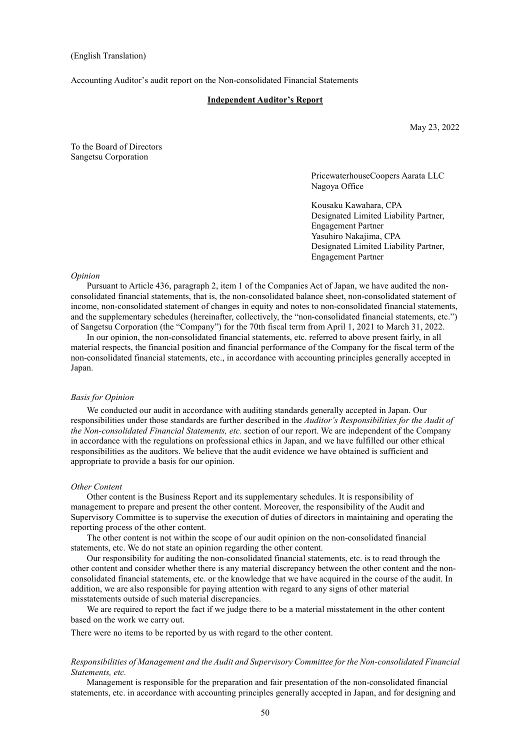#### (English Translation)

Accounting Auditor's audit report on the Non-consolidated Financial Statements

#### **Independent Auditor's Report**

May 23, 2022

To the Board of Directors Sangetsu Corporation

> PricewaterhouseCoopers Aarata LLC Nagoya Office

> Kousaku Kawahara, CPA Designated Limited Liability Partner, Engagement Partner Yasuhiro Nakajima, CPA Designated Limited Liability Partner, Engagement Partner

#### *Opinion*

Pursuant to Article 436, paragraph 2, item 1 of the Companies Act of Japan, we have audited the nonconsolidated financial statements, that is, the non-consolidated balance sheet, non-consolidated statement of income, non-consolidated statement of changes in equity and notes to non-consolidated financial statements, and the supplementary schedules (hereinafter, collectively, the "non-consolidated financial statements, etc.") of Sangetsu Corporation (the "Company") for the 70th fiscal term from April 1, 2021 to March 31, 2022.

In our opinion, the non-consolidated financial statements, etc. referred to above present fairly, in all material respects, the financial position and financial performance of the Company for the fiscal term of the non-consolidated financial statements, etc., in accordance with accounting principles generally accepted in Japan.

#### *Basis for Opinion*

We conducted our audit in accordance with auditing standards generally accepted in Japan. Our responsibilities under those standards are further described in the *Auditor's Responsibilities for the Audit of the Non-consolidated Financial Statements, etc.* section of our report. We are independent of the Company in accordance with the regulations on professional ethics in Japan, and we have fulfilled our other ethical responsibilities as the auditors. We believe that the audit evidence we have obtained is sufficient and appropriate to provide a basis for our opinion.

#### *Other Content*

Other content is the Business Report and its supplementary schedules. It is responsibility of management to prepare and present the other content. Moreover, the responsibility of the Audit and Supervisory Committee is to supervise the execution of duties of directors in maintaining and operating the reporting process of the other content.

The other content is not within the scope of our audit opinion on the non-consolidated financial statements, etc. We do not state an opinion regarding the other content.

Our responsibility for auditing the non-consolidated financial statements, etc. is to read through the other content and consider whether there is any material discrepancy between the other content and the nonconsolidated financial statements, etc. or the knowledge that we have acquired in the course of the audit. In addition, we are also responsible for paying attention with regard to any signs of other material misstatements outside of such material discrepancies.

We are required to report the fact if we judge there to be a material misstatement in the other content based on the work we carry out.

There were no items to be reported by us with regard to the other content.

#### *Responsibilities of Management and the Audit and Supervisory Committee for the Non-consolidated Financial Statements, etc.*

Management is responsible for the preparation and fair presentation of the non-consolidated financial statements, etc. in accordance with accounting principles generally accepted in Japan, and for designing and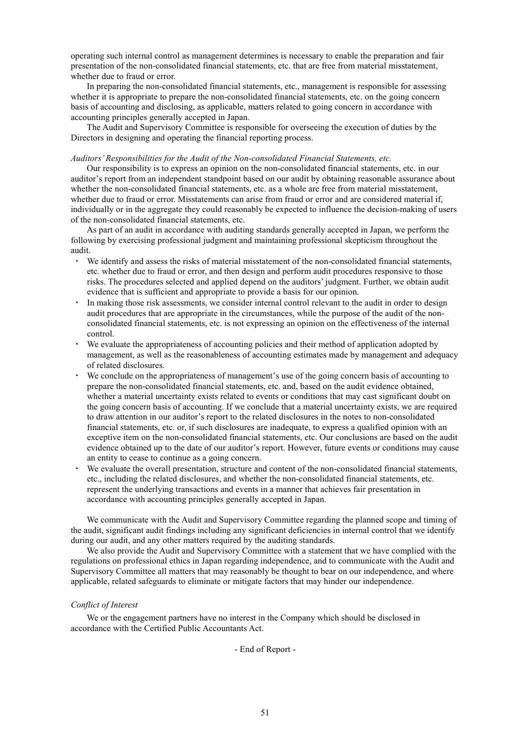operating such internal control as management determines is necessary to enable the preparation and fair presentation of the non-consolidated financial statements, etc. that are free from material misstatement, whether due to fraud or error.

In preparing the non-consolidated financial statements, etc., management is responsible for assessing whether it is appropriate to prepare the non-consolidated financial statements, etc. on the going concern basis of accounting and disclosing, as applicable, matters related to going concern in accordance with accounting principles generally accepted in Japan.

The Audit and Supervisory Committee is responsible for overseeing the execution of duties by the Directors in designing and operating the financial reporting process.

#### *Auditors'Responsibilities for the Audit of the Non-consolidated Financial Statements, etc.*

Our responsibility is to express an opinion on the non-consolidated financial statements, etc. in our auditor's report from an independent standpoint based on our audit by obtaining reasonable assurance about whether the non-consolidated financial statements, etc. as a whole are free from material misstatement, whether due to fraud or error. Misstatements can arise from fraud or error and are considered material if, individually or in the aggregate they could reasonably be expected to influence the decision-making of users of the non-consolidated financial statements, etc.

As part of an audit in accordance with auditing standards generally accepted in Japan, we perform the following by exercising professional judgment and maintaining professional skepticism throughout the audit.

- ・ We identify and assess the risks of material misstatement of the non-consolidated financial statements, etc. whether due to fraud or error, and then design and perform audit procedures responsive to those risks. The procedures selected and applied depend on the auditors' judgment. Further, we obtain audit evidence that is sufficient and appropriate to provide a basis for our opinion.
- In making those risk assessments, we consider internal control relevant to the audit in order to design audit procedures that are appropriate in the circumstances, while the purpose of the audit of the nonconsolidated financial statements, etc. is not expressing an opinion on the effectiveness of the internal control.
- We evaluate the appropriateness of accounting policies and their method of application adopted by management, as well as the reasonableness of accounting estimates made by management and adequacy of related disclosures.
- We conclude on the appropriateness of management's use of the going concern basis of accounting to prepare the non-consolidated financial statements, etc. and, based on the audit evidence obtained, whether a material uncertainty exists related to events or conditions that may cast significant doubt on the going concern basis of accounting. If we conclude that a material uncertainty exists, we are required to draw attention in our auditor's report to the related disclosures in the notes to non-consolidated financial statements, etc. or, if such disclosures are inadequate, to express a qualified opinion with an exceptive item on the non-consolidated financial statements, etc. Our conclusions are based on the audit evidence obtained up to the date of our auditor's report. However, future events or conditions may cause an entity to cease to continue as a going concern.
- We evaluate the overall presentation, structure and content of the non-consolidated financial statements, etc., including the related disclosures, and whether the non-consolidated financial statements, etc. represent the underlying transactions and events in a manner that achieves fair presentation in accordance with accounting principles generally accepted in Japan.

We communicate with the Audit and Supervisory Committee regarding the planned scope and timing of the audit, significant audit findings including any significant deficiencies in internal control that we identify during our audit, and any other matters required by the auditing standards.

We also provide the Audit and Supervisory Committee with a statement that we have complied with the regulations on professional ethics in Japan regarding independence, and to communicate with the Audit and Supervisory Committee all matters that may reasonably be thought to bear on our independence, and where applicable, related safeguards to eliminate or mitigate factors that may hinder our independence.

#### *Conflict of Interest*

We or the engagement partners have no interest in the Company which should be disclosed in accordance with the Certified Public Accountants Act.

- End of Report -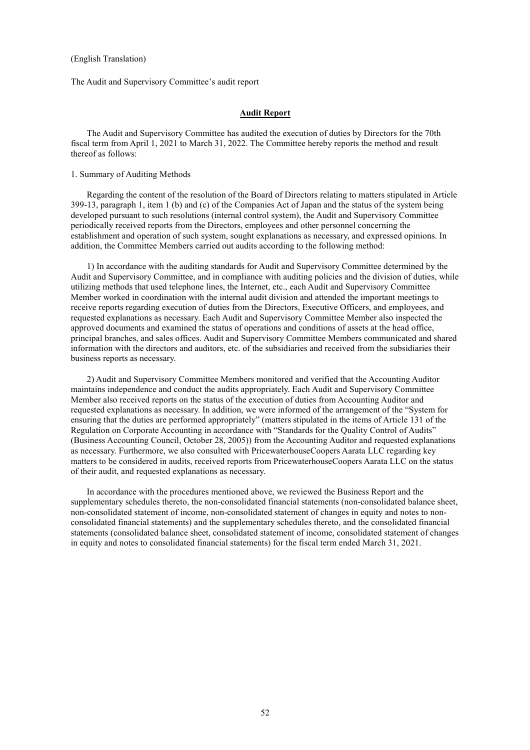#### (English Translation)

The Audit and Supervisory Committee's audit report

#### **Audit Report**

The Audit and Supervisory Committee has audited the execution of duties by Directors for the 70th fiscal term from April 1, 2021 to March 31, 2022. The Committee hereby reports the method and result thereof as follows:

#### 1. Summary of Auditing Methods

Regarding the content of the resolution of the Board of Directors relating to matters stipulated in Article 399-13, paragraph 1, item 1 (b) and (c) of the Companies Act of Japan and the status of the system being developed pursuant to such resolutions (internal control system), the Audit and Supervisory Committee periodically received reports from the Directors, employees and other personnel concerning the establishment and operation of such system, sought explanations as necessary, and expressed opinions. In addition, the Committee Members carried out audits according to the following method:

1) In accordance with the auditing standards for Audit and Supervisory Committee determined by the Audit and Supervisory Committee, and in compliance with auditing policies and the division of duties, while utilizing methods that used telephone lines, the Internet, etc., each Audit and Supervisory Committee Member worked in coordination with the internal audit division and attended the important meetings to receive reports regarding execution of duties from the Directors, Executive Officers, and employees, and requested explanations as necessary. Each Audit and Supervisory Committee Member also inspected the approved documents and examined the status of operations and conditions of assets at the head office, principal branches, and sales offices. Audit and Supervisory Committee Members communicated and shared information with the directors and auditors, etc. of the subsidiaries and received from the subsidiaries their business reports as necessary.

2) Audit and Supervisory Committee Members monitored and verified that the Accounting Auditor maintains independence and conduct the audits appropriately. Each Audit and Supervisory Committee Member also received reports on the status of the execution of duties from Accounting Auditor and requested explanations as necessary. In addition, we were informed of the arrangement of the "System for ensuring that the duties are performed appropriately" (matters stipulated in the items of Article 131 of the Regulation on Corporate Accounting in accordance with "Standards for the Quality Control of Audits" (Business Accounting Council, October 28, 2005)) from the Accounting Auditor and requested explanations as necessary. Furthermore, we also consulted with PricewaterhouseCoopers Aarata LLC regarding key matters to be considered in audits, received reports from PricewaterhouseCoopers Aarata LLC on the status of their audit, and requested explanations as necessary.

In accordance with the procedures mentioned above, we reviewed the Business Report and the supplementary schedules thereto, the non-consolidated financial statements (non-consolidated balance sheet, non-consolidated statement of income, non-consolidated statement of changes in equity and notes to nonconsolidated financial statements) and the supplementary schedules thereto, and the consolidated financial statements (consolidated balance sheet, consolidated statement of income, consolidated statement of changes in equity and notes to consolidated financial statements) for the fiscal term ended March 31, 2021.